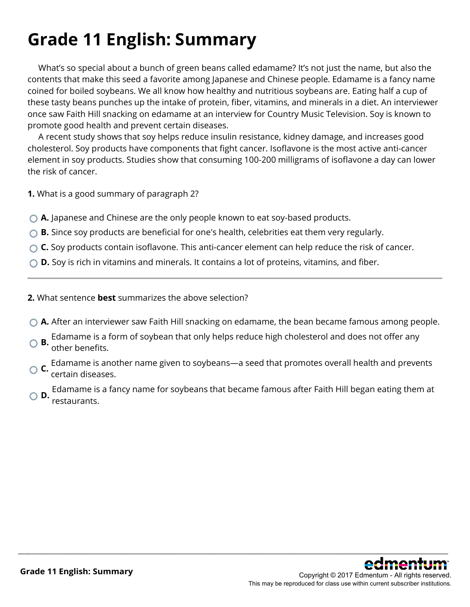# **Grade 11 English: Summary**

 What's so special about a bunch of green beans called edamame? It's not just the name, but also the contents that make this seed a favorite among Japanese and Chinese people. Edamame is a fancy name coined for boiled soybeans. We all know how healthy and nutritious soybeans are. Eating half a cup of these tasty beans punches up the intake of protein, fiber, vitamins, and minerals in a diet. An interviewer once saw Faith Hill snacking on edamame at an interview for Country Music Television. Soy is known to promote good health and prevent certain diseases.

 A recent study shows that soy helps reduce insulin resistance, kidney damage, and increases good cholesterol. Soy products have components that fight cancer. Isoflavone is the most active anti-cancer element in soy products. Studies show that consuming 100-200 milligrams of isoflavone a day can lower the risk of cancer.

**1.** What is a good summary of paragraph 2?

- **A.** Japanese and Chinese are the only people known to eat soy-based products.
- ◯ **B.** Since soy products are beneficial for one's health, celebrities eat them very regularly.
- ◯ **C.** Soy products contain isoflavone. This anti-cancer element can help reduce the risk of cancer.
- **D.** Soy is rich in vitamins and minerals. It contains a lot of proteins, vitamins, and fiber.
- **2.** What sentence **best** summarizes the above selection?
- **A.** After an interviewer saw Faith Hill snacking on edamame, the bean became famous among people.
- **B.** Edamame is a form of soybean that only helps reduce high cholesterol and does not offer any **B.** other hangless of other benefits.
- **C.** Edamame is another name given to soybeans—a seed that promotes overall health and prevents certain diseases.

**D.** Edamame is a fancy name for soybeans that became famous after Faith Hill began eating them at restaurants.

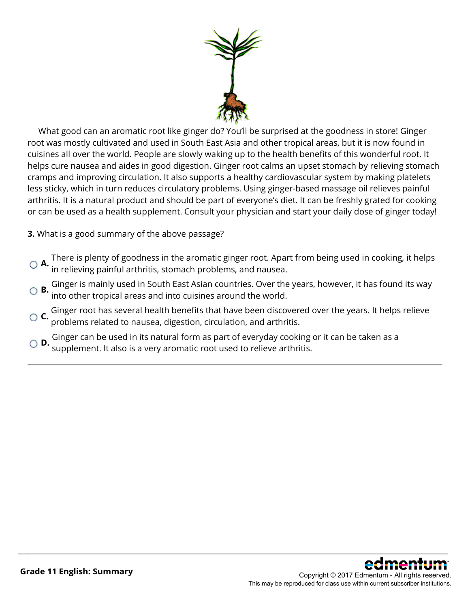

 What good can an aromatic root like ginger do? You'll be surprised at the goodness in store! Ginger root was mostly cultivated and used in South East Asia and other tropical areas, but it is now found in cuisines all over the world. People are slowly waking up to the health benefits of this wonderful root. It helps cure nausea and aides in good digestion. Ginger root calms an upset stomach by relieving stomach cramps and improving circulation. It also supports a healthy cardiovascular system by making platelets less sticky, which in turn reduces circulatory problems. Using ginger-based massage oil relieves painful arthritis. It is a natural product and should be part of everyone's diet. It can be freshly grated for cooking or can be used as a health supplement. Consult your physician and start your daily dose of ginger today!

**3.** What is a good summary of the above passage?

- **A.** There is plenty of goodness in the aromatic ginger root. Apart from being used in cooking, it helps in relieving painful arthritis, stomach problems, and nausea.
- **B.** Ginger is mainly used in South East Asian countries. Over the years, however, it has found its way into other tropical areas and into cuisines around the world.
- **C.** Ginger root has several health benefits that have been discovered over the years. It helps relieve problems related to nausea, digestion, circulation, and arthritis.

\_\_\_\_\_\_\_\_\_\_\_\_\_\_\_\_\_\_\_\_\_\_\_\_\_\_\_\_\_\_\_\_\_\_\_\_\_\_\_\_\_\_\_\_\_\_\_\_\_\_\_\_\_\_\_\_\_\_\_\_\_\_\_\_\_\_\_\_\_\_\_\_\_\_\_\_\_\_\_\_\_\_\_\_\_\_\_\_\_\_\_\_\_\_\_\_\_\_\_\_\_\_\_\_\_\_\_\_\_\_\_\_

**D.** Ginger can be used in its natural form as part of everyday cooking or it can be taken as a supplement. It also is a very aromatic root used to relieve arthritis.

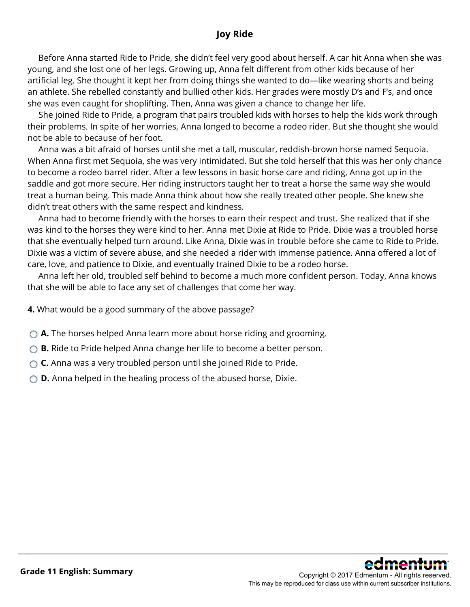### **Joy Ride**

 Before Anna started Ride to Pride, she didn't feel very good about herself. A car hit Anna when she was young, and she lost one of her legs. Growing up, Anna felt different from other kids because of her artificial leg. She thought it kept her from doing things she wanted to do—like wearing shorts and being an athlete. She rebelled constantly and bullied other kids. Her grades were mostly D's and F's, and once she was even caught for shoplifting. Then, Anna was given a chance to change her life.

 She joined Ride to Pride, a program that pairs troubled kids with horses to help the kids work through their problems. In spite of her worries, Anna longed to become a rodeo rider. But she thought she would not be able to because of her foot.

 Anna was a bit afraid of horses until she met a tall, muscular, reddish-brown horse named Sequoia. When Anna first met Sequoia, she was very intimidated. But she told herself that this was her only chance to become a rodeo barrel rider. After a few lessons in basic horse care and riding, Anna got up in the saddle and got more secure. Her riding instructors taught her to treat a horse the same way she would treat a human being. This made Anna think about how she really treated other people. She knew she didn't treat others with the same respect and kindness.

 Anna had to become friendly with the horses to earn their respect and trust. She realized that if she was kind to the horses they were kind to her. Anna met Dixie at Ride to Pride. Dixie was a troubled horse that she eventually helped turn around. Like Anna, Dixie was in trouble before she came to Ride to Pride. Dixie was a victim of severe abuse, and she needed a rider with immense patience. Anna offered a lot of care, love, and patience to Dixie, and eventually trained Dixie to be a rodeo horse.

 Anna left her old, troubled self behind to become a much more confident person. Today, Anna knows that she will be able to face any set of challenges that come her way.

\_\_\_\_\_\_\_\_\_\_\_\_\_\_\_\_\_\_\_\_\_\_\_\_\_\_\_\_\_\_\_\_\_\_\_\_\_\_\_\_\_\_\_\_\_\_\_\_\_\_\_\_\_\_\_\_\_\_\_\_\_\_\_\_\_\_\_\_\_\_\_\_\_\_\_\_\_\_\_\_\_\_\_\_\_\_\_\_\_\_\_\_\_\_\_\_\_\_\_\_\_\_\_\_\_\_\_\_\_\_\_\_

**4.** What would be a good summary of the above passage?

- **A.** The horses helped Anna learn more about horse riding and grooming.
- ◯ **B.** Ride to Pride helped Anna change her life to become a better person.
- **C.** Anna was a very troubled person until she joined Ride to Pride.
- **D.** Anna helped in the healing process of the abused horse, Dixie.

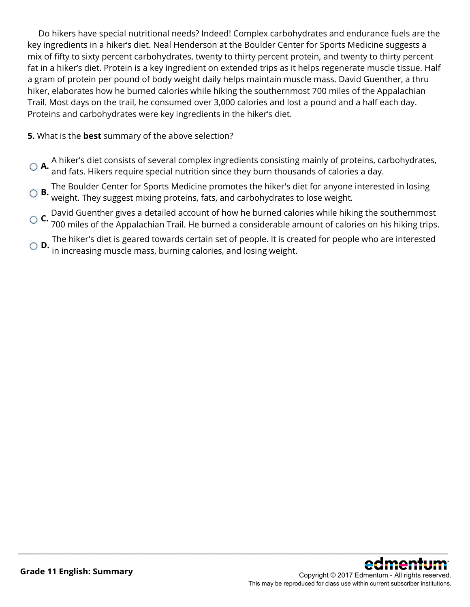Do hikers have special nutritional needs? Indeed! Complex carbohydrates and endurance fuels are the key ingredients in a hiker's diet. Neal Henderson at the Boulder Center for Sports Medicine suggests a mix of fifty to sixty percent carbohydrates, twenty to thirty percent protein, and twenty to thirty percent fat in a hiker's diet. Protein is a key ingredient on extended trips as it helps regenerate muscle tissue. Half a gram of protein per pound of body weight daily helps maintain muscle mass. David Guenther, a thru hiker, elaborates how he burned calories while hiking the southernmost 700 miles of the Appalachian Trail. Most days on the trail, he consumed over 3,000 calories and lost a pound and a half each day. Proteins and carbohydrates were key ingredients in the hiker's diet.

#### **5.** What is the **best** summary of the above selection?

- **A.** A hiker's diet consists of several complex ingredients consisting mainly of proteins, carbohydrates, and fats. Hikers require special nutrition since they burn thousands of calories a day.
- **B.** The Boulder Center for Sports Medicine promotes the hiker's diet for anyone interested in losing weight. They suggest mixing proteins, fats, and carbohydrates to lose weight.
- **C.** David Guenther gives a detailed account of how he burned calories while hiking the southernmost 700 miles of the Appalachian Trail. He burned a considerable amount of calories on his hiking trips.
- **D.** The hiker's diet is geared towards certain set of people. It is created for people who are interested **D.** in increasing muscle mass, burning calories, and losing weight.

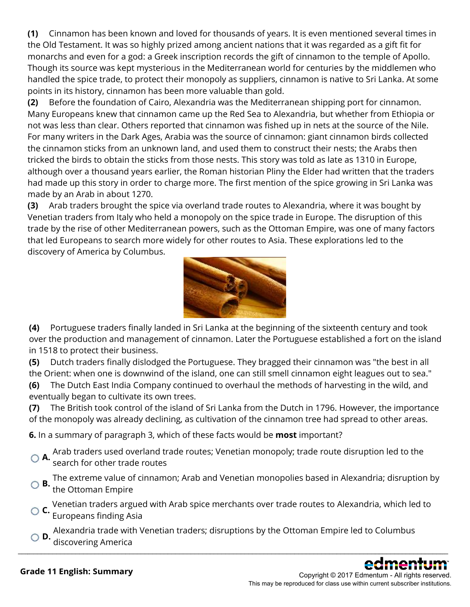**(1)** Cinnamon has been known and loved for thousands of years. It is even mentioned several times in the Old Testament. It was so highly prized among ancient nations that it was regarded as a gift fit for monarchs and even for a god: a Greek inscription records the gift of cinnamon to the temple of Apollo. Though its source was kept mysterious in the Mediterranean world for centuries by the middlemen who handled the spice trade, to protect their monopoly as suppliers, cinnamon is native to Sri Lanka. At some points in its history, cinnamon has been more valuable than gold.

**(2)** Before the foundation of Cairo, Alexandria was the Mediterranean shipping port for cinnamon. Many Europeans knew that cinnamon came up the Red Sea to Alexandria, but whether from Ethiopia or not was less than clear. Others reported that cinnamon was fished up in nets at the source of the Nile. For many writers in the Dark Ages, Arabia was the source of cinnamon: giant cinnamon birds collected the cinnamon sticks from an unknown land, and used them to construct their nests; the Arabs then tricked the birds to obtain the sticks from those nests. This story was told as late as 1310 in Europe, although over a thousand years earlier, the Roman historian Pliny the Elder had written that the traders had made up this story in order to charge more. The first mention of the spice growing in Sri Lanka was made by an Arab in about 1270.

**(3)** Arab traders brought the spice via overland trade routes to Alexandria, where it was bought by Venetian traders from Italy who held a monopoly on the spice trade in Europe. The disruption of this trade by the rise of other Mediterranean powers, such as the Ottoman Empire, was one of many factors that led Europeans to search more widely for other routes to Asia. These explorations led to the discovery of America by Columbus.



**(4)** Portuguese traders finally landed in Sri Lanka at the beginning of the sixteenth century and took over the production and management of cinnamon. Later the Portuguese established a fort on the island in 1518 to protect their business.

**(5)** Dutch traders finally dislodged the Portuguese. They bragged their cinnamon was "the best in all the Orient: when one is downwind of the island, one can still smell cinnamon eight leagues out to sea."

**(6)** The Dutch East India Company continued to overhaul the methods of harvesting in the wild, and eventually began to cultivate its own trees.

**(7)** The British took control of the island of Sri Lanka from the Dutch in 1796. However, the importance of the monopoly was already declining, as cultivation of the cinnamon tree had spread to other areas.

**6.** In a summary of paragraph 3, which of these facts would be **most** important?

**A.** Arab traders used overland trade routes; Venetian monopoly; trade route disruption led to the search for other trade routes

**B.** The extreme value of cinnamon; Arab and Venetian monopolies based in Alexandria; disruption by the Ottoman Empire

**C.** Venetian traders argued with Arab spice merchants over trade routes to Alexandria, which led to Europeans finding Asia

**D.** Alexandria trade with Venetian traders; disruptions by the Ottoman Empire led to Columbus discovering America \_\_\_\_\_\_\_\_\_\_\_\_\_\_\_\_\_\_\_\_\_\_\_\_\_\_\_\_\_\_\_\_\_\_\_\_\_\_\_\_\_\_\_\_\_\_\_\_\_\_\_\_\_\_\_\_\_\_\_\_\_\_\_\_\_\_\_\_\_\_\_\_\_\_\_\_\_\_\_\_\_\_\_\_\_\_\_\_\_\_\_\_\_\_\_\_\_\_\_\_\_\_\_\_\_\_\_\_\_\_\_\_

Copyright © 2017 Edmentum - All rights reserved. This may be reproduced for class use within current subscriber institutions.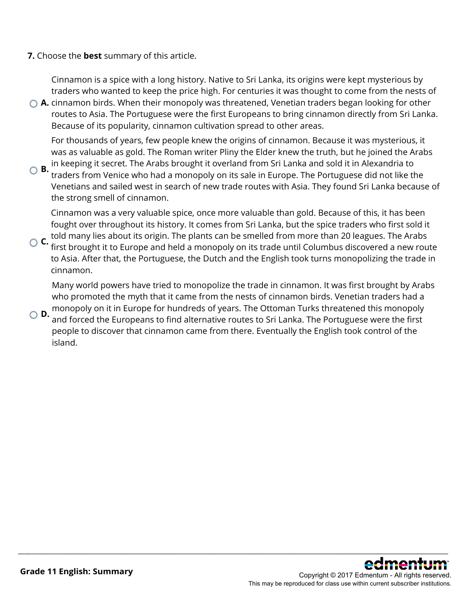**7.** Choose the **best** summary of this article.

Cinnamon is a spice with a long history. Native to Sri Lanka, its origins were kept mysterious by traders who wanted to keep the price high. For centuries it was thought to come from the nests of

**A.** cinnamon birds. When their monopoly was threatened, Venetian traders began looking for other routes to Asia. The Portuguese were the first Europeans to bring cinnamon directly from Sri Lanka. Because of its popularity, cinnamon cultivation spread to other areas.

For thousands of years, few people knew the origins of cinnamon. Because it was mysterious, it was as valuable as gold. The Roman writer Pliny the Elder knew the truth, but he joined the Arabs

**B.** in keeping it secret. The Arabs brought it overland from Sri Lanka and sold it in Alexandria to **B.** the Best like the structure of the structure of the structure of the structure of the structure of the structure of traders from Venice who had a monopoly on its sale in Europe. The Portuguese did not like the Venetians and sailed west in search of new trade routes with Asia. They found Sri Lanka because of the strong smell of cinnamon.

Cinnamon was a very valuable spice, once more valuable than gold. Because of this, it has been fought over throughout its history. It comes from Sri Lanka, but the spice traders who first sold it

**C.** told many lies about its origin. The plants can be smelled from more than 20 leagues. The Arabs **C.** Columbus discovered a nature of first brought it to Europe and held a monopoly on its trade until Columbus discovered a new route to Asia. After that, the Portuguese, the Dutch and the English took turns monopolizing the trade in cinnamon.

Many world powers have tried to monopolize the trade in cinnamon. It was first brought by Arabs who promoted the myth that it came from the nests of cinnamon birds. Venetian traders had a

**D.** monopoly on it in Europe for hundreds of years. The Ottoman Turks threatened this monopoly<br>**D.** and farred the Europeans to find alternative revise to Fiji Lanke. The Pertury see were the first and forced the Europeans to find alternative routes to Sri Lanka. The Portuguese were the first people to discover that cinnamon came from there. Eventually the English took control of the island.

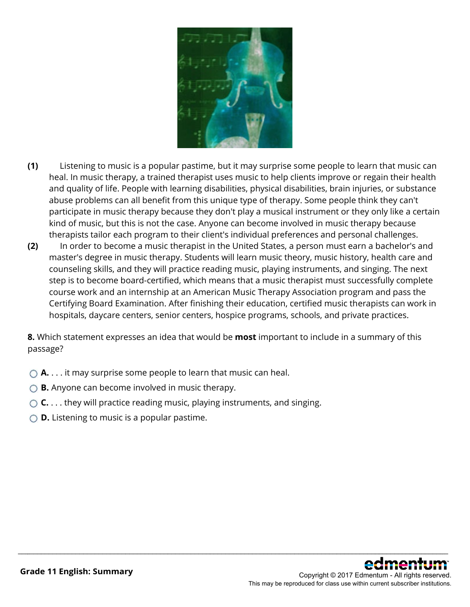

- **(1)** Listening to music is a popular pastime, but it may surprise some people to learn that music can heal. In music therapy, a trained therapist uses music to help clients improve or regain their health and quality of life. People with learning disabilities, physical disabilities, brain injuries, or substance abuse problems can all benefit from this unique type of therapy. Some people think they can't participate in music therapy because they don't play a musical instrument or they only like a certain kind of music, but this is not the case. Anyone can become involved in music therapy because therapists tailor each program to their client's individual preferences and personal challenges.
- **(2)** In order to become a music therapist in the United States, a person must earn a bachelor's and master's degree in music therapy. Students will learn music theory, music history, health care and counseling skills, and they will practice reading music, playing instruments, and singing. The next step is to become board-certified, which means that a music therapist must successfully complete course work and an internship at an American Music Therapy Association program and pass the Certifying Board Examination. After finishing their education, certified music therapists can work in hospitals, daycare centers, senior centers, hospice programs, schools, and private practices.

**8.** Which statement expresses an idea that would be **most** important to include in a summary of this passage?

- **A.** . . . it may surprise some people to learn that music can heal.
- **B.** Anyone can become involved in music therapy.
- **C.** . . . they will practice reading music, playing instruments, and singing.
- **D.** Listening to music is a popular pastime.

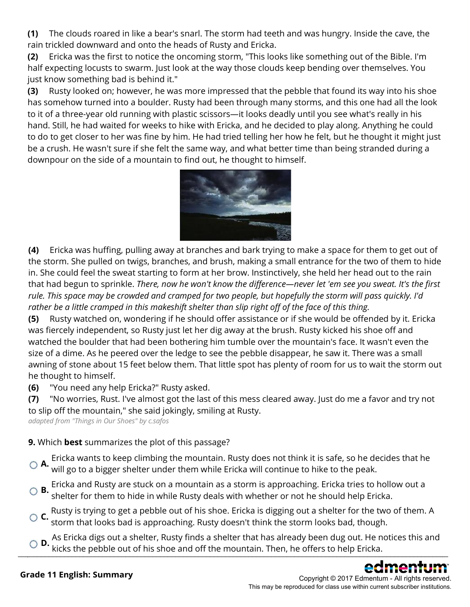**(1)** The clouds roared in like a bear's snarl. The storm had teeth and was hungry. Inside the cave, the rain trickled downward and onto the heads of Rusty and Ericka.

**(2)** Ericka was the first to notice the oncoming storm, "This looks like something out of the Bible. I'm half expecting locusts to swarm. Just look at the way those clouds keep bending over themselves. You just know something bad is behind it."

**(3)** Rusty looked on; however, he was more impressed that the pebble that found its way into his shoe has somehow turned into a boulder. Rusty had been through many storms, and this one had all the look to it of a three-year old running with plastic scissors—it looks deadly until you see what's really in his hand. Still, he had waited for weeks to hike with Ericka, and he decided to play along. Anything he could to do to get closer to her was fine by him. He had tried telling her how he felt, but he thought it might just be a crush. He wasn't sure if she felt the same way, and what better time than being stranded during a downpour on the side of a mountain to find out, he thought to himself.



**(4)** Ericka was huffing, pulling away at branches and bark trying to make a space for them to get out of the storm. She pulled on twigs, branches, and brush, making a small entrance for the two of them to hide in. She could feel the sweat starting to form at her brow. Instinctively, she held her head out to the rain that had begun to sprinkle. *There, now he won't know the difference—never let 'em see you sweat. It's the first rule. This space may be crowded and cramped for two people, but hopefully the storm will pass quickly. I'd rather be a little cramped in this makeshift shelter than slip right off of the face of this thing.*

**(5)** Rusty watched on, wondering if he should offer assistance or if she would be offended by it. Ericka was fiercely independent, so Rusty just let her dig away at the brush. Rusty kicked his shoe off and watched the boulder that had been bothering him tumble over the mountain's face. It wasn't even the size of a dime. As he peered over the ledge to see the pebble disappear, he saw it. There was a small awning of stone about 15 feet below them. That little spot has plenty of room for us to wait the storm out he thought to himself.

**(6)** "You need any help Ericka?" Rusty asked.

**(7)** "No worries, Rust. I've almost got the last of this mess cleared away. Just do me a favor and try not to slip off the mountain," she said jokingly, smiling at Rusty.

*adapted from "Things in Our Shoes" by c.safos*

### **9.** Which **best** summarizes the plot of this passage?

**A.** Ericka wants to keep climbing the mountain. Rusty does not think it is safe, so he decides that he will go to a bigger shelter under them while Ericka will continue to hike to the peak.

- **B.** Ericka and Rusty are stuck on a mountain as a storm is approaching. Ericka tries to hollow out a shelter for them to hide in while Rusty deals with whether or not he should help Ericka.
- **C.** Rusty is trying to get a pebble out of his shoe. Ericka is digging out a shelter for the two of them. A storm that looks bad is approaching. Rusty doesn't think the storm looks bad, though.
- **D.** As Ericka digs out a shelter, Rusty finds a shelter that has already been dug out. He notices this and  $\bullet$   $\bullet$   $\bullet$   $\bullet$  kicks the pebble out of his shoe and off the mountain. Then, he offers to help Ericka.

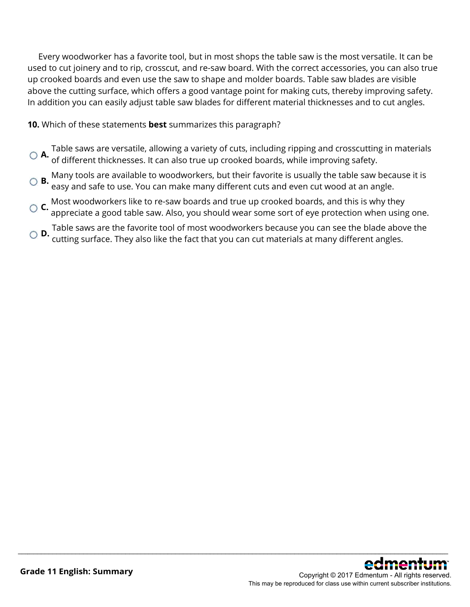Every woodworker has a favorite tool, but in most shops the table saw is the most versatile. It can be used to cut joinery and to rip, crosscut, and re-saw board. With the correct accessories, you can also true up crooked boards and even use the saw to shape and molder boards. Table saw blades are visible above the cutting surface, which offers a good vantage point for making cuts, thereby improving safety. In addition you can easily adjust table saw blades for different material thicknesses and to cut angles.

**10.** Which of these statements **best** summarizes this paragraph?

- **A.** Table saws are versatile, allowing a variety of cuts, including ripping and crosscutting in materials<br>• of different thicknesses. It can also true up crooked boards, while improving safety.
- **B.** Many tools are available to woodworkers, but their favorite is usually the table saw because it is easy and safe to use. You can make many different cuts and even cut wood at an angle.
- **C.** Most woodworkers like to re-saw boards and true up crooked boards, and this is why they appreciate a good table saw. Also, you should wear some sort of eye protection when using one.
- **D.** Table saws are the favorite tool of most woodworkers because you can see the blade above the **D.**<br>**D.** cutting surface. They also like the fact that you can cut materials at many different angles.

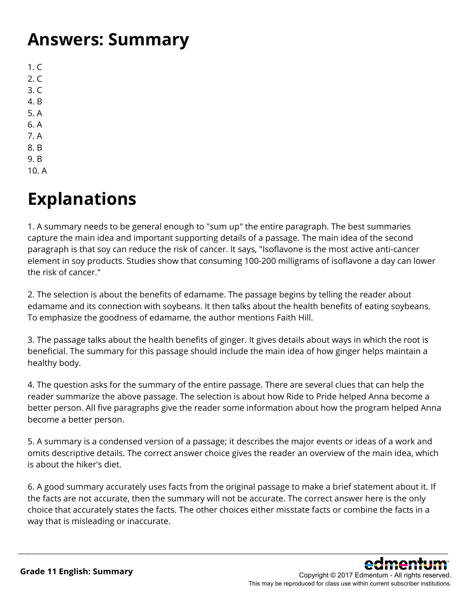### **Answers: Summary**

 $1. C$  $2. C$ 3. C 4. B 5. A 6. A 7. A 8. B 9. B

10. A

# **Explanations**

1. A summary needs to be general enough to "sum up" the entire paragraph. The best summaries capture the main idea and important supporting details of a passage. The main idea of the second paragraph is that soy can reduce the risk of cancer. It says, "Isoflavone is the most active anti-cancer element in soy products. Studies show that consuming 100-200 milligrams of isoflavone a day can lower the risk of cancer."

2. The selection is about the benefits of edamame. The passage begins by telling the reader about edamame and its connection with soybeans. It then talks about the health benefits of eating soybeans. To emphasize the goodness of edamame, the author mentions Faith Hill.

3. The passage talks about the health benefits of ginger. It gives details about ways in which the root is beneficial. The summary for this passage should include the main idea of how ginger helps maintain a healthy body.

4. The question asks for the summary of the entire passage. There are several clues that can help the reader summarize the above passage. The selection is about how Ride to Pride helped Anna become a better person. All five paragraphs give the reader some information about how the program helped Anna become a better person.

5. A summary is a condensed version of a passage; it describes the major events or ideas of a work and omits descriptive details. The correct answer choice gives the reader an overview of the main idea, which is about the hiker's diet.

6. A good summary accurately uses facts from the original passage to make a brief statement about it. If the facts are not accurate, then the summary will not be accurate. The correct answer here is the only choice that accurately states the facts. The other choices either misstate facts or combine the facts in a way that is misleading or inaccurate.

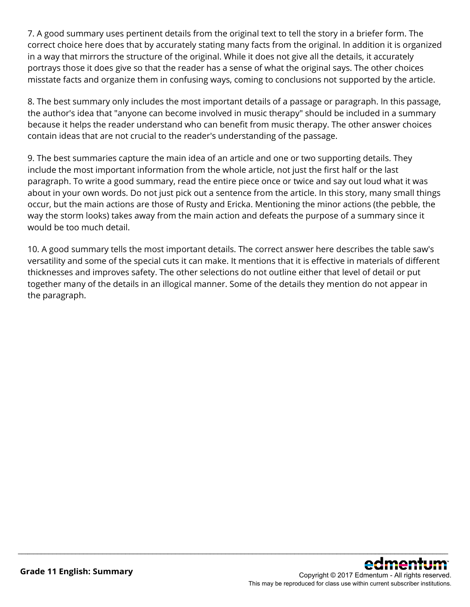7. A good summary uses pertinent details from the original text to tell the story in a briefer form. The correct choice here does that by accurately stating many facts from the original. In addition it is organized in a way that mirrors the structure of the original. While it does not give all the details, it accurately portrays those it does give so that the reader has a sense of what the original says. The other choices misstate facts and organize them in confusing ways, coming to conclusions not supported by the article.

8. The best summary only includes the most important details of a passage or paragraph. In this passage, the author's idea that "anyone can become involved in music therapy" should be included in a summary because it helps the reader understand who can benefit from music therapy. The other answer choices contain ideas that are not crucial to the reader's understanding of the passage.

9. The best summaries capture the main idea of an article and one or two supporting details. They include the most important information from the whole article, not just the first half or the last paragraph. To write a good summary, read the entire piece once or twice and say out loud what it was about in your own words. Do not just pick out a sentence from the article. In this story, many small things occur, but the main actions are those of Rusty and Ericka. Mentioning the minor actions (the pebble, the way the storm looks) takes away from the main action and defeats the purpose of a summary since it would be too much detail.

10. A good summary tells the most important details. The correct answer here describes the table saw's versatility and some of the special cuts it can make. It mentions that it is effective in materials of different thicknesses and improves safety. The other selections do not outline either that level of detail or put together many of the details in an illogical manner. Some of the details they mention do not appear in the paragraph.

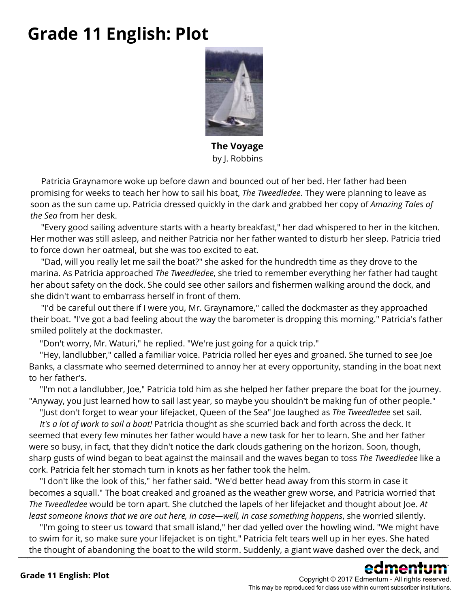### **Grade 11 English: Plot**



**The Voyage** by J. Robbins

 Patricia Graynamore woke up before dawn and bounced out of her bed. Her father had been promising for weeks to teach her how to sail his boat, *The Tweedledee*. They were planning to leave as soon as the sun came up. Patricia dressed quickly in the dark and grabbed her copy of *Amazing Tales of the Sea* from her desk.

 "Every good sailing adventure starts with a hearty breakfast," her dad whispered to her in the kitchen. Her mother was still asleep, and neither Patricia nor her father wanted to disturb her sleep. Patricia tried to force down her oatmeal, but she was too excited to eat.

 "Dad, will you really let me sail the boat?" she asked for the hundredth time as they drove to the marina. As Patricia approached *The Tweedledee*, she tried to remember everything her father had taught her about safety on the dock. She could see other sailors and fishermen walking around the dock, and she didn't want to embarrass herself in front of them.

 "I'd be careful out there if I were you, Mr. Graynamore," called the dockmaster as they approached their boat. "I've got a bad feeling about the way the barometer is dropping this morning." Patricia's father smiled politely at the dockmaster.

"Don't worry, Mr. Waturi," he replied. "We're just going for a quick trip."

 "Hey, landlubber," called a familiar voice. Patricia rolled her eyes and groaned. She turned to see Joe Banks, a classmate who seemed determined to annoy her at every opportunity, standing in the boat next to her father's.

 "I'm not a landlubber, Joe," Patricia told him as she helped her father prepare the boat for the journey. "Anyway, you just learned how to sail last year, so maybe you shouldn't be making fun of other people."

 "Just don't forget to wear your lifejacket, Queen of the Sea" Joe laughed as *The Tweedledee* set sail. *It's a lot of work to sail a boat!* Patricia thought as she scurried back and forth across the deck. It seemed that every few minutes her father would have a new task for her to learn. She and her father were so busy, in fact, that they didn't notice the dark clouds gathering on the horizon. Soon, though, sharp gusts of wind began to beat against the mainsail and the waves began to toss *The Tweedledee* like a cork. Patricia felt her stomach turn in knots as her father took the helm.

 "I don't like the look of this," her father said. "We'd better head away from this storm in case it becomes a squall." The boat creaked and groaned as the weather grew worse, and Patricia worried that *The Tweedledee* would be torn apart. She clutched the lapels of her lifejacket and thought about Joe. *At least someone knows that we are out here, in case—well, in case something happens*, she worried silently.

 "I'm going to steer us toward that small island," her dad yelled over the howling wind. "We might have to swim for it, so make sure your lifejacket is on tight." Patricia felt tears well up in her eyes. She hated the thought of abandoning the boat to the wild storm. Suddenly, a giant wave dashed over the deck, and

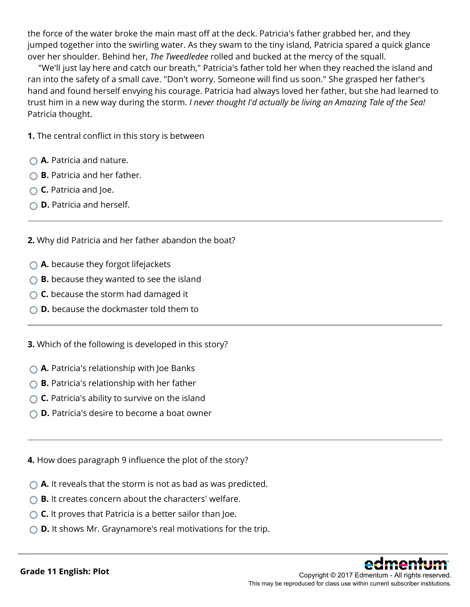the force of the water broke the main mast off at the deck. Patricia's father grabbed her, and they jumped together into the swirling water. As they swam to the tiny island, Patricia spared a quick glance over her shoulder. Behind her, *The Tweedledee* rolled and bucked at the mercy of the squall.

 "We'll just lay here and catch our breath," Patricia's father told her when they reached the island and ran into the safety of a small cave. "Don't worry. Someone will find us soon." She grasped her father's hand and found herself envying his courage. Patricia had always loved her father, but she had learned to trust him in a new way during the storm. *I never thought I'd actually be living an Amazing Tale of the Sea!* Patricia thought.

**1.** The central conflict in this story is between

- **A.** Patricia and nature.
- **B.** Patricia and her father.
- **C.** Patricia and Joe.
- **D.** Patricia and herself.

**2.** Why did Patricia and her father abandon the boat?

- **A.** because they forgot lifejackets
- **B.** because they wanted to see the island
- ◯ **C.** because the storm had damaged it
- **D.** because the dockmaster told them to

**3.** Which of the following is developed in this story?

- **A.** Patricia's relationship with Joe Banks
- **B.** Patricia's relationship with her father
- **C.** Patricia's ability to survive on the island
- **D.** Patricia's desire to become a boat owner

**4.** How does paragraph 9 influence the plot of the story?

- **A.** It reveals that the storm is not as bad as was predicted.
- **B.** It creates concern about the characters' welfare.
- **C.** It proves that Patricia is a better sailor than Joe.
- **D.** It shows Mr. Graynamore's real motivations for the trip.

\_\_\_\_\_\_\_\_\_\_\_\_\_\_\_\_\_\_\_\_\_\_\_\_\_\_\_\_\_\_\_\_\_\_\_\_\_\_\_\_\_\_\_\_\_\_\_\_\_\_\_\_\_\_\_\_\_\_\_\_\_\_\_\_\_\_\_\_\_\_\_\_\_\_\_\_\_\_\_\_\_\_\_\_\_\_\_\_\_\_\_\_\_\_\_\_\_\_\_\_\_\_\_\_\_\_\_\_\_\_\_\_



This may be reproduced for class use within current subscriber institutions.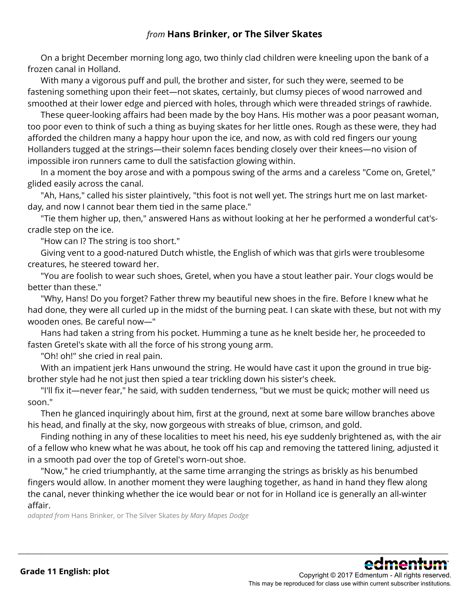### *from* **Hans Brinker, or The Silver Skates**

 On a bright December morning long ago, two thinly clad children were kneeling upon the bank of a frozen canal in Holland.

 With many a vigorous puff and pull, the brother and sister, for such they were, seemed to be fastening something upon their feet—not skates, certainly, but clumsy pieces of wood narrowed and smoothed at their lower edge and pierced with holes, through which were threaded strings of rawhide.

 These queer-looking affairs had been made by the boy Hans. His mother was a poor peasant woman, too poor even to think of such a thing as buying skates for her little ones. Rough as these were, they had afforded the children many a happy hour upon the ice, and now, as with cold red fingers our young Hollanders tugged at the strings—their solemn faces bending closely over their knees—no vision of impossible iron runners came to dull the satisfaction glowing within.

 In a moment the boy arose and with a pompous swing of the arms and a careless "Come on, Gretel," glided easily across the canal.

 "Ah, Hans," called his sister plaintively, "this foot is not well yet. The strings hurt me on last marketday, and now I cannot bear them tied in the same place."

 "Tie them higher up, then," answered Hans as without looking at her he performed a wonderful cat'scradle step on the ice.

"How can I? The string is too short."

 Giving vent to a good-natured Dutch whistle, the English of which was that girls were troublesome creatures, he steered toward her.

"You are foolish to wear such shoes, Gretel, when you have a stout leather pair. Your clogs would be better than these."

 "Why, Hans! Do you forget? Father threw my beautiful new shoes in the fire. Before I knew what he had done, they were all curled up in the midst of the burning peat. I can skate with these, but not with my wooden ones. Be careful now—"

 Hans had taken a string from his pocket. Humming a tune as he knelt beside her, he proceeded to fasten Gretel's skate with all the force of his strong young arm.

"Oh! oh!" she cried in real pain.

 With an impatient jerk Hans unwound the string. He would have cast it upon the ground in true bigbrother style had he not just then spied a tear trickling down his sister's cheek.

"I'll fix it—never fear," he said, with sudden tenderness, "but we must be quick; mother will need us soon."

 Then he glanced inquiringly about him, first at the ground, next at some bare willow branches above his head, and finally at the sky, now gorgeous with streaks of blue, crimson, and gold.

 Finding nothing in any of these localities to meet his need, his eye suddenly brightened as, with the air of a fellow who knew what he was about, he took off his cap and removing the tattered lining, adjusted it in a smooth pad over the top of Gretel's worn-out shoe.

 "Now," he cried triumphantly, at the same time arranging the strings as briskly as his benumbed fingers would allow. In another moment they were laughing together, as hand in hand they flew along the canal, never thinking whether the ice would bear or not for in Holland ice is generally an all-winter affair.

\_\_\_\_\_\_\_\_\_\_\_\_\_\_\_\_\_\_\_\_\_\_\_\_\_\_\_\_\_\_\_\_\_\_\_\_\_\_\_\_\_\_\_\_\_\_\_\_\_\_\_\_\_\_\_\_\_\_\_\_\_\_\_\_\_\_\_\_\_\_\_\_\_\_\_\_\_\_\_\_\_\_\_\_\_\_\_\_\_\_\_\_\_\_\_\_\_\_\_\_\_\_\_\_\_\_\_\_\_\_\_\_

*adapted from* Hans Brinker, or The Silver Skates *by Mary Mapes Dodge*

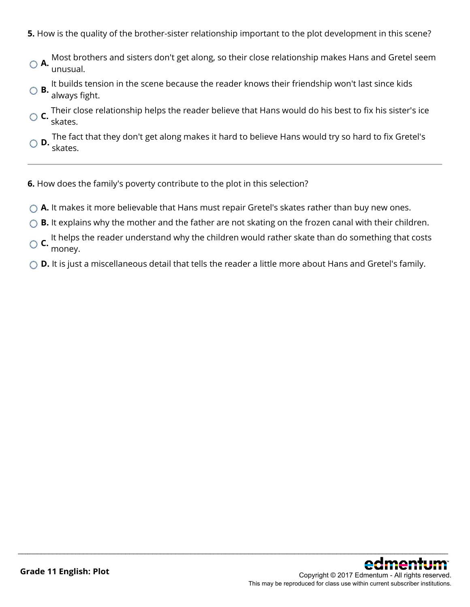- **5.** How is the quality of the brother-sister relationship important to the plot development in this scene?
- **A.** Most brothers and sisters don't get along, so their close relationship makes Hans and Gretel seem unusual.
- **B.** It builds tension in the scene because the reader knows their friendship won't last since kids always fight.
- **C.** Their close relationship helps the reader believe that Hans would do his best to fix his sister's ice skates.

**D.** The fact that they don't get along makes it hard to believe Hans would try so hard to fix Gretel's skates.

- **6.** How does the family's poverty contribute to the plot in this selection?
- **A.** It makes it more believable that Hans must repair Gretel's skates rather than buy new ones.
- ◯ **B.** It explains why the mother and the father are not skating on the frozen canal with their children.
- **C.** It helps the reader understand why the children would rather skate than do something that costs money.
- ◯ **D.** It is just a miscellaneous detail that tells the reader a little more about Hans and Gretel's family.

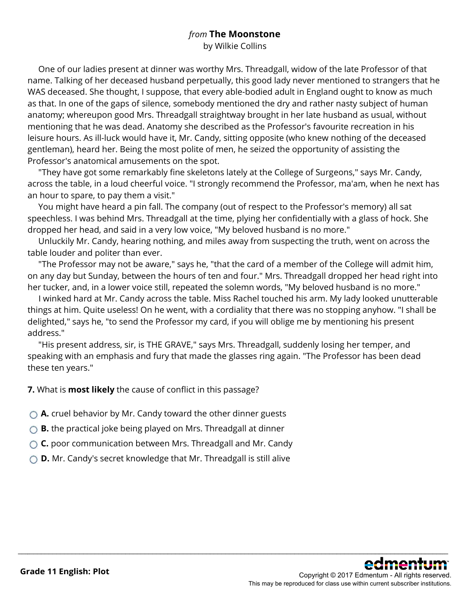### *from* **The Moonstone**

by Wilkie Collins

 One of our ladies present at dinner was worthy Mrs. Threadgall, widow of the late Professor of that name. Talking of her deceased husband perpetually, this good lady never mentioned to strangers that he WAS deceased. She thought, I suppose, that every able-bodied adult in England ought to know as much as that. In one of the gaps of silence, somebody mentioned the dry and rather nasty subject of human anatomy; whereupon good Mrs. Threadgall straightway brought in her late husband as usual, without mentioning that he was dead. Anatomy she described as the Professor's favourite recreation in his leisure hours. As ill-luck would have it, Mr. Candy, sitting opposite (who knew nothing of the deceased gentleman), heard her. Being the most polite of men, he seized the opportunity of assisting the Professor's anatomical amusements on the spot.

 "They have got some remarkably fine skeletons lately at the College of Surgeons," says Mr. Candy, across the table, in a loud cheerful voice. "I strongly recommend the Professor, ma'am, when he next has an hour to spare, to pay them a visit."

 You might have heard a pin fall. The company (out of respect to the Professor's memory) all sat speechless. I was behind Mrs. Threadgall at the time, plying her confidentially with a glass of hock. She dropped her head, and said in a very low voice, "My beloved husband is no more."

 Unluckily Mr. Candy, hearing nothing, and miles away from suspecting the truth, went on across the table louder and politer than ever.

 "The Professor may not be aware," says he, "that the card of a member of the College will admit him, on any day but Sunday, between the hours of ten and four." Mrs. Threadgall dropped her head right into her tucker, and, in a lower voice still, repeated the solemn words, "My beloved husband is no more."

 I winked hard at Mr. Candy across the table. Miss Rachel touched his arm. My lady looked unutterable things at him. Quite useless! On he went, with a cordiality that there was no stopping anyhow. "I shall be delighted," says he, "to send the Professor my card, if you will oblige me by mentioning his present address."

\_\_\_\_\_\_\_\_\_\_\_\_\_\_\_\_\_\_\_\_\_\_\_\_\_\_\_\_\_\_\_\_\_\_\_\_\_\_\_\_\_\_\_\_\_\_\_\_\_\_\_\_\_\_\_\_\_\_\_\_\_\_\_\_\_\_\_\_\_\_\_\_\_\_\_\_\_\_\_\_\_\_\_\_\_\_\_\_\_\_\_\_\_\_\_\_\_\_\_\_\_\_\_\_\_\_\_\_\_\_\_\_

 "His present address, sir, is THE GRAVE," says Mrs. Threadgall, suddenly losing her temper, and speaking with an emphasis and fury that made the glasses ring again. "The Professor has been dead these ten years."

**7.** What is **most likely** the cause of conflict in this passage?

- **A.** cruel behavior by Mr. Candy toward the other dinner guests
- **B.** the practical joke being played on Mrs. Threadgall at dinner
- **C.** poor communication between Mrs. Threadgall and Mr. Candy
- **D.** Mr. Candy's secret knowledge that Mr. Threadgall is still alive

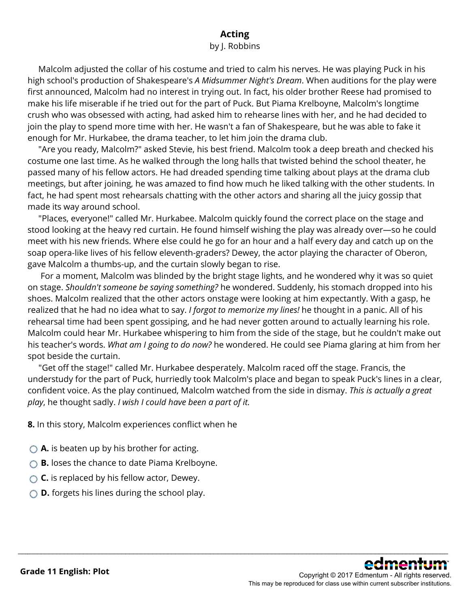### **Acting**

#### by J. Robbins

 Malcolm adjusted the collar of his costume and tried to calm his nerves. He was playing Puck in his high school's production of Shakespeare's *A Midsummer Night's Dream*. When auditions for the play were first announced, Malcolm had no interest in trying out. In fact, his older brother Reese had promised to make his life miserable if he tried out for the part of Puck. But Piama Krelboyne, Malcolm's longtime crush who was obsessed with acting, had asked him to rehearse lines with her, and he had decided to join the play to spend more time with her. He wasn't a fan of Shakespeare, but he was able to fake it enough for Mr. Hurkabee, the drama teacher, to let him join the drama club.

 "Are you ready, Malcolm?" asked Stevie, his best friend. Malcolm took a deep breath and checked his costume one last time. As he walked through the long halls that twisted behind the school theater, he passed many of his fellow actors. He had dreaded spending time talking about plays at the drama club meetings, but after joining, he was amazed to find how much he liked talking with the other students. In fact, he had spent most rehearsals chatting with the other actors and sharing all the juicy gossip that made its way around school.

 "Places, everyone!" called Mr. Hurkabee. Malcolm quickly found the correct place on the stage and stood looking at the heavy red curtain. He found himself wishing the play was already over—so he could meet with his new friends. Where else could he go for an hour and a half every day and catch up on the soap opera-like lives of his fellow eleventh-graders? Dewey, the actor playing the character of Oberon, gave Malcolm a thumbs-up, and the curtain slowly began to rise.

 For a moment, Malcolm was blinded by the bright stage lights, and he wondered why it was so quiet on stage. *Shouldn't someone be saying something?* he wondered. Suddenly, his stomach dropped into his shoes. Malcolm realized that the other actors onstage were looking at him expectantly. With a gasp, he realized that he had no idea what to say. *I forgot to memorize my lines!* he thought in a panic. All of his rehearsal time had been spent gossiping, and he had never gotten around to actually learning his role. Malcolm could hear Mr. Hurkabee whispering to him from the side of the stage, but he couldn't make out his teacher's words. *What am I going to do now?* he wondered. He could see Piama glaring at him from her spot beside the curtain.

 "Get off the stage!" called Mr. Hurkabee desperately. Malcolm raced off the stage. Francis, the understudy for the part of Puck, hurriedly took Malcolm's place and began to speak Puck's lines in a clear, confident voice. As the play continued, Malcolm watched from the side in dismay. *This is actually a great play*, he thought sadly. *I wish I could have been a part of it.*

\_\_\_\_\_\_\_\_\_\_\_\_\_\_\_\_\_\_\_\_\_\_\_\_\_\_\_\_\_\_\_\_\_\_\_\_\_\_\_\_\_\_\_\_\_\_\_\_\_\_\_\_\_\_\_\_\_\_\_\_\_\_\_\_\_\_\_\_\_\_\_\_\_\_\_\_\_\_\_\_\_\_\_\_\_\_\_\_\_\_\_\_\_\_\_\_\_\_\_\_\_\_\_\_\_\_\_\_\_\_\_\_

**8.** In this story, Malcolm experiences conflict when he

- **A.** is beaten up by his brother for acting.
- **B.** loses the chance to date Piama Krelboyne.
- ◯ **C.** is replaced by his fellow actor, Dewey.
- **D.** forgets his lines during the school play.

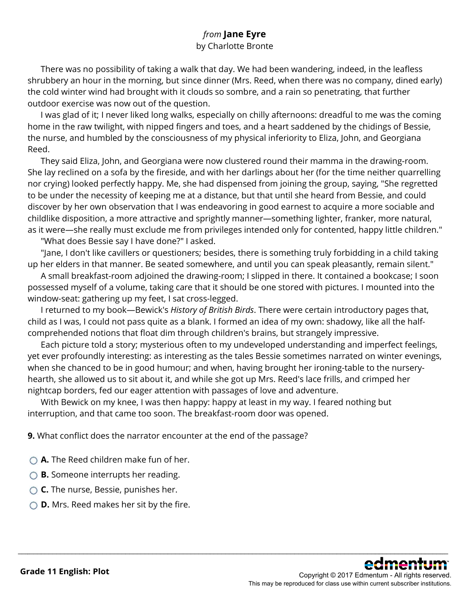### *from* **Jane Eyre**

#### by Charlotte Bronte

 There was no possibility of taking a walk that day. We had been wandering, indeed, in the leafless shrubbery an hour in the morning, but since dinner (Mrs. Reed, when there was no company, dined early) the cold winter wind had brought with it clouds so sombre, and a rain so penetrating, that further outdoor exercise was now out of the question.

 I was glad of it; I never liked long walks, especially on chilly afternoons: dreadful to me was the coming home in the raw twilight, with nipped fingers and toes, and a heart saddened by the chidings of Bessie, the nurse, and humbled by the consciousness of my physical inferiority to Eliza, John, and Georgiana Reed.

 They said Eliza, John, and Georgiana were now clustered round their mamma in the drawing-room. She lay reclined on a sofa by the fireside, and with her darlings about her (for the time neither quarrelling nor crying) looked perfectly happy. Me, she had dispensed from joining the group, saying, "She regretted to be under the necessity of keeping me at a distance, but that until she heard from Bessie, and could discover by her own observation that I was endeavoring in good earnest to acquire a more sociable and childlike disposition, a more attractive and sprightly manner—something lighter, franker, more natural, as it were—she really must exclude me from privileges intended only for contented, happy little children."

"What does Bessie say I have done?" I asked.

 "Jane, I don't like cavillers or questioners; besides, there is something truly forbidding in a child taking up her elders in that manner. Be seated somewhere, and until you can speak pleasantly, remain silent."

A small breakfast-room adjoined the drawing-room; I slipped in there. It contained a bookcase; I soon possessed myself of a volume, taking care that it should be one stored with pictures. I mounted into the window-seat: gathering up my feet, I sat cross-legged.

 I returned to my book—Bewick's *History of British Birds*. There were certain introductory pages that, child as I was, I could not pass quite as a blank. I formed an idea of my own: shadowy, like all the halfcomprehended notions that float dim through children's brains, but strangely impressive.

 Each picture told a story; mysterious often to my undeveloped understanding and imperfect feelings, yet ever profoundly interesting: as interesting as the tales Bessie sometimes narrated on winter evenings, when she chanced to be in good humour; and when, having brought her ironing-table to the nurseryhearth, she allowed us to sit about it, and while she got up Mrs. Reed's lace frills, and crimped her nightcap borders, fed our eager attention with passages of love and adventure.

\_\_\_\_\_\_\_\_\_\_\_\_\_\_\_\_\_\_\_\_\_\_\_\_\_\_\_\_\_\_\_\_\_\_\_\_\_\_\_\_\_\_\_\_\_\_\_\_\_\_\_\_\_\_\_\_\_\_\_\_\_\_\_\_\_\_\_\_\_\_\_\_\_\_\_\_\_\_\_\_\_\_\_\_\_\_\_\_\_\_\_\_\_\_\_\_\_\_\_\_\_\_\_\_\_\_\_\_\_\_\_\_

 With Bewick on my knee, I was then happy: happy at least in my way. I feared nothing but interruption, and that came too soon. The breakfast-room door was opened.

**9.** What conflict does the narrator encounter at the end of the passage?

- **A.** The Reed children make fun of her.
- **B.** Someone interrupts her reading.
- **C.** The nurse, Bessie, punishes her.
- **D.** Mrs. Reed makes her sit by the fire.

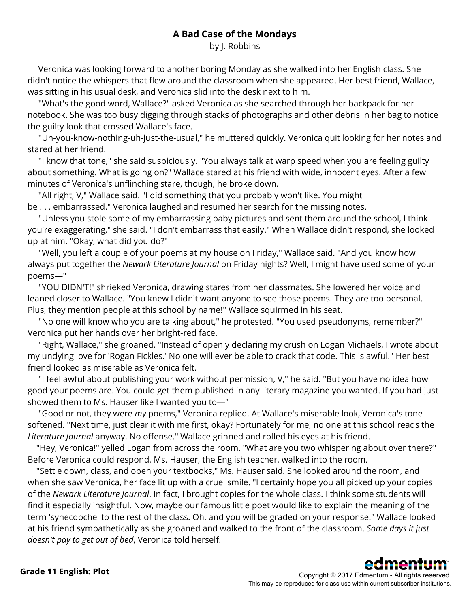### **A Bad Case of the Mondays**

by J. Robbins

 Veronica was looking forward to another boring Monday as she walked into her English class. She didn't notice the whispers that flew around the classroom when she appeared. Her best friend, Wallace, was sitting in his usual desk, and Veronica slid into the desk next to him.

 "What's the good word, Wallace?" asked Veronica as she searched through her backpack for her notebook. She was too busy digging through stacks of photographs and other debris in her bag to notice the guilty look that crossed Wallace's face.

 "Uh-you-know-nothing-uh-just-the-usual," he muttered quickly. Veronica quit looking for her notes and stared at her friend.

 "I know that tone," she said suspiciously. "You always talk at warp speed when you are feeling guilty about something. What is going on?" Wallace stared at his friend with wide, innocent eyes. After a few minutes of Veronica's unflinching stare, though, he broke down.

 "All right, V," Wallace said. "I did something that you probably won't like. You might be . . . embarrassed." Veronica laughed and resumed her search for the missing notes.

 "Unless you stole some of my embarrassing baby pictures and sent them around the school, I think you're exaggerating," she said. "I don't embarrass that easily." When Wallace didn't respond, she looked up at him. "Okay, what did you do?"

 "Well, you left a couple of your poems at my house on Friday," Wallace said. "And you know how I always put together the *Newark Literature Journal* on Friday nights? Well, I might have used some of your poems—"

 "YOU DIDN'T!" shrieked Veronica, drawing stares from her classmates. She lowered her voice and leaned closer to Wallace. "You knew I didn't want anyone to see those poems. They are too personal. Plus, they mention people at this school by name!" Wallace squirmed in his seat.

 "No one will know who you are talking about," he protested. "You used pseudonyms, remember?" Veronica put her hands over her bright-red face.

 "Right, Wallace," she groaned. "Instead of openly declaring my crush on Logan Michaels, I wrote about my undying love for 'Rogan Fickles.' No one will ever be able to crack that code. This is awful." Her best friend looked as miserable as Veronica felt.

 "I feel awful about publishing your work without permission, V," he said. "But you have no idea how good your poems are. You could get them published in any literary magazine you wanted. If you had just showed them to Ms. Hauser like I wanted you to—"

 "Good or not, they were *my* poems," Veronica replied. At Wallace's miserable look, Veronica's tone softened. "Next time, just clear it with me first, okay? Fortunately for me, no one at this school reads the *Literature Journal* anyway. No offense." Wallace grinned and rolled his eyes at his friend.

 "Hey, Veronica!" yelled Logan from across the room. "What are you two whispering about over there?" Before Veronica could respond, Ms. Hauser, the English teacher, walked into the room.

 "Settle down, class, and open your textbooks," Ms. Hauser said. She looked around the room, and when she saw Veronica, her face lit up with a cruel smile. "I certainly hope you all picked up your copies of the *Newark Literature Journal*. In fact, I brought copies for the whole class. I think some students will find it especially insightful. Now, maybe our famous little poet would like to explain the meaning of the term 'synecdoche' to the rest of the class. Oh, and you will be graded on your response." Wallace looked at his friend sympathetically as she groaned and walked to the front of the classroom. *Some days it just doesn't pay to get out of bed*, Veronica told herself.

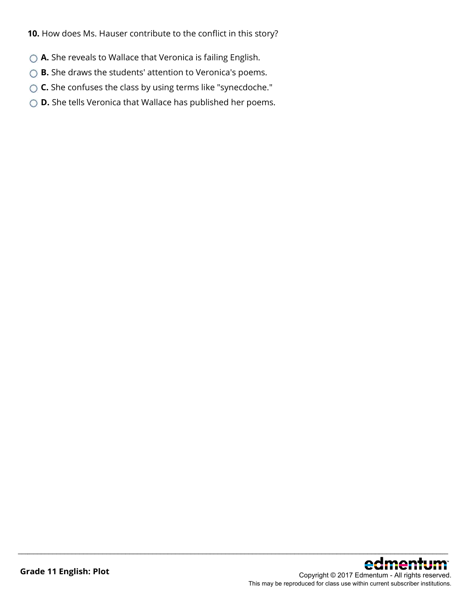**10.** How does Ms. Hauser contribute to the conflict in this story?

- ◯ **A.** She reveals to Wallace that Veronica is failing English.
- ◯ **B.** She draws the students' attention to Veronica's poems.
- **C.** She confuses the class by using terms like "synecdoche."
- **D.** She tells Veronica that Wallace has published her poems.

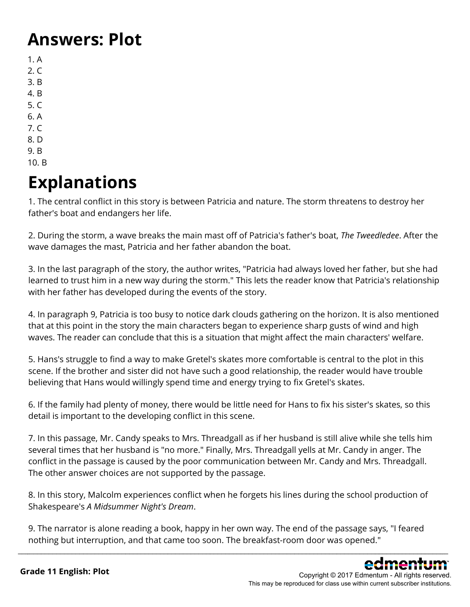### **Answers: Plot**

- 1. A  $2. C$ 3. B 4. B
- 5. C
- 6. A
- 7. C
- 8. D
- 9. B 10. B

# **Explanations**

1. The central conflict in this story is between Patricia and nature. The storm threatens to destroy her father's boat and endangers her life.

2. During the storm, a wave breaks the main mast off of Patricia's father's boat, *The Tweedledee*. After the wave damages the mast, Patricia and her father abandon the boat.

3. In the last paragraph of the story, the author writes, "Patricia had always loved her father, but she had learned to trust him in a new way during the storm." This lets the reader know that Patricia's relationship with her father has developed during the events of the story.

4. In paragraph 9, Patricia is too busy to notice dark clouds gathering on the horizon. It is also mentioned that at this point in the story the main characters began to experience sharp gusts of wind and high waves. The reader can conclude that this is a situation that might affect the main characters' welfare.

5. Hans's struggle to find a way to make Gretel's skates more comfortable is central to the plot in this scene. If the brother and sister did not have such a good relationship, the reader would have trouble believing that Hans would willingly spend time and energy trying to fix Gretel's skates.

6. If the family had plenty of money, there would be little need for Hans to fix his sister's skates, so this detail is important to the developing conflict in this scene.

7. In this passage, Mr. Candy speaks to Mrs. Threadgall as if her husband is still alive while she tells him several times that her husband is "no more." Finally, Mrs. Threadgall yells at Mr. Candy in anger. The conflict in the passage is caused by the poor communication between Mr. Candy and Mrs. Threadgall. The other answer choices are not supported by the passage.

8. In this story, Malcolm experiences conflict when he forgets his lines during the school production of Shakespeare's *A Midsummer Night's Dream*.

9. The narrator is alone reading a book, happy in her own way. The end of the passage says, "I feared nothing but interruption, and that came too soon. The breakfast-room door was opened."

\_\_\_\_\_\_\_\_\_\_\_\_\_\_\_\_\_\_\_\_\_\_\_\_\_\_\_\_\_\_\_\_\_\_\_\_\_\_\_\_\_\_\_\_\_\_\_\_\_\_\_\_\_\_\_\_\_\_\_\_\_\_\_\_\_\_\_\_\_\_\_\_\_\_\_\_\_\_\_\_\_\_\_\_\_\_\_\_\_\_\_\_\_\_\_\_\_\_\_\_\_\_\_\_\_\_\_\_\_\_\_\_

Copyright © 2017 Edmentum - All rights reserved. This may be reproduced for class use within current subscriber institutions.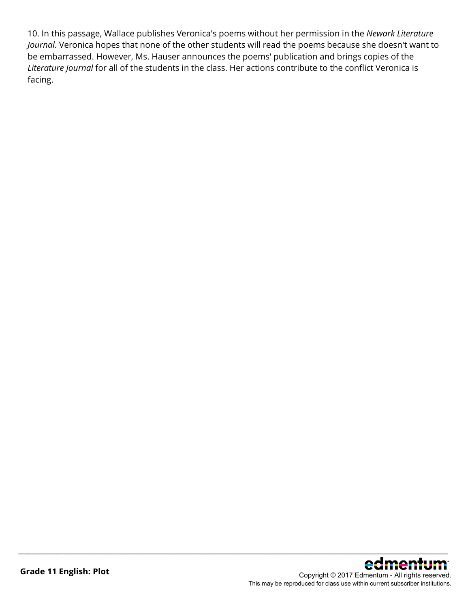10. In this passage, Wallace publishes Veronica's poems without her permission in the *Newark Literature Journal*. Veronica hopes that none of the other students will read the poems because she doesn't want to be embarrassed. However, Ms. Hauser announces the poems' publication and brings copies of the *Literature Journal* for all of the students in the class. Her actions contribute to the conflict Veronica is facing.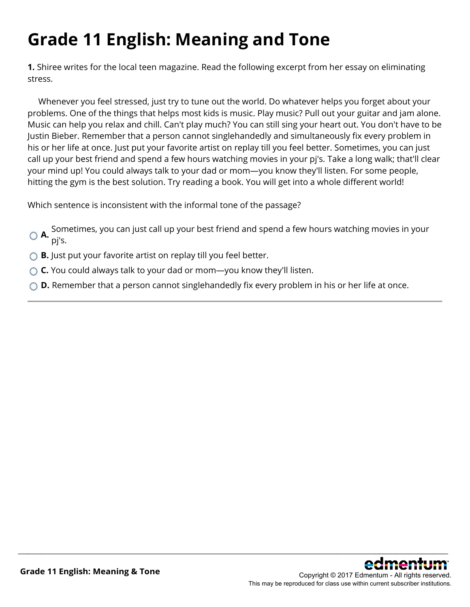# **Grade 11 English: Meaning and Tone**

**1.** Shiree writes for the local teen magazine. Read the following excerpt from her essay on eliminating stress.

 Whenever you feel stressed, just try to tune out the world. Do whatever helps you forget about your problems. One of the things that helps most kids is music. Play music? Pull out your guitar and jam alone. Music can help you relax and chill. Can't play much? You can still sing your heart out. You don't have to be Justin Bieber. Remember that a person cannot singlehandedly and simultaneously fix every problem in his or her life at once. Just put your favorite artist on replay till you feel better. Sometimes, you can just call up your best friend and spend a few hours watching movies in your pj's. Take a long walk; that'll clear your mind up! You could always talk to your dad or mom—you know they'll listen. For some people, hitting the gym is the best solution. Try reading a book. You will get into a whole different world!

Which sentence is inconsistent with the informal tone of the passage?

**A.** Sometimes, you can just call up your best friend and spend a few hours watching movies in your pj's.

- **B.** Just put your favorite artist on replay till you feel better.
- **C.** You could always talk to your dad or mom—you know they'll listen.
- **D.** Remember that a person cannot singlehandedly fix every problem in his or her life at once.

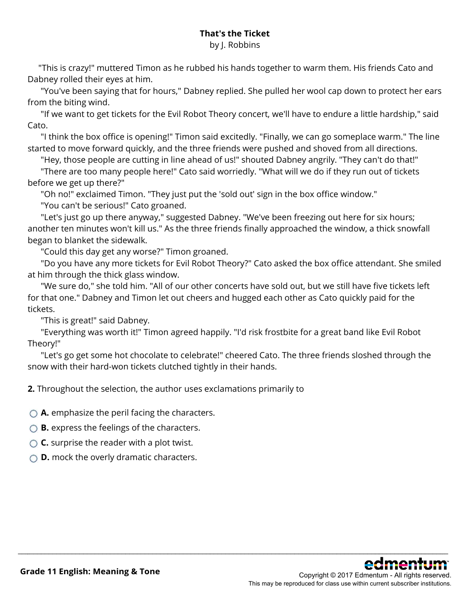### **That's the Ticket**

#### by J. Robbins

 "This is crazy!" muttered Timon as he rubbed his hands together to warm them. His friends Cato and Dabney rolled their eyes at him.

 "You've been saying that for hours," Dabney replied. She pulled her wool cap down to protect her ears from the biting wind.

 "If we want to get tickets for the Evil Robot Theory concert, we'll have to endure a little hardship," said Cato.

 "I think the box office is opening!" Timon said excitedly. "Finally, we can go someplace warm." The line started to move forward quickly, and the three friends were pushed and shoved from all directions.

"Hey, those people are cutting in line ahead of us!" shouted Dabney angrily. "They can't do that!"

 "There are too many people here!" Cato said worriedly. "What will we do if they run out of tickets before we get up there?"

"Oh no!" exclaimed Timon. "They just put the 'sold out' sign in the box office window."

"You can't be serious!" Cato groaned.

"Let's just go up there anyway," suggested Dabney. "We've been freezing out here for six hours; another ten minutes won't kill us." As the three friends finally approached the window, a thick snowfall began to blanket the sidewalk.

"Could this day get any worse?" Timon groaned.

 "Do you have any more tickets for Evil Robot Theory?" Cato asked the box office attendant. She smiled at him through the thick glass window.

"We sure do," she told him. "All of our other concerts have sold out, but we still have five tickets left for that one." Dabney and Timon let out cheers and hugged each other as Cato quickly paid for the tickets.

"This is great!" said Dabney.

 "Everything was worth it!" Timon agreed happily. "I'd risk frostbite for a great band like Evil Robot Theory!"

"Let's go get some hot chocolate to celebrate!" cheered Cato. The three friends sloshed through the snow with their hard-won tickets clutched tightly in their hands.

\_\_\_\_\_\_\_\_\_\_\_\_\_\_\_\_\_\_\_\_\_\_\_\_\_\_\_\_\_\_\_\_\_\_\_\_\_\_\_\_\_\_\_\_\_\_\_\_\_\_\_\_\_\_\_\_\_\_\_\_\_\_\_\_\_\_\_\_\_\_\_\_\_\_\_\_\_\_\_\_\_\_\_\_\_\_\_\_\_\_\_\_\_\_\_\_\_\_\_\_\_\_\_\_\_\_\_\_\_\_\_\_

**2.** Throughout the selection, the author uses exclamations primarily to

**A.** emphasize the peril facing the characters.

**B.** express the feelings of the characters.

**C.** surprise the reader with a plot twist.

**D.** mock the overly dramatic characters.

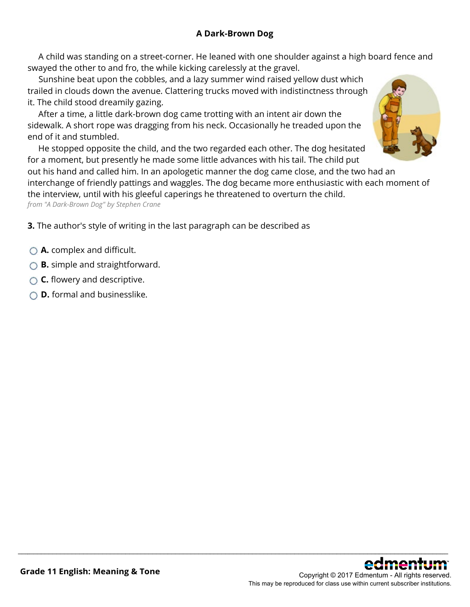A child was standing on a street-corner. He leaned with one shoulder against a high board fence and swayed the other to and fro, the while kicking carelessly at the gravel.

 Sunshine beat upon the cobbles, and a lazy summer wind raised yellow dust which trailed in clouds down the avenue. Clattering trucks moved with indistinctness through it. The child stood dreamily gazing.

 After a time, a little dark-brown dog came trotting with an intent air down the sidewalk. A short rope was dragging from his neck. Occasionally he treaded upon the end of it and stumbled.

 He stopped opposite the child, and the two regarded each other. The dog hesitated for a moment, but presently he made some little advances with his tail. The child put

out his hand and called him. In an apologetic manner the dog came close, and the two had an interchange of friendly pattings and waggles. The dog became more enthusiastic with each moment of the interview, until with his gleeful caperings he threatened to overturn the child.

\_\_\_\_\_\_\_\_\_\_\_\_\_\_\_\_\_\_\_\_\_\_\_\_\_\_\_\_\_\_\_\_\_\_\_\_\_\_\_\_\_\_\_\_\_\_\_\_\_\_\_\_\_\_\_\_\_\_\_\_\_\_\_\_\_\_\_\_\_\_\_\_\_\_\_\_\_\_\_\_\_\_\_\_\_\_\_\_\_\_\_\_\_\_\_\_\_\_\_\_\_\_\_\_\_\_\_\_\_\_\_\_

*from "A Dark-Brown Dog" by Stephen Crane*

**3.** The author's style of writing in the last paragraph can be described as

- **A.** complex and difficult.
- **B.** simple and straightforward.
- **C.** flowery and descriptive.
- **D.** formal and businesslike.



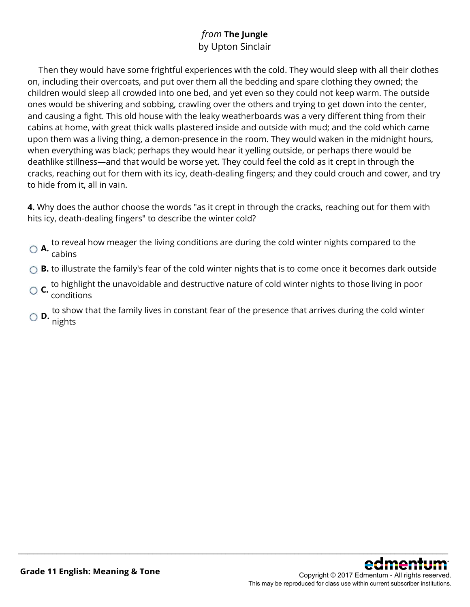### *from* **The Jungle** by Upton Sinclair

 Then they would have some frightful experiences with the cold. They would sleep with all their clothes on, including their overcoats, and put over them all the bedding and spare clothing they owned; the children would sleep all crowded into one bed, and yet even so they could not keep warm. The outside ones would be shivering and sobbing, crawling over the others and trying to get down into the center, and causing a fight. This old house with the leaky weatherboards was a very different thing from their cabins at home, with great thick walls plastered inside and outside with mud; and the cold which came upon them was a living thing, a demon-presence in the room. They would waken in the midnight hours, when everything was black; perhaps they would hear it yelling outside, or perhaps there would be deathlike stillness—and that would be worse yet. They could feel the cold as it crept in through the cracks, reaching out for them with its icy, death-dealing fingers; and they could crouch and cower, and try to hide from it, all in vain.

**4.** Why does the author choose the words "as it crept in through the cracks, reaching out for them with hits icy, death-dealing fingers" to describe the winter cold?

- **A.** to reveal how meager the living conditions are during the cold winter nights compared to the cabins
- ◯ **B.** to illustrate the family's fear of the cold winter nights that is to come once it becomes dark outside
- **C.** to highlight the unavoidable and destructive nature of cold winter nights to those living in poor conditions
- **D.** to show that the family lives in constant fear of the presence that arrives during the cold winter **D.** nights

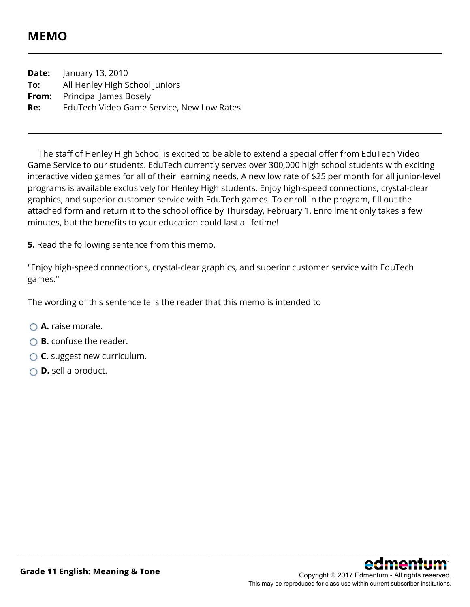### **MEMO**

**Date:** January 13, 2010 **To:** All Henley High School juniors **From:** Principal James Bosely **Re:** EduTech Video Game Service, New Low Rates

 The staff of Henley High School is excited to be able to extend a special offer from EduTech Video Game Service to our students. EduTech currently serves over 300,000 high school students with exciting interactive video games for all of their learning needs. A new low rate of \$25 per month for all junior-level programs is available exclusively for Henley High students. Enjoy high-speed connections, crystal-clear graphics, and superior customer service with EduTech games. To enroll in the program, fill out the attached form and return it to the school office by Thursday, February 1. Enrollment only takes a few minutes, but the benefits to your education could last a lifetime!

**5.** Read the following sentence from this memo.

"Enjoy high-speed connections, crystal-clear graphics, and superior customer service with EduTech games."

\_\_\_\_\_\_\_\_\_\_\_\_\_\_\_\_\_\_\_\_\_\_\_\_\_\_\_\_\_\_\_\_\_\_\_\_\_\_\_\_\_\_\_\_\_\_\_\_\_\_\_\_\_\_\_\_\_\_\_\_\_\_\_\_\_\_\_\_\_\_\_\_\_\_\_\_\_\_\_\_\_\_\_\_\_\_\_\_\_\_\_\_\_\_\_\_\_\_\_\_\_\_\_\_\_\_\_\_\_\_\_\_

The wording of this sentence tells the reader that this memo is intended to

- **A.** raise morale.
- **B.** confuse the reader.
- **C.** suggest new curriculum.
- **D.** sell a product.

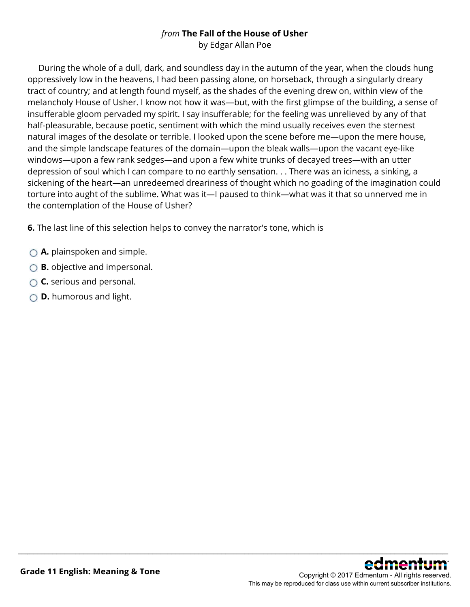### *from* **The Fall of the House of Usher**

by Edgar Allan Poe

 During the whole of a dull, dark, and soundless day in the autumn of the year, when the clouds hung oppressively low in the heavens, I had been passing alone, on horseback, through a singularly dreary tract of country; and at length found myself, as the shades of the evening drew on, within view of the melancholy House of Usher. I know not how it was—but, with the first glimpse of the building, a sense of insufferable gloom pervaded my spirit. I say insufferable; for the feeling was unrelieved by any of that half-pleasurable, because poetic, sentiment with which the mind usually receives even the sternest natural images of the desolate or terrible. I looked upon the scene before me—upon the mere house, and the simple landscape features of the domain—upon the bleak walls—upon the vacant eye-like windows—upon a few rank sedges—and upon a few white trunks of decayed trees—with an utter depression of soul which I can compare to no earthly sensation. . . There was an iciness, a sinking, a sickening of the heart—an unredeemed dreariness of thought which no goading of the imagination could torture into aught of the sublime. What was it—I paused to think—what was it that so unnerved me in the contemplation of the House of Usher?

\_\_\_\_\_\_\_\_\_\_\_\_\_\_\_\_\_\_\_\_\_\_\_\_\_\_\_\_\_\_\_\_\_\_\_\_\_\_\_\_\_\_\_\_\_\_\_\_\_\_\_\_\_\_\_\_\_\_\_\_\_\_\_\_\_\_\_\_\_\_\_\_\_\_\_\_\_\_\_\_\_\_\_\_\_\_\_\_\_\_\_\_\_\_\_\_\_\_\_\_\_\_\_\_\_\_\_\_\_\_\_\_

**6.** The last line of this selection helps to convey the narrator's tone, which is

- **A.** plainspoken and simple.
- **B.** objective and impersonal.
- **C.** serious and personal.
- **D.** humorous and light.

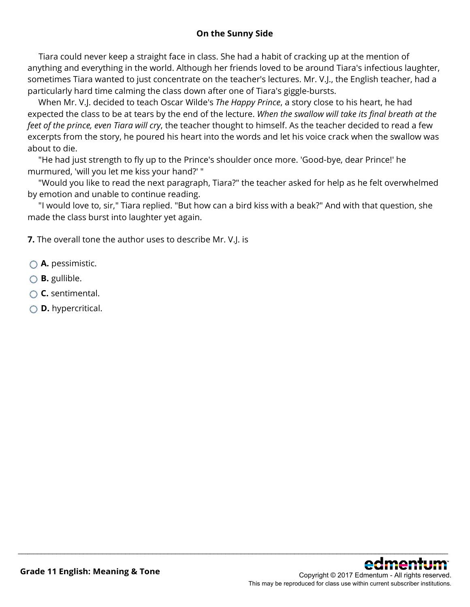### **On the Sunny Side**

 Tiara could never keep a straight face in class. She had a habit of cracking up at the mention of anything and everything in the world. Although her friends loved to be around Tiara's infectious laughter, sometimes Tiara wanted to just concentrate on the teacher's lectures. Mr. V.J., the English teacher, had a particularly hard time calming the class down after one of Tiara's giggle-bursts.

 When Mr. V.J. decided to teach Oscar Wilde's *The Happy Prince*, a story close to his heart, he had expected the class to be at tears by the end of the lecture. *When the swallow will take its final breath at the feet of the prince, even Tiara will cry*, the teacher thought to himself. As the teacher decided to read a few excerpts from the story, he poured his heart into the words and let his voice crack when the swallow was about to die.

 "He had just strength to fly up to the Prince's shoulder once more. 'Good-bye, dear Prince!' he murmured, 'will you let me kiss your hand?' "

 "Would you like to read the next paragraph, Tiara?" the teacher asked for help as he felt overwhelmed by emotion and unable to continue reading.

 "I would love to, sir," Tiara replied. "But how can a bird kiss with a beak?" And with that question, she made the class burst into laughter yet again.

\_\_\_\_\_\_\_\_\_\_\_\_\_\_\_\_\_\_\_\_\_\_\_\_\_\_\_\_\_\_\_\_\_\_\_\_\_\_\_\_\_\_\_\_\_\_\_\_\_\_\_\_\_\_\_\_\_\_\_\_\_\_\_\_\_\_\_\_\_\_\_\_\_\_\_\_\_\_\_\_\_\_\_\_\_\_\_\_\_\_\_\_\_\_\_\_\_\_\_\_\_\_\_\_\_\_\_\_\_\_\_\_

**7.** The overall tone the author uses to describe Mr. V.J. is

- **A.** pessimistic.
- **B.** gullible.
- **C.** sentimental.
- **D.** hypercritical.

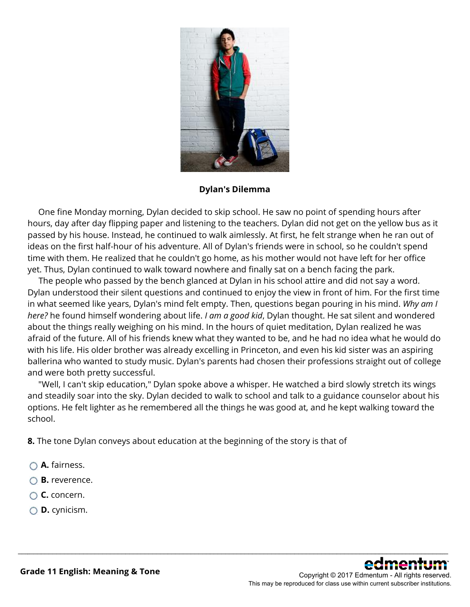

**Dylan's Dilemma** 

 One fine Monday morning, Dylan decided to skip school. He saw no point of spending hours after hours, day after day flipping paper and listening to the teachers. Dylan did not get on the yellow bus as it passed by his house. Instead, he continued to walk aimlessly. At first, he felt strange when he ran out of ideas on the first half-hour of his adventure. All of Dylan's friends were in school, so he couldn't spend time with them. He realized that he couldn't go home, as his mother would not have left for her office yet. Thus, Dylan continued to walk toward nowhere and finally sat on a bench facing the park.

 The people who passed by the bench glanced at Dylan in his school attire and did not say a word. Dylan understood their silent questions and continued to enjoy the view in front of him. For the first time in what seemed like years, Dylan's mind felt empty. Then, questions began pouring in his mind. *Why am I here?* he found himself wondering about life. *I am a good kid*, Dylan thought. He sat silent and wondered about the things really weighing on his mind. In the hours of quiet meditation, Dylan realized he was afraid of the future. All of his friends knew what they wanted to be, and he had no idea what he would do with his life. His older brother was already excelling in Princeton, and even his kid sister was an aspiring ballerina who wanted to study music. Dylan's parents had chosen their professions straight out of college and were both pretty successful.

 "Well, I can't skip education," Dylan spoke above a whisper. He watched a bird slowly stretch its wings and steadily soar into the sky. Dylan decided to walk to school and talk to a guidance counselor about his options. He felt lighter as he remembered all the things he was good at, and he kept walking toward the school.

\_\_\_\_\_\_\_\_\_\_\_\_\_\_\_\_\_\_\_\_\_\_\_\_\_\_\_\_\_\_\_\_\_\_\_\_\_\_\_\_\_\_\_\_\_\_\_\_\_\_\_\_\_\_\_\_\_\_\_\_\_\_\_\_\_\_\_\_\_\_\_\_\_\_\_\_\_\_\_\_\_\_\_\_\_\_\_\_\_\_\_\_\_\_\_\_\_\_\_\_\_\_\_\_\_\_\_\_\_\_\_\_

**8.** The tone Dylan conveys about education at the beginning of the story is that of

- **A.** fairness.
- **B.** reverence.
- **C.** concern.
- **D.** cynicism.

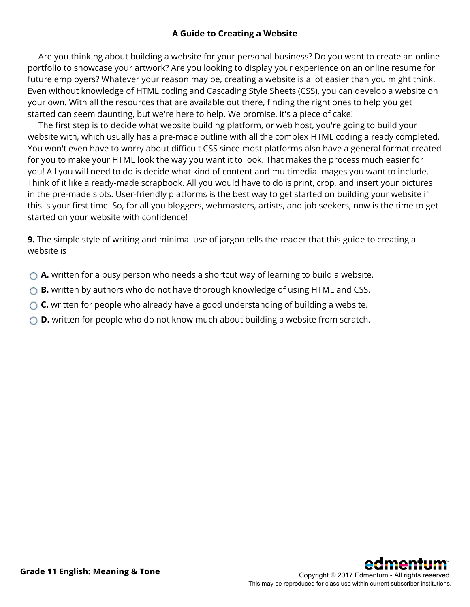#### **A Guide to Creating a Website**

 Are you thinking about building a website for your personal business? Do you want to create an online portfolio to showcase your artwork? Are you looking to display your experience on an online resume for future employers? Whatever your reason may be, creating a website is a lot easier than you might think. Even without knowledge of HTML coding and Cascading Style Sheets (CSS), you can develop a website on your own. With all the resources that are available out there, finding the right ones to help you get started can seem daunting, but we're here to help. We promise, it's a piece of cake!

 The first step is to decide what website building platform, or web host, you're going to build your website with, which usually has a pre-made outline with all the complex HTML coding already completed. You won't even have to worry about difficult CSS since most platforms also have a general format created for you to make your HTML look the way you want it to look. That makes the process much easier for you! All you will need to do is decide what kind of content and multimedia images you want to include. Think of it like a ready-made scrapbook. All you would have to do is print, crop, and insert your pictures in the pre-made slots. User-friendly platforms is the best way to get started on building your website if this is your first time. So, for all you bloggers, webmasters, artists, and job seekers, now is the time to get started on your website with confidence!

**9.** The simple style of writing and minimal use of jargon tells the reader that this guide to creating a website is

- **A.** written for a busy person who needs a shortcut way of learning to build a website.
- ◯ **B.** written by authors who do not have thorough knowledge of using HTML and CSS.
- ◯ **C.** written for people who already have a good understanding of building a website.
- ◯ **D.** written for people who do not know much about building a website from scratch.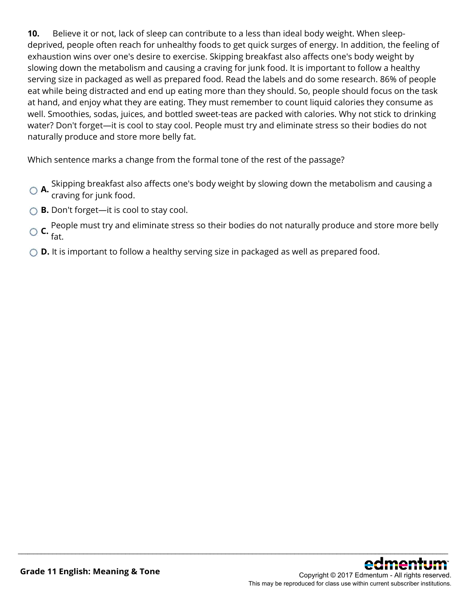**10.** Believe it or not, lack of sleep can contribute to a less than ideal body weight. When sleepdeprived, people often reach for unhealthy foods to get quick surges of energy. In addition, the feeling of exhaustion wins over one's desire to exercise. Skipping breakfast also affects one's body weight by slowing down the metabolism and causing a craving for junk food. It is important to follow a healthy serving size in packaged as well as prepared food. Read the labels and do some research. 86% of people eat while being distracted and end up eating more than they should. So, people should focus on the task at hand, and enjoy what they are eating. They must remember to count liquid calories they consume as well. Smoothies, sodas, juices, and bottled sweet-teas are packed with calories. Why not stick to drinking water? Don't forget—it is cool to stay cool. People must try and eliminate stress so their bodies do not naturally produce and store more belly fat.

Which sentence marks a change from the formal tone of the rest of the passage?

- **A.** Skipping breakfast also affects one's body weight by slowing down the metabolism and causing a craving for junk food.
- **B.** Don't forget—it is cool to stay cool.
- **C.** People must try and eliminate stress so their bodies do not naturally produce and store more belly fat.

\_\_\_\_\_\_\_\_\_\_\_\_\_\_\_\_\_\_\_\_\_\_\_\_\_\_\_\_\_\_\_\_\_\_\_\_\_\_\_\_\_\_\_\_\_\_\_\_\_\_\_\_\_\_\_\_\_\_\_\_\_\_\_\_\_\_\_\_\_\_\_\_\_\_\_\_\_\_\_\_\_\_\_\_\_\_\_\_\_\_\_\_\_\_\_\_\_\_\_\_\_\_\_\_\_\_\_\_\_\_\_\_

◯ **D.** It is important to follow a healthy serving size in packaged as well as prepared food.

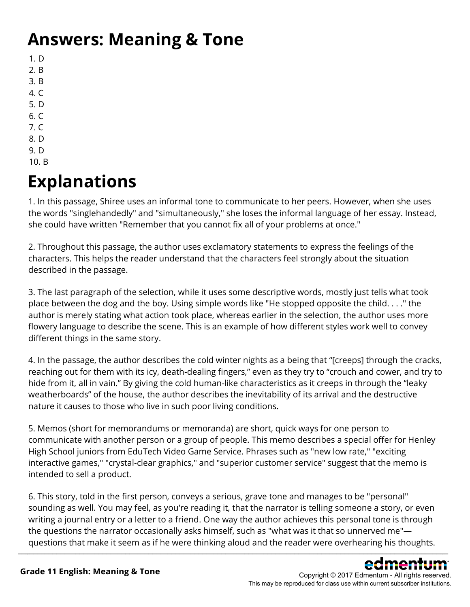## **Answers: Meaning & Tone**

- 1. D
- 2. B
- 3. B
- 4. C
- 5. D
- 6. C
- 7. C
- 8. D 9. D
- 10. B

# **Explanations**

1. In this passage, Shiree uses an informal tone to communicate to her peers. However, when she uses the words "singlehandedly" and "simultaneously," she loses the informal language of her essay. Instead, she could have written "Remember that you cannot fix all of your problems at once."

2. Throughout this passage, the author uses exclamatory statements to express the feelings of the characters. This helps the reader understand that the characters feel strongly about the situation described in the passage.

3. The last paragraph of the selection, while it uses some descriptive words, mostly just tells what took place between the dog and the boy. Using simple words like "He stopped opposite the child. . . ." the author is merely stating what action took place, whereas earlier in the selection, the author uses more flowery language to describe the scene. This is an example of how different styles work well to convey different things in the same story.

4. In the passage, the author describes the cold winter nights as a being that "[creeps] through the cracks, reaching out for them with its icy, death-dealing fingers," even as they try to "crouch and cower, and try to hide from it, all in vain." By giving the cold human-like characteristics as it creeps in through the "leaky weatherboards" of the house, the author describes the inevitability of its arrival and the destructive nature it causes to those who live in such poor living conditions.

5. Memos (short for memorandums or memoranda) are short, quick ways for one person to communicate with another person or a group of people. This memo describes a special offer for Henley High School juniors from EduTech Video Game Service. Phrases such as "new low rate," "exciting interactive games," "crystal-clear graphics," and "superior customer service" suggest that the memo is intended to sell a product.

6. This story, told in the first person, conveys a serious, grave tone and manages to be "personal" sounding as well. You may feel, as you're reading it, that the narrator is telling someone a story, or even writing a journal entry or a letter to a friend. One way the author achieves this personal tone is through the questions the narrator occasionally asks himself, such as "what was it that so unnerved me" questions that make it seem as if he were thinking aloud and the reader were overhearing his thoughts. \_\_\_\_\_\_\_\_\_\_\_\_\_\_\_\_\_\_\_\_\_\_\_\_\_\_\_\_\_\_\_\_\_\_\_\_\_\_\_\_\_\_\_\_\_\_\_\_\_\_\_\_\_\_\_\_\_\_\_\_\_\_\_\_\_\_\_\_\_\_\_\_\_\_\_\_\_\_\_\_\_\_\_\_\_\_\_\_\_\_\_\_\_\_\_\_\_\_\_\_\_\_\_\_\_\_\_\_\_\_\_\_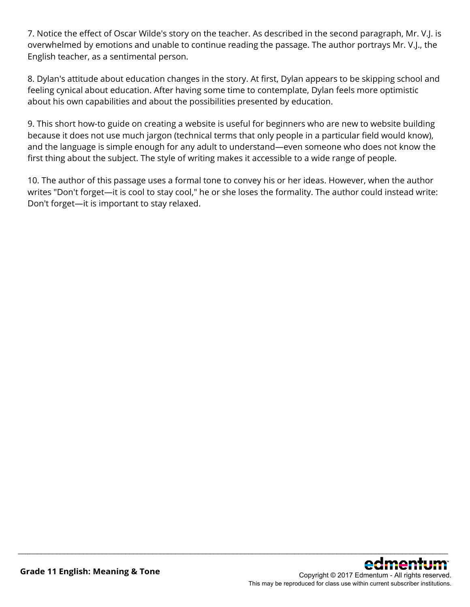7. Notice the effect of Oscar Wilde's story on the teacher. As described in the second paragraph, Mr. V.J. is overwhelmed by emotions and unable to continue reading the passage. The author portrays Mr. V.J., the English teacher, as a sentimental person.

8. Dylan's attitude about education changes in the story. At first, Dylan appears to be skipping school and feeling cynical about education. After having some time to contemplate, Dylan feels more optimistic about his own capabilities and about the possibilities presented by education.

9. This short how-to guide on creating a website is useful for beginners who are new to website building because it does not use much jargon (technical terms that only people in a particular field would know), and the language is simple enough for any adult to understand—even someone who does not know the first thing about the subject. The style of writing makes it accessible to a wide range of people.

10. The author of this passage uses a formal tone to convey his or her ideas. However, when the author writes "Don't forget—it is cool to stay cool," he or she loses the formality. The author could instead write: Don't forget—it is important to stay relaxed.

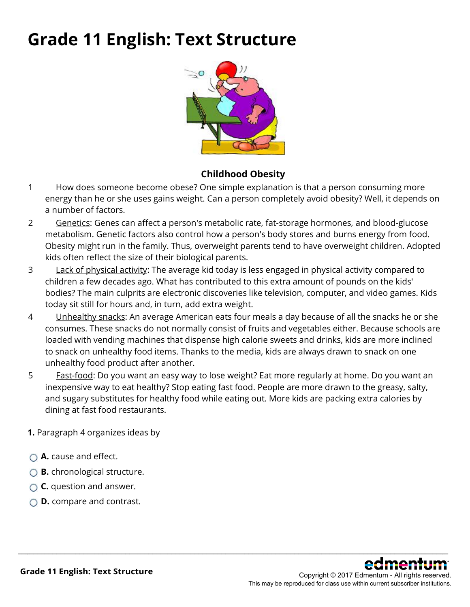### **Grade 11 English: Text Structure**



### **Childhood Obesity**

- 1 How does someone become obese? One simple explanation is that a person consuming more energy than he or she uses gains weight. Can a person completely avoid obesity? Well, it depends on a number of factors.
- 2 Genetics: Genes can affect a person's metabolic rate, fat-storage hormones, and blood-glucose metabolism. Genetic factors also control how a person's body stores and burns energy from food. Obesity might run in the family. Thus, overweight parents tend to have overweight children. Adopted kids often reflect the size of their biological parents.
- 3 Lack of physical activity: The average kid today is less engaged in physical activity compared to children a few decades ago. What has contributed to this extra amount of pounds on the kids' bodies? The main culprits are electronic discoveries like television, computer, and video games. Kids today sit still for hours and, in turn, add extra weight.
- 4 Unhealthy snacks: An average American eats four meals a day because of all the snacks he or she consumes. These snacks do not normally consist of fruits and vegetables either. Because schools are loaded with vending machines that dispense high calorie sweets and drinks, kids are more inclined to snack on unhealthy food items. Thanks to the media, kids are always drawn to snack on one unhealthy food product after another.
- 5 Fast-food: Do you want an easy way to lose weight? Eat more regularly at home. Do you want an inexpensive way to eat healthy? Stop eating fast food. People are more drawn to the greasy, salty, and sugary substitutes for healthy food while eating out. More kids are packing extra calories by dining at fast food restaurants.

- **1.** Paragraph 4 organizes ideas by
- **A.** cause and effect.
- **B.** chronological structure.
- **C.** question and answer.
- **D.** compare and contrast.

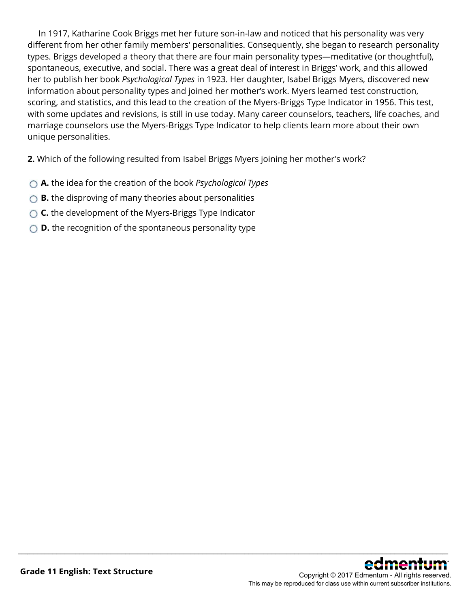In 1917, Katharine Cook Briggs met her future son-in-law and noticed that his personality was very different from her other family members' personalities. Consequently, she began to research personality types. Briggs developed a theory that there are four main personality types—meditative (or thoughtful), spontaneous, executive, and social. There was a great deal of interest in Briggs' work, and this allowed her to publish her book *Psychological Types* in 1923. Her daughter, Isabel Briggs Myers, discovered new information about personality types and joined her mother's work. Myers learned test construction, scoring, and statistics, and this lead to the creation of the Myers-Briggs Type Indicator in 1956. This test, with some updates and revisions, is still in use today. Many career counselors, teachers, life coaches, and marriage counselors use the Myers-Briggs Type Indicator to help clients learn more about their own unique personalities.

\_\_\_\_\_\_\_\_\_\_\_\_\_\_\_\_\_\_\_\_\_\_\_\_\_\_\_\_\_\_\_\_\_\_\_\_\_\_\_\_\_\_\_\_\_\_\_\_\_\_\_\_\_\_\_\_\_\_\_\_\_\_\_\_\_\_\_\_\_\_\_\_\_\_\_\_\_\_\_\_\_\_\_\_\_\_\_\_\_\_\_\_\_\_\_\_\_\_\_\_\_\_\_\_\_\_\_\_\_\_\_\_

**2.** Which of the following resulted from Isabel Briggs Myers joining her mother's work?

- **A.** the idea for the creation of the book *Psychological Types*
- ◯ **B.** the disproving of many theories about personalities
- ◯ **C.** the development of the Myers-Briggs Type Indicator
- **D.** the recognition of the spontaneous personality type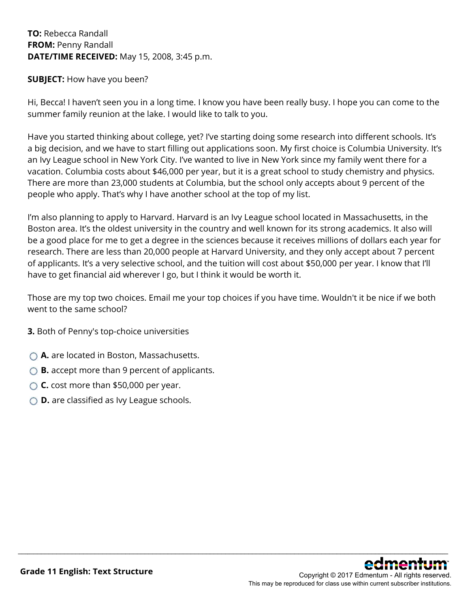### **TO:** Rebecca Randall **FROM:** Penny Randall **DATE/TIME RECEIVED:** May 15, 2008, 3:45 p.m.

### **SUBJECT:** How have you been?

Hi, Becca! I haven't seen you in a long time. I know you have been really busy. I hope you can come to the summer family reunion at the lake. I would like to talk to you.

Have you started thinking about college, yet? I've starting doing some research into different schools. It's a big decision, and we have to start filling out applications soon. My first choice is Columbia University. It's an Ivy League school in New York City. I've wanted to live in New York since my family went there for a vacation. Columbia costs about \$46,000 per year, but it is a great school to study chemistry and physics. There are more than 23,000 students at Columbia, but the school only accepts about 9 percent of the people who apply. That's why I have another school at the top of my list.

I'm also planning to apply to Harvard. Harvard is an Ivy League school located in Massachusetts, in the Boston area. It's the oldest university in the country and well known for its strong academics. It also will be a good place for me to get a degree in the sciences because it receives millions of dollars each year for research. There are less than 20,000 people at Harvard University, and they only accept about 7 percent of applicants. It's a very selective school, and the tuition will cost about \$50,000 per year. I know that I'll have to get financial aid wherever I go, but I think it would be worth it.

Those are my top two choices. Email me your top choices if you have time. Wouldn't it be nice if we both went to the same school?

\_\_\_\_\_\_\_\_\_\_\_\_\_\_\_\_\_\_\_\_\_\_\_\_\_\_\_\_\_\_\_\_\_\_\_\_\_\_\_\_\_\_\_\_\_\_\_\_\_\_\_\_\_\_\_\_\_\_\_\_\_\_\_\_\_\_\_\_\_\_\_\_\_\_\_\_\_\_\_\_\_\_\_\_\_\_\_\_\_\_\_\_\_\_\_\_\_\_\_\_\_\_\_\_\_\_\_\_\_\_\_\_

**3.** Both of Penny's top-choice universities

- **A.** are located in Boston, Massachusetts.
- **B.** accept more than 9 percent of applicants.
- **C.** cost more than \$50,000 per year.
- **D.** are classified as Ivy League schools.

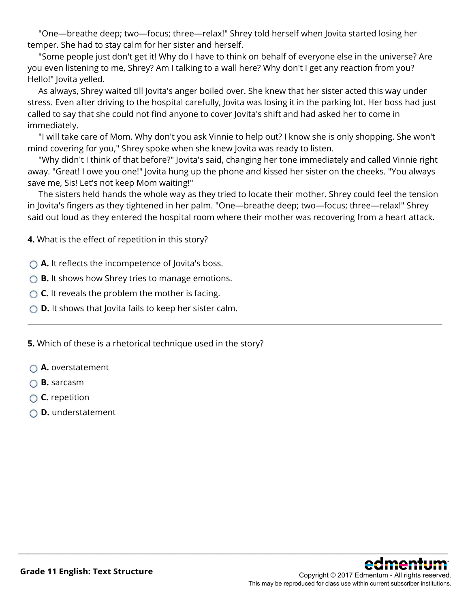"One—breathe deep; two—focus; three—relax!" Shrey told herself when Jovita started losing her temper. She had to stay calm for her sister and herself.

 "Some people just don't get it! Why do I have to think on behalf of everyone else in the universe? Are you even listening to me, Shrey? Am I talking to a wall here? Why don't I get any reaction from you? Hello!" Jovita yelled.

 As always, Shrey waited till Jovita's anger boiled over. She knew that her sister acted this way under stress. Even after driving to the hospital carefully, Jovita was losing it in the parking lot. Her boss had just called to say that she could not find anyone to cover Jovita's shift and had asked her to come in immediately.

 "I will take care of Mom. Why don't you ask Vinnie to help out? I know she is only shopping. She won't mind covering for you," Shrey spoke when she knew Jovita was ready to listen.

 "Why didn't I think of that before?" Jovita's said, changing her tone immediately and called Vinnie right away. "Great! I owe you one!" Jovita hung up the phone and kissed her sister on the cheeks. "You always save me, Sis! Let's not keep Mom waiting!"

 The sisters held hands the whole way as they tried to locate their mother. Shrey could feel the tension in Jovita's fingers as they tightened in her palm. "One—breathe deep; two—focus; three—relax!" Shrey said out loud as they entered the hospital room where their mother was recovering from a heart attack.

\_\_\_\_\_\_\_\_\_\_\_\_\_\_\_\_\_\_\_\_\_\_\_\_\_\_\_\_\_\_\_\_\_\_\_\_\_\_\_\_\_\_\_\_\_\_\_\_\_\_\_\_\_\_\_\_\_\_\_\_\_\_\_\_\_\_\_\_\_\_\_\_\_\_\_\_\_\_\_\_\_\_\_\_\_\_\_\_\_\_\_\_\_\_\_\_\_\_\_\_\_\_\_\_\_\_\_\_\_\_\_\_

**4.** What is the effect of repetition in this story?

◯ **A.** It reflects the incompetence of Jovita's boss.

**B.** It shows how Shrey tries to manage emotions.

- **C.** It reveals the problem the mother is facing.
- **D.** It shows that Jovita fails to keep her sister calm.

**5.** Which of these is a rhetorical technique used in the story?

- **A.** overstatement
- **B.** sarcasm
- **C.** repetition
- **D.** understatement

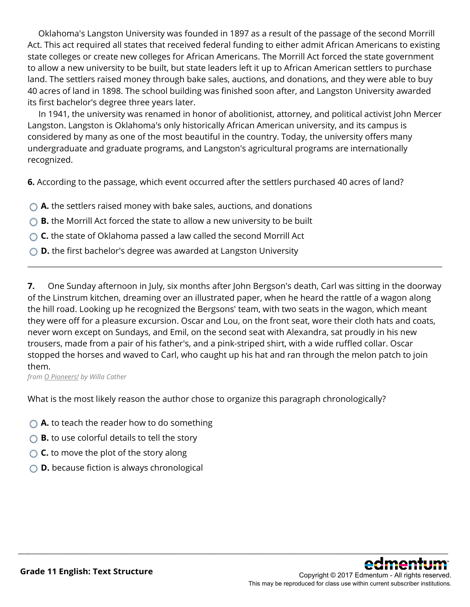Oklahoma's Langston University was founded in 1897 as a result of the passage of the second Morrill Act. This act required all states that received federal funding to either admit African Americans to existing state colleges or create new colleges for African Americans. The Morrill Act forced the state government to allow a new university to be built, but state leaders left it up to African American settlers to purchase land. The settlers raised money through bake sales, auctions, and donations, and they were able to buy 40 acres of land in 1898. The school building was finished soon after, and Langston University awarded its first bachelor's degree three years later.

 In 1941, the university was renamed in honor of abolitionist, attorney, and political activist John Mercer Langston. Langston is Oklahoma's only historically African American university, and its campus is considered by many as one of the most beautiful in the country. Today, the university offers many undergraduate and graduate programs, and Langston's agricultural programs are internationally recognized.

**6.** According to the passage, which event occurred after the settlers purchased 40 acres of land?

**A.** the settlers raised money with bake sales, auctions, and donations

- ◯ **B.** the Morrill Act forced the state to allow a new university to be built
- ◯ **C.** the state of Oklahoma passed a law called the second Morrill Act
- ◯ **D.** the first bachelor's degree was awarded at Langston University

**7.** One Sunday afternoon in July, six months after John Bergson's death, Carl was sitting in the doorway of the Linstrum kitchen, dreaming over an illustrated paper, when he heard the rattle of a wagon along the hill road. Looking up he recognized the Bergsons' team, with two seats in the wagon, which meant they were off for a pleasure excursion. Oscar and Lou, on the front seat, wore their cloth hats and coats, never worn except on Sundays, and Emil, on the second seat with Alexandra, sat proudly in his new trousers, made from a pair of his father's, and a pink-striped shirt, with a wide ruffled collar. Oscar stopped the horses and waved to Carl, who caught up his hat and ran through the melon patch to join them.

\_\_\_\_\_\_\_\_\_\_\_\_\_\_\_\_\_\_\_\_\_\_\_\_\_\_\_\_\_\_\_\_\_\_\_\_\_\_\_\_\_\_\_\_\_\_\_\_\_\_\_\_\_\_\_\_\_\_\_\_\_\_\_\_\_\_\_\_\_\_\_\_\_\_\_\_\_\_\_\_\_\_\_\_\_\_\_\_\_\_\_\_\_\_\_\_\_\_\_\_\_\_\_\_\_\_\_\_\_\_\_\_

*from O Pioneers! by Willa Cather*

What is the most likely reason the author chose to organize this paragraph chronologically?

- **A.** to teach the reader how to do something
- **B.** to use colorful details to tell the story
- **C.** to move the plot of the story along
- **D.** because fiction is always chronological

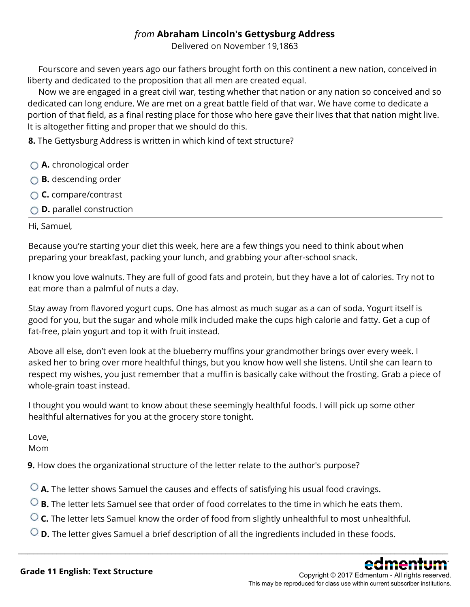### *from* **Abraham Lincoln's Gettysburg Address**

Delivered on November 19,1863

 Fourscore and seven years ago our fathers brought forth on this continent a new nation, conceived in liberty and dedicated to the proposition that all men are created equal.

 Now we are engaged in a great civil war, testing whether that nation or any nation so conceived and so dedicated can long endure. We are met on a great battle field of that war. We have come to dedicate a portion of that field, as a final resting place for those who here gave their lives that that nation might live. It is altogether fitting and proper that we should do this.

**8.** The Gettysburg Address is written in which kind of text structure?

- **A.** chronological order
- **B.** descending order
- **C.** compare/contrast
- **D.** parallel construction

Hi, Samuel,

Because you're starting your diet this week, here are a few things you need to think about when preparing your breakfast, packing your lunch, and grabbing your after-school snack.

I know you love walnuts. They are full of good fats and protein, but they have a lot of calories. Try not to eat more than a palmful of nuts a day.

Stay away from flavored yogurt cups. One has almost as much sugar as a can of soda. Yogurt itself is good for you, but the sugar and whole milk included make the cups high calorie and fatty. Get a cup of fat-free, plain yogurt and top it with fruit instead.

Above all else, don't even look at the blueberry muffins your grandmother brings over every week. I asked her to bring over more healthful things, but you know how well she listens. Until she can learn to respect my wishes, you just remember that a muffin is basically cake without the frosting. Grab a piece of whole-grain toast instead.

I thought you would want to know about these seemingly healthful foods. I will pick up some other healthful alternatives for you at the grocery store tonight.

Love,

Mom

**9.** How does the organizational structure of the letter relate to the author's purpose?

**A.** The letter shows Samuel the causes and effects of satisfying his usual food cravings.

- **B.** The letter lets Samuel see that order of food correlates to the time in which he eats them.
- **C.** The letter lets Samuel know the order of food from slightly unhealthful to most unhealthful.

\_\_\_\_\_\_\_\_\_\_\_\_\_\_\_\_\_\_\_\_\_\_\_\_\_\_\_\_\_\_\_\_\_\_\_\_\_\_\_\_\_\_\_\_\_\_\_\_\_\_\_\_\_\_\_\_\_\_\_\_\_\_\_\_\_\_\_\_\_\_\_\_\_\_\_\_\_\_\_\_\_\_\_\_\_\_\_\_\_\_\_\_\_\_\_\_\_\_\_\_\_\_\_\_\_\_\_\_\_\_\_\_

**D.** The letter gives Samuel a brief description of all the ingredients included in these foods.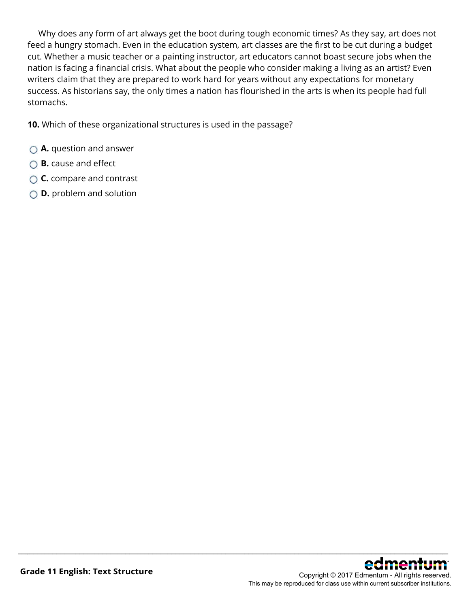Why does any form of art always get the boot during tough economic times? As they say, art does not feed a hungry stomach. Even in the education system, art classes are the first to be cut during a budget cut. Whether a music teacher or a painting instructor, art educators cannot boast secure jobs when the nation is facing a financial crisis. What about the people who consider making a living as an artist? Even writers claim that they are prepared to work hard for years without any expectations for monetary success. As historians say, the only times a nation has flourished in the arts is when its people had full stomachs.

\_\_\_\_\_\_\_\_\_\_\_\_\_\_\_\_\_\_\_\_\_\_\_\_\_\_\_\_\_\_\_\_\_\_\_\_\_\_\_\_\_\_\_\_\_\_\_\_\_\_\_\_\_\_\_\_\_\_\_\_\_\_\_\_\_\_\_\_\_\_\_\_\_\_\_\_\_\_\_\_\_\_\_\_\_\_\_\_\_\_\_\_\_\_\_\_\_\_\_\_\_\_\_\_\_\_\_\_\_\_\_\_

**10.** Which of these organizational structures is used in the passage?

- **A.** question and answer
- **B.** cause and effect
- **C.** compare and contrast
- **D.** problem and solution

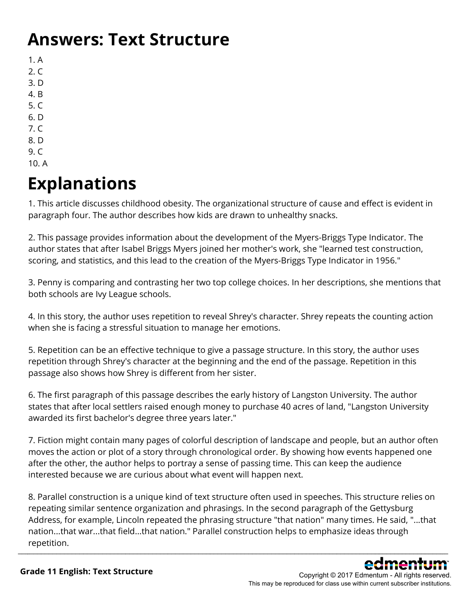### **Answers: Text Structure**

1. A

- 2. C
- 3. D
- 4. B
- 5. C
- 6. D 7. C
- 8. D
- 9. C
- 10. A

## **Explanations**

1. This article discusses childhood obesity. The organizational structure of cause and effect is evident in paragraph four. The author describes how kids are drawn to unhealthy snacks.

2. This passage provides information about the development of the Myers-Briggs Type Indicator. The author states that after Isabel Briggs Myers joined her mother's work, she "learned test construction, scoring, and statistics, and this lead to the creation of the Myers-Briggs Type Indicator in 1956."

3. Penny is comparing and contrasting her two top college choices. In her descriptions, she mentions that both schools are Ivy League schools.

4. In this story, the author uses repetition to reveal Shrey's character. Shrey repeats the counting action when she is facing a stressful situation to manage her emotions.

5. Repetition can be an effective technique to give a passage structure. In this story, the author uses repetition through Shrey's character at the beginning and the end of the passage. Repetition in this passage also shows how Shrey is different from her sister.

6. The first paragraph of this passage describes the early history of Langston University. The author states that after local settlers raised enough money to purchase 40 acres of land, "Langston University awarded its first bachelor's degree three years later."

7. Fiction might contain many pages of colorful description of landscape and people, but an author often moves the action or plot of a story through chronological order. By showing how events happened one after the other, the author helps to portray a sense of passing time. This can keep the audience interested because we are curious about what event will happen next.

8. Parallel construction is a unique kind of text structure often used in speeches. This structure relies on repeating similar sentence organization and phrasings. In the second paragraph of the Gettysburg Address, for example, Lincoln repeated the phrasing structure "that nation" many times. He said, "...that nation...that war...that field...that nation." Parallel construction helps to emphasize ideas through repetition. \_\_\_\_\_\_\_\_\_\_\_\_\_\_\_\_\_\_\_\_\_\_\_\_\_\_\_\_\_\_\_\_\_\_\_\_\_\_\_\_\_\_\_\_\_\_\_\_\_\_\_\_\_\_\_\_\_\_\_\_\_\_\_\_\_\_\_\_\_\_\_\_\_\_\_\_\_\_\_\_\_\_\_\_\_\_\_\_\_\_\_\_\_\_\_\_\_\_\_\_\_\_\_\_\_\_\_\_\_\_\_\_

> Copyright © 2017 Edmentum - All rights reserved. This may be reproduced for class use within current subscriber institutions.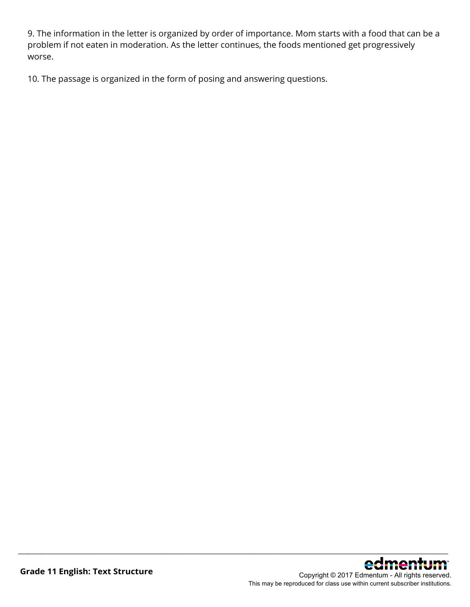9. The information in the letter is organized by order of importance. Mom starts with a food that can be a problem if not eaten in moderation. As the letter continues, the foods mentioned get progressively worse.

\_\_\_\_\_\_\_\_\_\_\_\_\_\_\_\_\_\_\_\_\_\_\_\_\_\_\_\_\_\_\_\_\_\_\_\_\_\_\_\_\_\_\_\_\_\_\_\_\_\_\_\_\_\_\_\_\_\_\_\_\_\_\_\_\_\_\_\_\_\_\_\_\_\_\_\_\_\_\_\_\_\_\_\_\_\_\_\_\_\_\_\_\_\_\_\_\_\_\_\_\_\_\_\_\_\_\_\_\_\_\_\_

10. The passage is organized in the form of posing and answering questions.



This may be reproduced for class use within current subscriber institutions.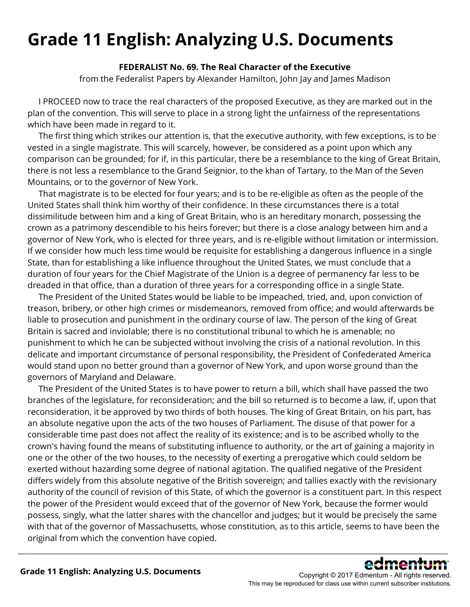## **Grade 11 English: Analyzing U.S. Documents**

### **FEDERALIST No. 69. The Real Character of the Executive**

from the Federalist Papers by Alexander Hamilton, John Jay and James Madison

 I PROCEED now to trace the real characters of the proposed Executive, as they are marked out in the plan of the convention. This will serve to place in a strong light the unfairness of the representations which have been made in regard to it.

 The first thing which strikes our attention is, that the executive authority, with few exceptions, is to be vested in a single magistrate. This will scarcely, however, be considered as a point upon which any comparison can be grounded; for if, in this particular, there be a resemblance to the king of Great Britain, there is not less a resemblance to the Grand Seignior, to the khan of Tartary, to the Man of the Seven Mountains, or to the governor of New York.

 That magistrate is to be elected for four years; and is to be re-eligible as often as the people of the United States shall think him worthy of their confidence. In these circumstances there is a total dissimilitude between him and a king of Great Britain, who is an hereditary monarch, possessing the crown as a patrimony descendible to his heirs forever; but there is a close analogy between him and a governor of New York, who is elected for three years, and is re-eligible without limitation or intermission. If we consider how much less time would be requisite for establishing a dangerous influence in a single State, than for establishing a like influence throughout the United States, we must conclude that a duration of four years for the Chief Magistrate of the Union is a degree of permanency far less to be dreaded in that office, than a duration of three years for a corresponding office in a single State.

 The President of the United States would be liable to be impeached, tried, and, upon conviction of treason, bribery, or other high crimes or misdemeanors, removed from office; and would afterwards be liable to prosecution and punishment in the ordinary course of law. The person of the king of Great Britain is sacred and inviolable; there is no constitutional tribunal to which he is amenable; no punishment to which he can be subjected without involving the crisis of a national revolution. In this delicate and important circumstance of personal responsibility, the President of Confederated America would stand upon no better ground than a governor of New York, and upon worse ground than the governors of Maryland and Delaware.

 The President of the United States is to have power to return a bill, which shall have passed the two branches of the legislature, for reconsideration; and the bill so returned is to become a law, if, upon that reconsideration, it be approved by two thirds of both houses. The king of Great Britain, on his part, has an absolute negative upon the acts of the two houses of Parliament. The disuse of that power for a considerable time past does not affect the reality of its existence; and is to be ascribed wholly to the crown's having found the means of substituting influence to authority, or the art of gaining a majority in one or the other of the two houses, to the necessity of exerting a prerogative which could seldom be exerted without hazarding some degree of national agitation. The qualified negative of the President differs widely from this absolute negative of the British sovereign; and tallies exactly with the revisionary authority of the council of revision of this State, of which the governor is a constituent part. In this respect the power of the President would exceed that of the governor of New York, because the former would possess, singly, what the latter shares with the chancellor and judges; but it would be precisely the same with that of the governor of Massachusetts, whose constitution, as to this article, seems to have been the original from which the convention have copied.



Copyright © 2017 Edmentum - All rights reserved. This may be reproduced for class use within current subscriber institutions.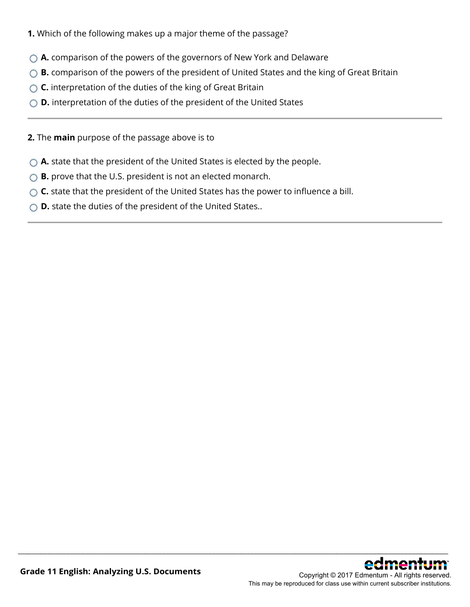- **1.** Which of the following makes up a major theme of the passage?
- **A.** comparison of the powers of the governors of New York and Delaware
- **B.** comparison of the powers of the president of United States and the king of Great Britain
- **C.** interpretation of the duties of the king of Great Britain
- **D.** interpretation of the duties of the president of the United States
- **2.** The **main** purpose of the passage above is to
- **A.** state that the president of the United States is elected by the people.
- ◯ **B.** prove that the U.S. president is not an elected monarch.
- ◯ **C.** state that the president of the United States has the power to influence a bill.

\_\_\_\_\_\_\_\_\_\_\_\_\_\_\_\_\_\_\_\_\_\_\_\_\_\_\_\_\_\_\_\_\_\_\_\_\_\_\_\_\_\_\_\_\_\_\_\_\_\_\_\_\_\_\_\_\_\_\_\_\_\_\_\_\_\_\_\_\_\_\_\_\_\_\_\_\_\_\_\_\_\_\_\_\_\_\_\_\_\_\_\_\_\_\_\_\_\_\_\_\_\_\_\_\_\_\_\_\_\_\_\_

**D.** state the duties of the president of the United States..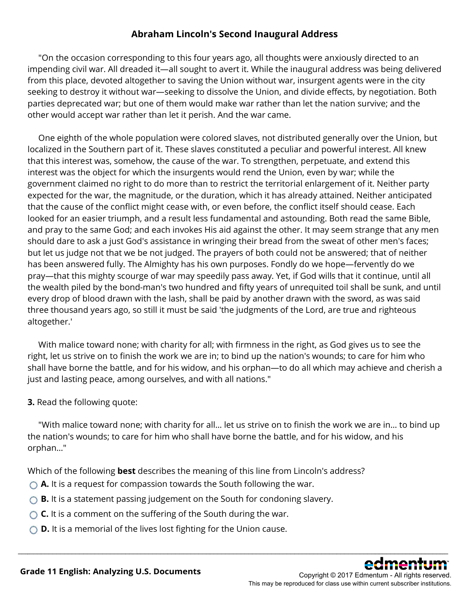### **Abraham Lincoln's Second Inaugural Address**

 "On the occasion corresponding to this four years ago, all thoughts were anxiously directed to an impending civil war. All dreaded it—all sought to avert it. While the inaugural address was being delivered from this place, devoted altogether to saving the Union without war, insurgent agents were in the city seeking to destroy it without war—seeking to dissolve the Union, and divide effects, by negotiation. Both parties deprecated war; but one of them would make war rather than let the nation survive; and the other would accept war rather than let it perish. And the war came.

 One eighth of the whole population were colored slaves, not distributed generally over the Union, but localized in the Southern part of it. These slaves constituted a peculiar and powerful interest. All knew that this interest was, somehow, the cause of the war. To strengthen, perpetuate, and extend this interest was the object for which the insurgents would rend the Union, even by war; while the government claimed no right to do more than to restrict the territorial enlargement of it. Neither party expected for the war, the magnitude, or the duration, which it has already attained. Neither anticipated that the cause of the conflict might cease with, or even before, the conflict itself should cease. Each looked for an easier triumph, and a result less fundamental and astounding. Both read the same Bible, and pray to the same God; and each invokes His aid against the other. It may seem strange that any men should dare to ask a just God's assistance in wringing their bread from the sweat of other men's faces; but let us judge not that we be not judged. The prayers of both could not be answered; that of neither has been answered fully. The Almighty has his own purposes. Fondly do we hope—fervently do we pray—that this mighty scourge of war may speedily pass away. Yet, if God wills that it continue, until all the wealth piled by the bond-man's two hundred and fifty years of unrequited toil shall be sunk, and until every drop of blood drawn with the lash, shall be paid by another drawn with the sword, as was said three thousand years ago, so still it must be said 'the judgments of the Lord, are true and righteous altogether.'

 With malice toward none; with charity for all; with firmness in the right, as God gives us to see the right, let us strive on to finish the work we are in; to bind up the nation's wounds; to care for him who shall have borne the battle, and for his widow, and his orphan—to do all which may achieve and cherish a just and lasting peace, among ourselves, and with all nations."

### **3.** Read the following quote:

"With malice toward none; with charity for all… let us strive on to finish the work we are in… to bind up the nation's wounds; to care for him who shall have borne the battle, and for his widow, and his orphan…"

\_\_\_\_\_\_\_\_\_\_\_\_\_\_\_\_\_\_\_\_\_\_\_\_\_\_\_\_\_\_\_\_\_\_\_\_\_\_\_\_\_\_\_\_\_\_\_\_\_\_\_\_\_\_\_\_\_\_\_\_\_\_\_\_\_\_\_\_\_\_\_\_\_\_\_\_\_\_\_\_\_\_\_\_\_\_\_\_\_\_\_\_\_\_\_\_\_\_\_\_\_\_\_\_\_\_\_\_\_\_\_\_

Which of the following **best** describes the meaning of this line from Lincoln's address?

- **A.** It is a request for compassion towards the South following the war.
- **B.** It is a statement passing judgement on the South for condoning slavery.
- **C.** It is a comment on the suffering of the South during the war.
- **D.** It is a memorial of the lives lost fighting for the Union cause.

Copyright © 2017 Edmentum - All rights reserved. This may be reproduced for class use within current subscriber institutions.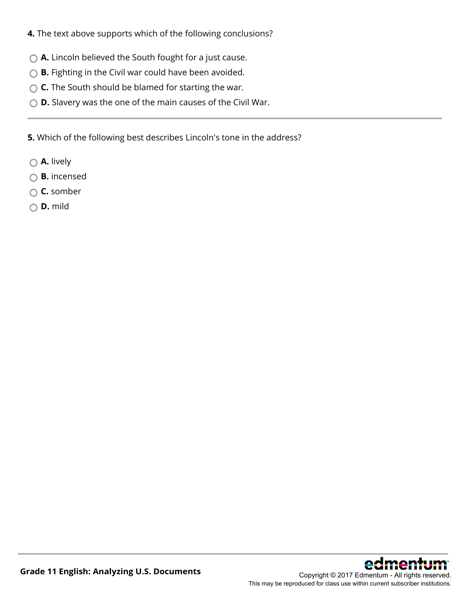- **4.** The text above supports which of the following conclusions?
- ◯ **A.** Lincoln believed the South fought for a just cause.
- **B.** Fighting in the Civil war could have been avoided.
- **C.** The South should be blamed for starting the war.
- **D.** Slavery was the one of the main causes of the Civil War.

**5.** Which of the following best describes Lincoln's tone in the address?

- **A.** lively
- **B.** incensed
- **C.** somber
- **D.** mild

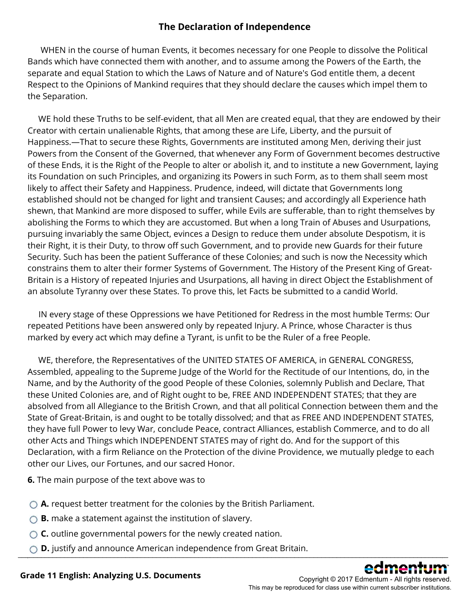### **The Declaration of Independence**

 WHEN in the course of human Events, it becomes necessary for one People to dissolve the Political Bands which have connected them with another, and to assume among the Powers of the Earth, the separate and equal Station to which the Laws of Nature and of Nature's God entitle them, a decent Respect to the Opinions of Mankind requires that they should declare the causes which impel them to the Separation.

 WE hold these Truths to be self-evident, that all Men are created equal, that they are endowed by their Creator with certain unalienable Rights, that among these are Life, Liberty, and the pursuit of Happiness.—That to secure these Rights, Governments are instituted among Men, deriving their just Powers from the Consent of the Governed, that whenever any Form of Government becomes destructive of these Ends, it is the Right of the People to alter or abolish it, and to institute a new Government, laying its Foundation on such Principles, and organizing its Powers in such Form, as to them shall seem most likely to affect their Safety and Happiness. Prudence, indeed, will dictate that Governments long established should not be changed for light and transient Causes; and accordingly all Experience hath shewn, that Mankind are more disposed to suffer, while Evils are sufferable, than to right themselves by abolishing the Forms to which they are accustomed. But when a long Train of Abuses and Usurpations, pursuing invariably the same Object, evinces a Design to reduce them under absolute Despotism, it is their Right, it is their Duty, to throw off such Government, and to provide new Guards for their future Security. Such has been the patient Sufferance of these Colonies; and such is now the Necessity which constrains them to alter their former Systems of Government. The History of the Present King of Great-Britain is a History of repeated Injuries and Usurpations, all having in direct Object the Establishment of an absolute Tyranny over these States. To prove this, let Facts be submitted to a candid World.

 IN every stage of these Oppressions we have Petitioned for Redress in the most humble Terms: Our repeated Petitions have been answered only by repeated Injury. A Prince, whose Character is thus marked by every act which may define a Tyrant, is unfit to be the Ruler of a free People.

 WE, therefore, the Representatives of the UNITED STATES OF AMERICA, in GENERAL CONGRESS, Assembled, appealing to the Supreme Judge of the World for the Rectitude of our Intentions, do, in the Name, and by the Authority of the good People of these Colonies, solemnly Publish and Declare, That these United Colonies are, and of Right ought to be, FREE AND INDEPENDENT STATES; that they are absolved from all Allegiance to the British Crown, and that all political Connection between them and the State of Great-Britain, is and ought to be totally dissolved; and that as FREE AND INDEPENDENT STATES, they have full Power to levy War, conclude Peace, contract Alliances, establish Commerce, and to do all other Acts and Things which INDEPENDENT STATES may of right do. And for the support of this Declaration, with a firm Reliance on the Protection of the divine Providence, we mutually pledge to each other our Lives, our Fortunes, and our sacred Honor.

**6.** The main purpose of the text above was to

- **A.** request better treatment for the colonies by the British Parliament.
- ◯ **B.** make a statement against the institution of slavery.
- **C.** outline governmental powers for the newly created nation.
- **D.** justify and announce American independence from Great Britain. \_\_\_\_\_\_\_\_\_\_\_\_\_\_\_\_\_\_\_\_\_\_\_\_\_\_\_\_\_\_\_\_\_\_\_\_\_\_\_\_\_\_\_\_\_\_\_\_\_\_\_\_\_\_\_\_\_\_\_\_\_\_\_\_\_\_\_\_\_\_\_\_\_\_\_\_\_\_\_\_\_\_\_\_\_\_\_\_\_\_\_\_\_\_\_\_\_\_\_\_\_\_\_\_\_\_\_\_\_\_\_\_

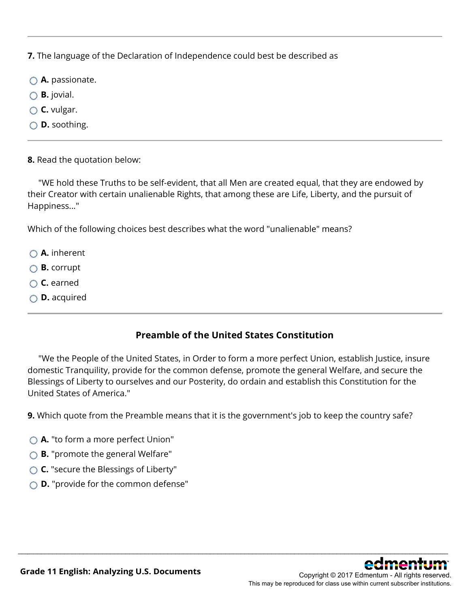**7.** The language of the Declaration of Independence could best be described as

- $\bigcirc$  **A.** passionate.
- **B.** jovial.
- **C.** vulgar.
- **D.** soothing.
- **8.** Read the quotation below:

"WE hold these Truths to be self-evident, that all Men are created equal, that they are endowed by their Creator with certain unalienable Rights, that among these are Life, Liberty, and the pursuit of Happiness..."

Which of the following choices best describes what the word "unalienable" means?

- **A.** inherent
- **B.** corrupt
- **C.** earned
- **D.** acquired

### **Preamble of the United States Constitution**

 "We the People of the United States, in Order to form a more perfect Union, establish Justice, insure domestic Tranquility, provide for the common defense, promote the general Welfare, and secure the Blessings of Liberty to ourselves and our Posterity, do ordain and establish this Constitution for the United States of America."

\_\_\_\_\_\_\_\_\_\_\_\_\_\_\_\_\_\_\_\_\_\_\_\_\_\_\_\_\_\_\_\_\_\_\_\_\_\_\_\_\_\_\_\_\_\_\_\_\_\_\_\_\_\_\_\_\_\_\_\_\_\_\_\_\_\_\_\_\_\_\_\_\_\_\_\_\_\_\_\_\_\_\_\_\_\_\_\_\_\_\_\_\_\_\_\_\_\_\_\_\_\_\_\_\_\_\_\_\_\_\_\_

**9.** Which quote from the Preamble means that it is the government's job to keep the country safe?

- ◯ **A.** "to form a more perfect Union"
- ◯ **B.** "promote the general Welfare"
- **C.** "secure the Blessings of Liberty"
- **D.** "provide for the common defense"

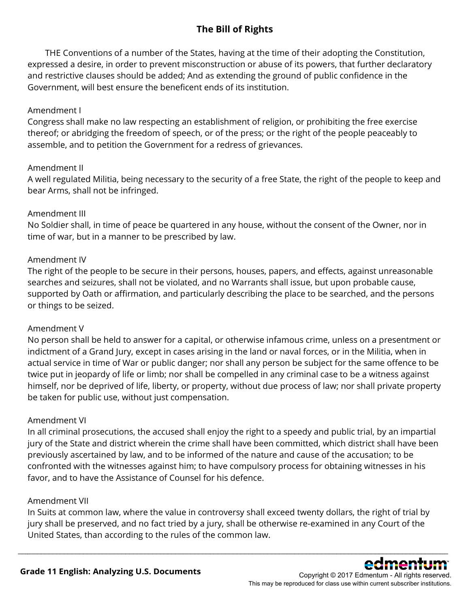### **The Bill of Rights**

 THE Conventions of a number of the States, having at the time of their adopting the Constitution, expressed a desire, in order to prevent misconstruction or abuse of its powers, that further declaratory and restrictive clauses should be added; And as extending the ground of public confidence in the Government, will best ensure the beneficent ends of its institution.

### Amendment I

Congress shall make no law respecting an establishment of religion, or prohibiting the free exercise thereof; or abridging the freedom of speech, or of the press; or the right of the people peaceably to assemble, and to petition the Government for a redress of grievances.

#### Amendment II

A well regulated Militia, being necessary to the security of a free State, the right of the people to keep and bear Arms, shall not be infringed.

### Amendment III

No Soldier shall, in time of peace be quartered in any house, without the consent of the Owner, nor in time of war, but in a manner to be prescribed by law.

### Amendment IV

The right of the people to be secure in their persons, houses, papers, and effects, against unreasonable searches and seizures, shall not be violated, and no Warrants shall issue, but upon probable cause, supported by Oath or affirmation, and particularly describing the place to be searched, and the persons or things to be seized.

#### Amendment V

No person shall be held to answer for a capital, or otherwise infamous crime, unless on a presentment or indictment of a Grand Jury, except in cases arising in the land or naval forces, or in the Militia, when in actual service in time of War or public danger; nor shall any person be subject for the same offence to be twice put in jeopardy of life or limb; nor shall be compelled in any criminal case to be a witness against himself, nor be deprived of life, liberty, or property, without due process of law; nor shall private property be taken for public use, without just compensation.

#### Amendment VI

In all criminal prosecutions, the accused shall enjoy the right to a speedy and public trial, by an impartial jury of the State and district wherein the crime shall have been committed, which district shall have been previously ascertained by law, and to be informed of the nature and cause of the accusation; to be confronted with the witnesses against him; to have compulsory process for obtaining witnesses in his favor, and to have the Assistance of Counsel for his defence.

#### Amendment VII

In Suits at common law, where the value in controversy shall exceed twenty dollars, the right of trial by jury shall be preserved, and no fact tried by a jury, shall be otherwise re-examined in any Court of the United States, than according to the rules of the common law.

\_\_\_\_\_\_\_\_\_\_\_\_\_\_\_\_\_\_\_\_\_\_\_\_\_\_\_\_\_\_\_\_\_\_\_\_\_\_\_\_\_\_\_\_\_\_\_\_\_\_\_\_\_\_\_\_\_\_\_\_\_\_\_\_\_\_\_\_\_\_\_\_\_\_\_\_\_\_\_\_\_\_\_\_\_\_\_\_\_\_\_\_\_\_\_\_\_\_\_\_\_\_\_\_\_\_\_\_\_\_\_\_



This may be reproduced for class use within current subscriber institutions.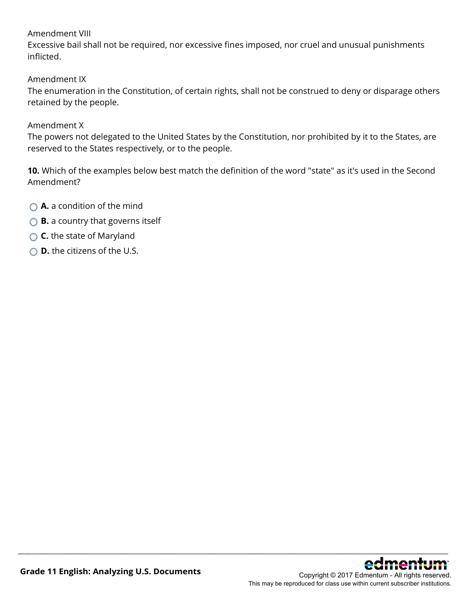### Amendment VIII

Excessive bail shall not be required, nor excessive fines imposed, nor cruel and unusual punishments inflicted.

Amendment IX

The enumeration in the Constitution, of certain rights, shall not be construed to deny or disparage others retained by the people.

#### Amendment X

The powers not delegated to the United States by the Constitution, nor prohibited by it to the States, are reserved to the States respectively, or to the people.

**10.** Which of the examples below best match the definition of the word "state" as it's used in the Second Amendment?

- **A.** a condition of the mind
- **B.** a country that governs itself
- **C.** the state of Maryland
- **D.** the citizens of the U.S.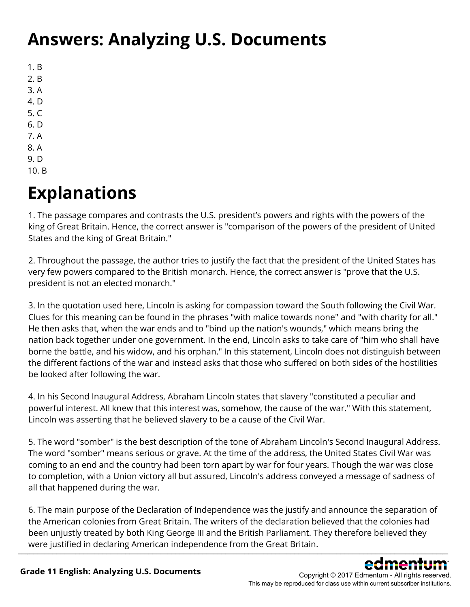## **Answers: Analyzing U.S. Documents**

- 1. B
- 2. B
- 3. A
- 4. D
- 5. C
- 6. D
- 7. A
- 8. A
- 9. D 10. B
- 

# **Explanations**

1. The passage compares and contrasts the U.S. president's powers and rights with the powers of the king of Great Britain. Hence, the correct answer is "comparison of the powers of the president of United States and the king of Great Britain."

2. Throughout the passage, the author tries to justify the fact that the president of the United States has very few powers compared to the British monarch. Hence, the correct answer is "prove that the U.S. president is not an elected monarch."

3. In the quotation used here, Lincoln is asking for compassion toward the South following the Civil War. Clues for this meaning can be found in the phrases "with malice towards none" and "with charity for all." He then asks that, when the war ends and to "bind up the nation's wounds," which means bring the nation back together under one government. In the end, Lincoln asks to take care of "him who shall have borne the battle, and his widow, and his orphan." In this statement, Lincoln does not distinguish between the different factions of the war and instead asks that those who suffered on both sides of the hostilities be looked after following the war.

4. In his Second Inaugural Address, Abraham Lincoln states that slavery "constituted a peculiar and powerful interest. All knew that this interest was, somehow, the cause of the war." With this statement, Lincoln was asserting that he believed slavery to be a cause of the Civil War.

5. The word "somber" is the best description of the tone of Abraham Lincoln's Second Inaugural Address. The word "somber" means serious or grave. At the time of the address, the United States Civil War was coming to an end and the country had been torn apart by war for four years. Though the war was close to completion, with a Union victory all but assured, Lincoln's address conveyed a message of sadness of all that happened during the war.

6. The main purpose of the Declaration of Independence was the justify and announce the separation of the American colonies from Great Britain. The writers of the declaration believed that the colonies had been unjustly treated by both King George III and the British Parliament. They therefore believed they were justified in declaring American independence from the Great Britain.  $\Box$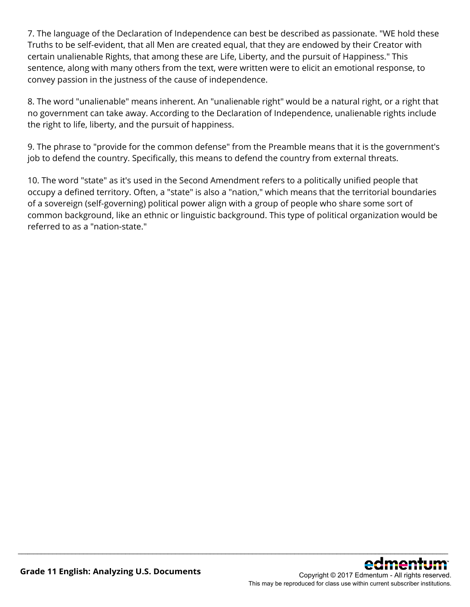7. The language of the Declaration of Independence can best be described as passionate. "WE hold these Truths to be self-evident, that all Men are created equal, that they are endowed by their Creator with certain unalienable Rights, that among these are Life, Liberty, and the pursuit of Happiness." This sentence, along with many others from the text, were written were to elicit an emotional response, to convey passion in the justness of the cause of independence.

8. The word "unalienable" means inherent. An "unalienable right" would be a natural right, or a right that no government can take away. According to the Declaration of Independence, unalienable rights include the right to life, liberty, and the pursuit of happiness.

9. The phrase to "provide for the common defense" from the Preamble means that it is the government's job to defend the country. Specifically, this means to defend the country from external threats.

10. The word "state" as it's used in the Second Amendment refers to a politically unified people that occupy a defined territory. Often, a "state" is also a "nation," which means that the territorial boundaries of a sovereign (self-governing) political power align with a group of people who share some sort of common background, like an ethnic or linguistic background. This type of political organization would be referred to as a "nation-state."

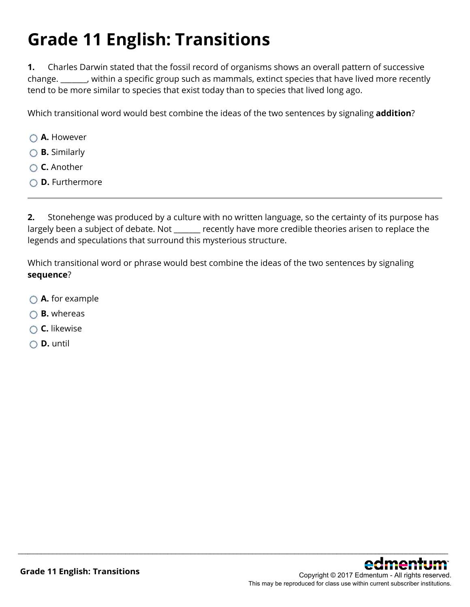# **Grade 11 English: Transitions**

**1.** Charles Darwin stated that the fossil record of organisms shows an overall pattern of successive change. \_\_\_\_\_\_\_, within a specific group such as mammals, extinct species that have lived more recently tend to be more similar to species that exist today than to species that lived long ago.

Which transitional word would best combine the ideas of the two sentences by signaling **addition**?

- **A.** However
- **B.** Similarly
- **C.** Another
- **D.** Furthermore

**2.** Stonehenge was produced by a culture with no written language, so the certainty of its purpose has largely been a subject of debate. Not elect recently have more credible theories arisen to replace the legends and speculations that surround this mysterious structure.

\_\_\_\_\_\_\_\_\_\_\_\_\_\_\_\_\_\_\_\_\_\_\_\_\_\_\_\_\_\_\_\_\_\_\_\_\_\_\_\_\_\_\_\_\_\_\_\_\_\_\_\_\_\_\_\_\_\_\_\_\_\_\_\_\_\_\_\_\_\_\_\_\_\_\_\_\_\_\_\_\_\_\_\_\_\_\_\_\_\_\_\_\_\_\_\_\_\_\_\_\_\_\_\_\_\_\_\_\_\_\_\_

Which transitional word or phrase would best combine the ideas of the two sentences by signaling **sequence**?

- **A.** for example
- **B.** whereas
- **C.** likewise
- **D.** until

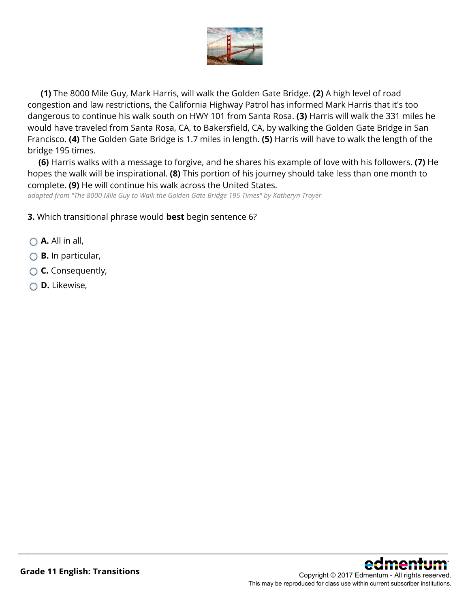

**(1)** The 8000 Mile Guy, Mark Harris, will walk the Golden Gate Bridge. **(2)** A high level of road congestion and law restrictions, the California Highway Patrol has informed Mark Harris that it's too dangerous to continue his walk south on HWY 101 from Santa Rosa. **(3)** Harris will walk the 331 miles he would have traveled from Santa Rosa, CA, to Bakersfield, CA, by walking the Golden Gate Bridge in San Francisco. **(4)** The Golden Gate Bridge is 1.7 miles in length. **(5)** Harris will have to walk the length of the bridge 195 times.

**(6)** Harris walks with a message to forgive, and he shares his example of love with his followers. **(7)** He hopes the walk will be inspirational. **(8)** This portion of his journey should take less than one month to complete. **(9)** He will continue his walk across the United States.

\_\_\_\_\_\_\_\_\_\_\_\_\_\_\_\_\_\_\_\_\_\_\_\_\_\_\_\_\_\_\_\_\_\_\_\_\_\_\_\_\_\_\_\_\_\_\_\_\_\_\_\_\_\_\_\_\_\_\_\_\_\_\_\_\_\_\_\_\_\_\_\_\_\_\_\_\_\_\_\_\_\_\_\_\_\_\_\_\_\_\_\_\_\_\_\_\_\_\_\_\_\_\_\_\_\_\_\_\_\_\_\_

*adapted from "The 8000 Mile Guy to Walk the Golden Gate Bridge 195 Times" by Katheryn Troyer*

**3.** Which transitional phrase would **best** begin sentence 6?

- **A.** All in all,
- **B.** In particular,
- **C.** Consequently,
- **D.** Likewise,

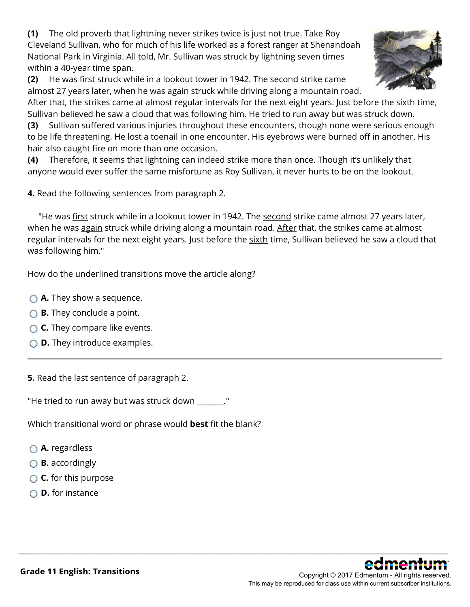**(1)** The old proverb that lightning never strikes twice is just not true. Take Roy Cleveland Sullivan, who for much of his life worked as a forest ranger at Shenandoah National Park in Virginia. All told, Mr. Sullivan was struck by lightning seven times within a 40-year time span.

**(2)** He was first struck while in a lookout tower in 1942. The second strike came almost 27 years later, when he was again struck while driving along a mountain road.



After that, the strikes came at almost regular intervals for the next eight years. Just before the sixth time, Sullivan believed he saw a cloud that was following him. He tried to run away but was struck down.

**(3)** Sullivan suffered various injuries throughout these encounters, though none were serious enough to be life threatening. He lost a toenail in one encounter. His eyebrows were burned off in another. His hair also caught fire on more than one occasion.

**(4)** Therefore, it seems that lightning can indeed strike more than once. Though it's unlikely that anyone would ever suffer the same misfortune as Roy Sullivan, it never hurts to be on the lookout.

**4.** Read the following sentences from paragraph 2.

"He was first struck while in a lookout tower in 1942. The second strike came almost 27 years later, when he was again struck while driving along a mountain road. After that, the strikes came at almost regular intervals for the next eight years. Just before the sixth time, Sullivan believed he saw a cloud that was following him."

\_\_\_\_\_\_\_\_\_\_\_\_\_\_\_\_\_\_\_\_\_\_\_\_\_\_\_\_\_\_\_\_\_\_\_\_\_\_\_\_\_\_\_\_\_\_\_\_\_\_\_\_\_\_\_\_\_\_\_\_\_\_\_\_\_\_\_\_\_\_\_\_\_\_\_\_\_\_\_\_\_\_\_\_\_\_\_\_\_\_\_\_\_\_\_\_\_\_\_\_\_\_\_\_\_\_\_\_\_\_\_\_

How do the underlined transitions move the article along?

- **A.** They show a sequence.
- **B.** They conclude a point.
- **C.** They compare like events.
- **D.** They introduce examples.

**5.** Read the last sentence of paragraph 2.

"He tried to run away but was struck down \_\_\_\_\_\_\_."

Which transitional word or phrase would **best** fit the blank?

- **A.** regardless
- **B.** accordingly
- **C.** for this purpose
- **D.** for instance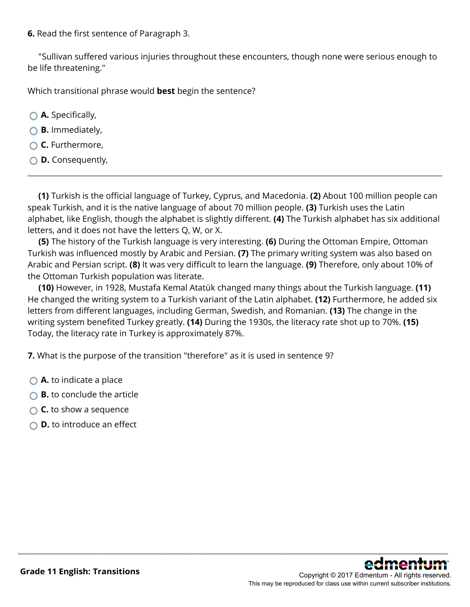**6.** Read the first sentence of Paragraph 3.

"Sullivan suffered various injuries throughout these encounters, though none were serious enough to be life threatening."

Which transitional phrase would **best** begin the sentence?

- **A.** Specifically,
- **B.** Immediately,
- **C.** Furthermore,
- **D.** Consequently,

**(1)** Turkish is the official language of Turkey, Cyprus, and Macedonia. **(2)** About 100 million people can speak Turkish, and it is the native language of about 70 million people. **(3)** Turkish uses the Latin alphabet, like English, though the alphabet is slightly different. **(4)** The Turkish alphabet has six additional letters, and it does not have the letters Q, W, or X.

**(5)** The history of the Turkish language is very interesting. **(6)** During the Ottoman Empire, Ottoman Turkish was influenced mostly by Arabic and Persian. **(7)** The primary writing system was also based on Arabic and Persian script. **(8)** It was very difficult to learn the language. **(9)** Therefore, only about 10% of the Ottoman Turkish population was literate.

**(10)** However, in 1928, Mustafa Kemal Atatük changed many things about the Turkish language. **(11)** He changed the writing system to a Turkish variant of the Latin alphabet. **(12)** Furthermore, he added six letters from different languages, including German, Swedish, and Romanian. **(13)** The change in the writing system benefited Turkey greatly. **(14)** During the 1930s, the literacy rate shot up to 70%. **(15)** Today, the literacy rate in Turkey is approximately 87%.

\_\_\_\_\_\_\_\_\_\_\_\_\_\_\_\_\_\_\_\_\_\_\_\_\_\_\_\_\_\_\_\_\_\_\_\_\_\_\_\_\_\_\_\_\_\_\_\_\_\_\_\_\_\_\_\_\_\_\_\_\_\_\_\_\_\_\_\_\_\_\_\_\_\_\_\_\_\_\_\_\_\_\_\_\_\_\_\_\_\_\_\_\_\_\_\_\_\_\_\_\_\_\_\_\_\_\_\_\_\_\_\_

**7.** What is the purpose of the transition "therefore" as it is used in sentence 9?

- **A.** to indicate a place
- **B.** to conclude the article
- **C.** to show a sequence
- **D.** to introduce an effect

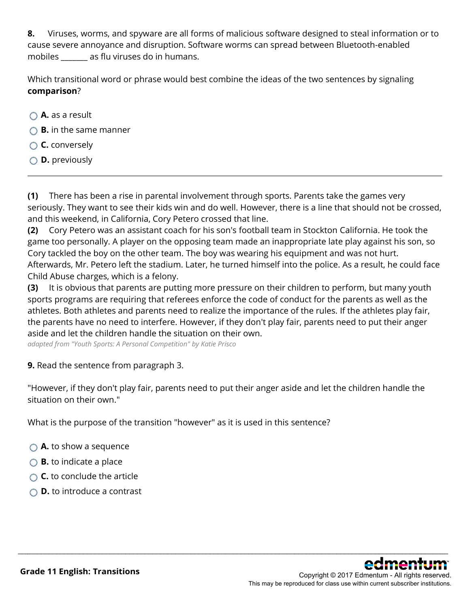**8.** Viruses, worms, and spyware are all forms of malicious software designed to steal information or to cause severe annoyance and disruption. Software worms can spread between Bluetooth-enabled mobiles \_\_\_\_\_\_\_ as flu viruses do in humans.

Which transitional word or phrase would best combine the ideas of the two sentences by signaling **comparison**?

- **A.** as a result
- **B.** in the same manner
- **C.** conversely
- **D.** previously

**(1)** There has been a rise in parental involvement through sports. Parents take the games very seriously. They want to see their kids win and do well. However, there is a line that should not be crossed, and this weekend, in California, Cory Petero crossed that line.

**(2)** Cory Petero was an assistant coach for his son's football team in Stockton California. He took the game too personally. A player on the opposing team made an inappropriate late play against his son, so Cory tackled the boy on the other team. The boy was wearing his equipment and was not hurt. Afterwards, Mr. Petero left the stadium. Later, he turned himself into the police. As a result, he could face Child Abuse charges, which is a felony.

**(3)** It is obvious that parents are putting more pressure on their children to perform, but many youth sports programs are requiring that referees enforce the code of conduct for the parents as well as the athletes. Both athletes and parents need to realize the importance of the rules. If the athletes play fair, the parents have no need to interfere. However, if they don't play fair, parents need to put their anger aside and let the children handle the situation on their own.

*adapted from "Youth Sports: A Personal Competition" by Katie Prisco*

### **9.** Read the sentence from paragraph 3.

"However, if they don't play fair, parents need to put their anger aside and let the children handle the situation on their own."

\_\_\_\_\_\_\_\_\_\_\_\_\_\_\_\_\_\_\_\_\_\_\_\_\_\_\_\_\_\_\_\_\_\_\_\_\_\_\_\_\_\_\_\_\_\_\_\_\_\_\_\_\_\_\_\_\_\_\_\_\_\_\_\_\_\_\_\_\_\_\_\_\_\_\_\_\_\_\_\_\_\_\_\_\_\_\_\_\_\_\_\_\_\_\_\_\_\_\_\_\_\_\_\_\_\_\_\_\_\_\_\_

What is the purpose of the transition "however" as it is used in this sentence?

- **A.** to show a sequence
- **B.** to indicate a place
- **C.** to conclude the article
- **D.** to introduce a contrast

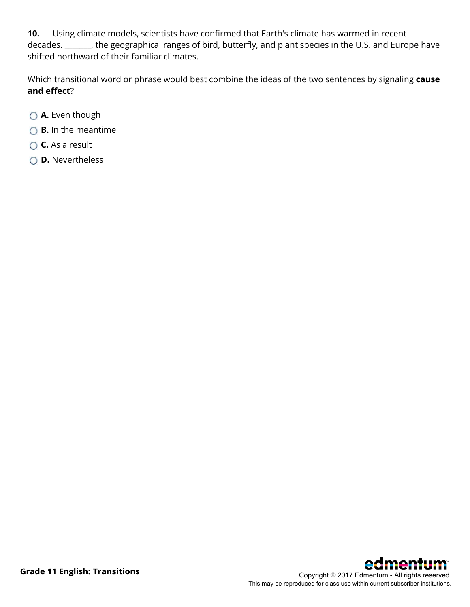**10.** Using climate models, scientists have confirmed that Earth's climate has warmed in recent decades. \_\_\_\_\_\_\_, the geographical ranges of bird, butterfly, and plant species in the U.S. and Europe have shifted northward of their familiar climates.

Which transitional word or phrase would best combine the ideas of the two sentences by signaling **cause and effect**?

- **A.** Even though
- **B.** In the meantime
- **C.** As a result
- **D.** Nevertheless

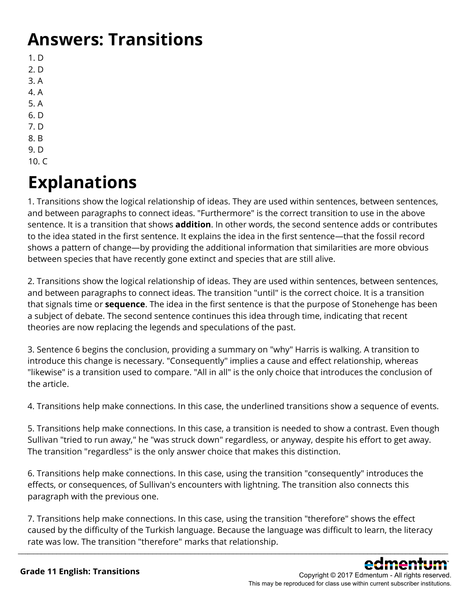## **Answers: Transitions**

- 1. D
- 2. D
- 3. A
- 4. A 5. A
- 6. D
- 7. D
- 8. B
- 9. D
- 10. C

# **Explanations**

1. Transitions show the logical relationship of ideas. They are used within sentences, between sentences, and between paragraphs to connect ideas. "Furthermore" is the correct transition to use in the above sentence. It is a transition that shows **addition**. In other words, the second sentence adds or contributes to the idea stated in the first sentence. It explains the idea in the first sentence—that the fossil record shows a pattern of change—by providing the additional information that similarities are more obvious between species that have recently gone extinct and species that are still alive.

2. Transitions show the logical relationship of ideas. They are used within sentences, between sentences, and between paragraphs to connect ideas. The transition "until" is the correct choice. It is a transition that signals time or **sequence**. The idea in the first sentence is that the purpose of Stonehenge has been a subject of debate. The second sentence continues this idea through time, indicating that recent theories are now replacing the legends and speculations of the past.

3. Sentence 6 begins the conclusion, providing a summary on "why" Harris is walking. A transition to introduce this change is necessary. "Consequently" implies a cause and effect relationship, whereas "likewise" is a transition used to compare. "All in all" is the only choice that introduces the conclusion of the article.

4. Transitions help make connections. In this case, the underlined transitions show a sequence of events.

5. Transitions help make connections. In this case, a transition is needed to show a contrast. Even though Sullivan "tried to run away," he "was struck down" regardless, or anyway, despite his effort to get away. The transition "regardless" is the only answer choice that makes this distinction.

6. Transitions help make connections. In this case, using the transition "consequently" introduces the effects, or consequences, of Sullivan's encounters with lightning. The transition also connects this paragraph with the previous one.

7. Transitions help make connections. In this case, using the transition "therefore" shows the effect caused by the difficulty of the Turkish language. Because the language was difficult to learn, the literacy rate was low. The transition "therefore" marks that relationship.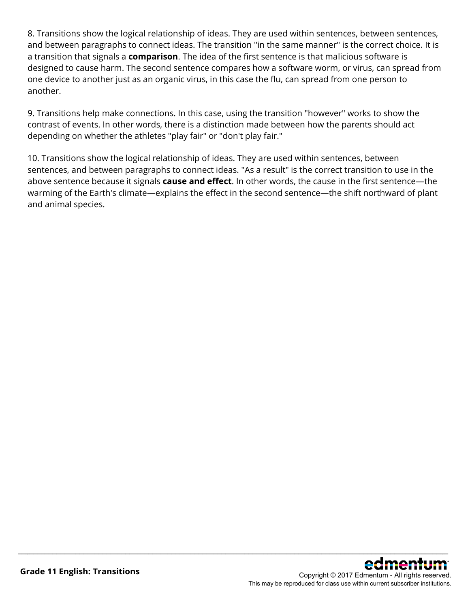8. Transitions show the logical relationship of ideas. They are used within sentences, between sentences, and between paragraphs to connect ideas. The transition "in the same manner" is the correct choice. It is a transition that signals a **comparison**. The idea of the first sentence is that malicious software is designed to cause harm. The second sentence compares how a software worm, or virus, can spread from one device to another just as an organic virus, in this case the flu, can spread from one person to another.

9. Transitions help make connections. In this case, using the transition "however" works to show the contrast of events. In other words, there is a distinction made between how the parents should act depending on whether the athletes "play fair" or "don't play fair."

10. Transitions show the logical relationship of ideas. They are used within sentences, between sentences, and between paragraphs to connect ideas. "As a result" is the correct transition to use in the above sentence because it signals **cause and effect**. In other words, the cause in the first sentence—the warming of the Earth's climate—explains the effect in the second sentence—the shift northward of plant and animal species.

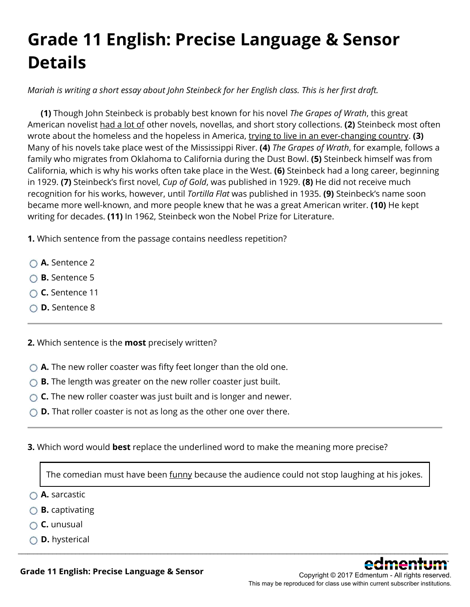# **Grade 11 English: Precise Language & Sensor Details**

*Mariah is writing a short essay about John Steinbeck for her English class. This is her first draft.*

**(1)** Though John Steinbeck is probably best known for his novel *The Grapes of Wrath*, this great American novelist had a lot of other novels, novellas, and short story collections. **(2)** Steinbeck most often wrote about the homeless and the hopeless in America, trying to live in an ever-changing country. **(3)** Many of his novels take place west of the Mississippi River. **(4)** *The Grapes of Wrath*, for example, follows a family who migrates from Oklahoma to California during the Dust Bowl. **(5)** Steinbeck himself was from California, which is why his works often take place in the West. **(6)** Steinbeck had a long career, beginning in 1929. **(7)** Steinbeck's first novel, *Cup of Gold*, was published in 1929. **(8)** He did not receive much recognition for his works, however, until *Tortilla Flat* was published in 1935. **(9)** Steinbeck's name soon became more well-known, and more people knew that he was a great American writer. **(10)** He kept writing for decades. **(11)** In 1962, Steinbeck won the Nobel Prize for Literature.

**1.** Which sentence from the passage contains needless repetition?

- **A.** Sentence 2
- **B.** Sentence 5
- **C.** Sentence 11
- **D.** Sentence 8

**2.** Which sentence is the **most** precisely written?

- **A.** The new roller coaster was fifty feet longer than the old one.
- **B.** The length was greater on the new roller coaster just built.
- ◯ **C.** The new roller coaster was just built and is longer and newer.
- **D.** That roller coaster is not as long as the other one over there.
- **3.** Which word would **best** replace the underlined word to make the meaning more precise?

The comedian must have been funny because the audience could not stop laughing at his jokes.

\_\_\_\_\_\_\_\_\_\_\_\_\_\_\_\_\_\_\_\_\_\_\_\_\_\_\_\_\_\_\_\_\_\_\_\_\_\_\_\_\_\_\_\_\_\_\_\_\_\_\_\_\_\_\_\_\_\_\_\_\_\_\_\_\_\_\_\_\_\_\_\_\_\_\_\_\_\_\_\_\_\_\_\_\_\_\_\_\_\_\_\_\_\_\_\_\_\_\_\_\_\_\_\_\_\_\_\_\_\_\_\_

**A.** sarcastic

- **B.** captivating
- **C.** unusual
- **D.** hysterical



**Grade 11 English: Precise Language & Sensor**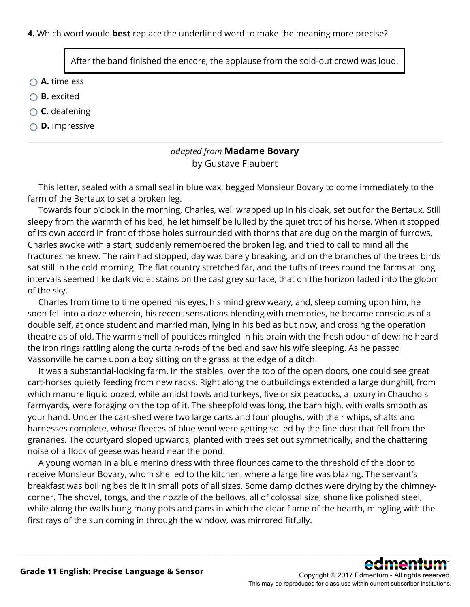**4.** Which word would **best** replace the underlined word to make the meaning more precise?

After the band finished the encore, the applause from the sold-out crowd was <u>loud</u>.

**A.** timeless

- **B.** excited
- **C.** deafening
- **D.** impressive

### *adapted from* **Madame Bovary** by Gustave Flaubert

 This letter, sealed with a small seal in blue wax, begged Monsieur Bovary to come immediately to the farm of the Bertaux to set a broken leg.

 Towards four o'clock in the morning, Charles, well wrapped up in his cloak, set out for the Bertaux. Still sleepy from the warmth of his bed, he let himself be lulled by the quiet trot of his horse. When it stopped of its own accord in front of those holes surrounded with thorns that are dug on the margin of furrows, Charles awoke with a start, suddenly remembered the broken leg, and tried to call to mind all the fractures he knew. The rain had stopped, day was barely breaking, and on the branches of the trees birds sat still in the cold morning. The flat country stretched far, and the tufts of trees round the farms at long intervals seemed like dark violet stains on the cast grey surface, that on the horizon faded into the gloom of the sky.

 Charles from time to time opened his eyes, his mind grew weary, and, sleep coming upon him, he soon fell into a doze wherein, his recent sensations blending with memories, he became conscious of a double self, at once student and married man, lying in his bed as but now, and crossing the operation theatre as of old. The warm smell of poultices mingled in his brain with the fresh odour of dew; he heard the iron rings rattling along the curtain-rods of the bed and saw his wife sleeping. As he passed Vassonville he came upon a boy sitting on the grass at the edge of a ditch.

 It was a substantial-looking farm. In the stables, over the top of the open doors, one could see great cart-horses quietly feeding from new racks. Right along the outbuildings extended a large dunghill, from which manure liquid oozed, while amidst fowls and turkeys, five or six peacocks, a luxury in Chauchois farmyards, were foraging on the top of it. The sheepfold was long, the barn high, with walls smooth as your hand. Under the cart-shed were two large carts and four ploughs, with their whips, shafts and harnesses complete, whose fleeces of blue wool were getting soiled by the fine dust that fell from the granaries. The courtyard sloped upwards, planted with trees set out symmetrically, and the chattering noise of a flock of geese was heard near the pond.

 A young woman in a blue merino dress with three flounces came to the threshold of the door to receive Monsieur Bovary, whom she led to the kitchen, where a large fire was blazing. The servant's breakfast was boiling beside it in small pots of all sizes. Some damp clothes were drying by the chimneycorner. The shovel, tongs, and the nozzle of the bellows, all of colossal size, shone like polished steel, while along the walls hung many pots and pans in which the clear flame of the hearth, mingling with the first rays of the sun coming in through the window, was mirrored fitfully.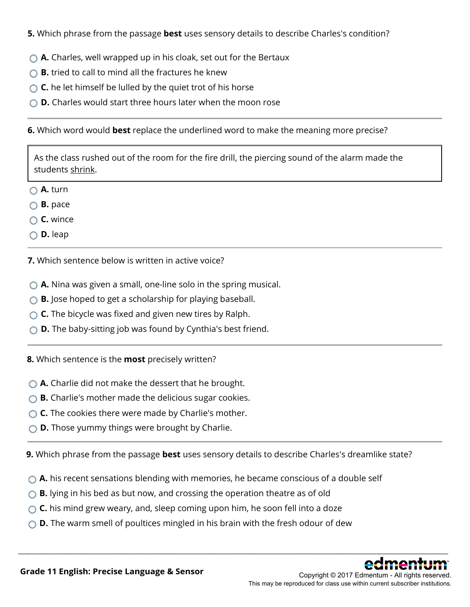**5.** Which phrase from the passage **best** uses sensory details to describe Charles's condition?

- **A.** Charles, well wrapped up in his cloak, set out for the Bertaux
- **B.** tried to call to mind all the fractures he knew
- **C.** he let himself be lulled by the quiet trot of his horse
- **D.** Charles would start three hours later when the moon rose

### **6.** Which word would **best** replace the underlined word to make the meaning more precise?

As the class rushed out of the room for the fire drill, the piercing sound of the alarm made the students shrink.

- **A.** turn
- **B.** pace
- **C.** wince
- **D.** leap

**7.** Which sentence below is written in active voice?

- ◯ **A.** Nina was given a small, one-line solo in the spring musical.
- **B.** Jose hoped to get a scholarship for playing baseball.
- **C.** The bicycle was fixed and given new tires by Ralph.
- **D.** The baby-sitting job was found by Cynthia's best friend.
- **8.** Which sentence is the **most** precisely written?
- **A.** Charlie did not make the dessert that he brought.
- **B.** Charlie's mother made the delicious sugar cookies.
- ◯ **C.** The cookies there were made by Charlie's mother.
- **D.** Those yummy things were brought by Charlie.

**9.** Which phrase from the passage **best** uses sensory details to describe Charles's dreamlike state?

\_\_\_\_\_\_\_\_\_\_\_\_\_\_\_\_\_\_\_\_\_\_\_\_\_\_\_\_\_\_\_\_\_\_\_\_\_\_\_\_\_\_\_\_\_\_\_\_\_\_\_\_\_\_\_\_\_\_\_\_\_\_\_\_\_\_\_\_\_\_\_\_\_\_\_\_\_\_\_\_\_\_\_\_\_\_\_\_\_\_\_\_\_\_\_\_\_\_\_\_\_\_\_\_\_\_\_\_\_\_\_\_

- **A.** his recent sensations blending with memories, he became conscious of a double self
- **B.** lying in his bed as but now, and crossing the operation theatre as of old
- **C.** his mind grew weary, and, sleep coming upon him, he soon fell into a doze
- **D.** The warm smell of poultices mingled in his brain with the fresh odour of dew



Copyright © 2017 Edmentum - All rights reserved. This may be reproduced for class use within current subscriber institutions.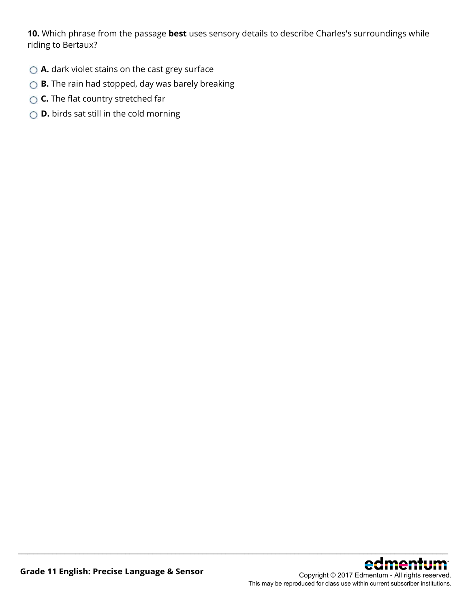**10.** Which phrase from the passage **best** uses sensory details to describe Charles's surroundings while riding to Bertaux?

- **△ A.** dark violet stains on the cast grey surface
- **B.** The rain had stopped, day was barely breaking
- **C.** The flat country stretched far
- **D.** birds sat still in the cold morning

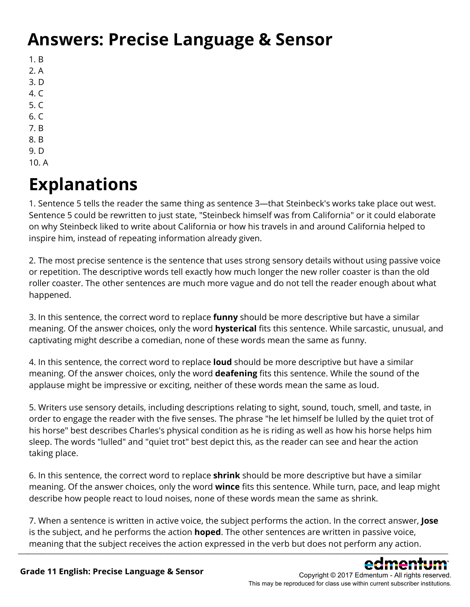## **Answers: Precise Language & Sensor**

- 1. B
- 2. A
- 3. D
- 4. C
- 5. C
- 6. C
- 7. B
- 8. B
- 9. D 10. A

# **Explanations**

1. Sentence 5 tells the reader the same thing as sentence 3—that Steinbeck's works take place out west. Sentence 5 could be rewritten to just state, "Steinbeck himself was from California" or it could elaborate on why Steinbeck liked to write about California or how his travels in and around California helped to inspire him, instead of repeating information already given.

2. The most precise sentence is the sentence that uses strong sensory details without using passive voice or repetition. The descriptive words tell exactly how much longer the new roller coaster is than the old roller coaster. The other sentences are much more vague and do not tell the reader enough about what happened.

3. In this sentence, the correct word to replace **funny** should be more descriptive but have a similar meaning. Of the answer choices, only the word **hysterical** fits this sentence. While sarcastic, unusual, and captivating might describe a comedian, none of these words mean the same as funny.

4. In this sentence, the correct word to replace **loud** should be more descriptive but have a similar meaning. Of the answer choices, only the word **deafening** fits this sentence. While the sound of the applause might be impressive or exciting, neither of these words mean the same as loud.

5. Writers use sensory details, including descriptions relating to sight, sound, touch, smell, and taste, in order to engage the reader with the five senses. The phrase "he let himself be lulled by the quiet trot of his horse" best describes Charles's physical condition as he is riding as well as how his horse helps him sleep. The words "lulled" and "quiet trot" best depict this, as the reader can see and hear the action taking place.

6. In this sentence, the correct word to replace **shrink** should be more descriptive but have a similar meaning. Of the answer choices, only the word **wince** fits this sentence. While turn, pace, and leap might describe how people react to loud noises, none of these words mean the same as shrink.

7. When a sentence is written in active voice, the subject performs the action. In the correct answer, **Jose** is the subject, and he performs the action **hoped**. The other sentences are written in passive voice, meaning that the subject receives the action expressed in the verb but does not perform any action.  $\_$  ,  $\_$  ,  $\_$  ,  $\_$  ,  $\_$  ,  $\_$  ,  $\_$  ,  $\_$  ,  $\_$  ,  $\_$  ,  $\_$  ,  $\_$  ,  $\_$  ,  $\_$  ,  $\_$  ,  $\_$  ,  $\_$  ,  $\_$  ,  $\_$  ,  $\_$  ,  $\_$  ,  $\_$  ,  $\_$  ,  $\_$  ,  $\_$  ,  $\_$  ,  $\_$  ,  $\_$  ,  $\_$  ,  $\_$  ,  $\_$  ,  $\_$  ,  $\_$  ,  $\_$  ,  $\_$  ,  $\_$  ,  $\_$  ,

Copyright © 2017 Edmentum - All rights reserved.

This may be reproduced for class use within current subscriber institutions.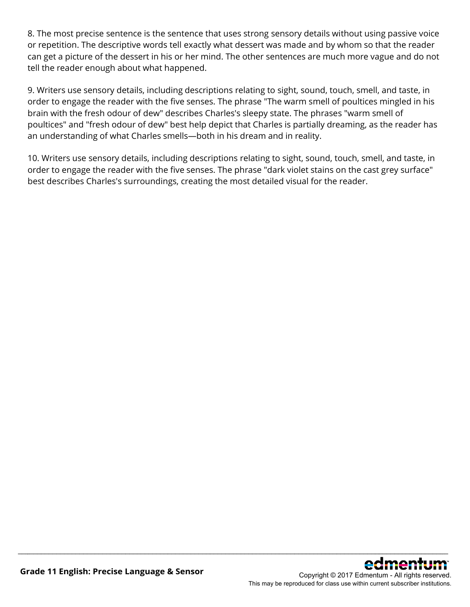8. The most precise sentence is the sentence that uses strong sensory details without using passive voice or repetition. The descriptive words tell exactly what dessert was made and by whom so that the reader can get a picture of the dessert in his or her mind. The other sentences are much more vague and do not tell the reader enough about what happened.

9. Writers use sensory details, including descriptions relating to sight, sound, touch, smell, and taste, in order to engage the reader with the five senses. The phrase "The warm smell of poultices mingled in his brain with the fresh odour of dew" describes Charles's sleepy state. The phrases "warm smell of poultices" and "fresh odour of dew" best help depict that Charles is partially dreaming, as the reader has an understanding of what Charles smells—both in his dream and in reality.

10. Writers use sensory details, including descriptions relating to sight, sound, touch, smell, and taste, in order to engage the reader with the five senses. The phrase "dark violet stains on the cast grey surface" best describes Charles's surroundings, creating the most detailed visual for the reader.

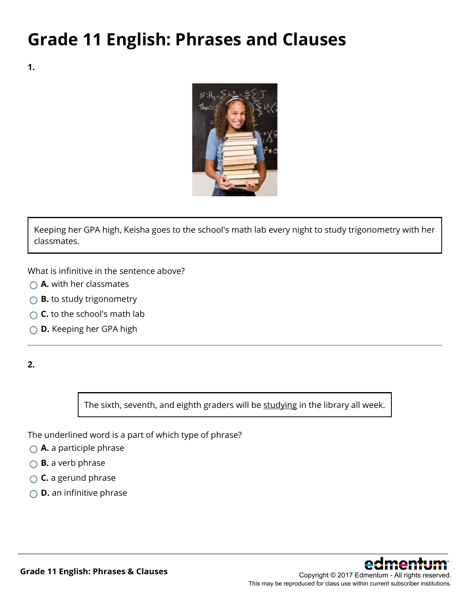## **Grade 11 English: Phrases and Clauses**

**1.**



Keeping her GPA high, Keisha goes to the school's math lab every night to study trigonometry with her classmates.

What is infinitive in the sentence above?

- **A.** with her classmates
- **B.** to study trigonometry
- **C.** to the school's math lab
- **D.** Keeping her GPA high

**2.**

The sixth, seventh, and eighth graders will be studying in the library all week.

\_\_\_\_\_\_\_\_\_\_\_\_\_\_\_\_\_\_\_\_\_\_\_\_\_\_\_\_\_\_\_\_\_\_\_\_\_\_\_\_\_\_\_\_\_\_\_\_\_\_\_\_\_\_\_\_\_\_\_\_\_\_\_\_\_\_\_\_\_\_\_\_\_\_\_\_\_\_\_\_\_\_\_\_\_\_\_\_\_\_\_\_\_\_\_\_\_\_\_\_\_\_\_\_\_\_\_\_\_\_\_\_

The underlined word is a part of which type of phrase?

- **A.** a participle phrase
- **B.** a verb phrase
- **C.** a gerund phrase
- **D.** an infinitive phrase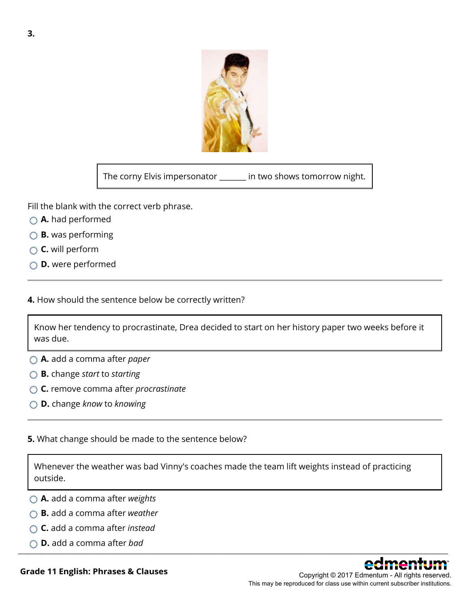

The corny Elvis impersonator \_\_\_\_\_\_\_ in two shows tomorrow night.

Fill the blank with the correct verb phrase.

- **A.** had performed
- **B.** was performing
- **C.** will perform
- **D.** were performed
- **4.** How should the sentence below be correctly written?

Know her tendency to procrastinate, Drea decided to start on her history paper two weeks before it was due.

- **A.** add a comma after *paper*
- **B.** change *start* to *starting*
- **C.** remove comma after *procrastinate*
- **D.** change *know* to *knowing*

#### **5.** What change should be made to the sentence below?

Whenever the weather was bad Vinny's coaches made the team lift weights instead of practicing outside.

- **A.** add a comma after *weights*
- **B.** add a comma after *weather*
- **C.** add a comma after *instead*
- **D.** add a comma after *bad* \_\_\_\_\_\_\_\_\_\_\_\_\_\_\_\_\_\_\_\_\_\_\_\_\_\_\_\_\_\_\_\_\_\_\_\_\_\_\_\_\_\_\_\_\_\_\_\_\_\_\_\_\_\_\_\_\_\_\_\_\_\_\_\_\_\_\_\_\_\_\_\_\_\_\_\_\_\_\_\_\_\_\_\_\_\_\_\_\_\_\_\_\_\_\_\_\_\_\_\_\_\_\_\_\_\_\_\_\_\_\_\_



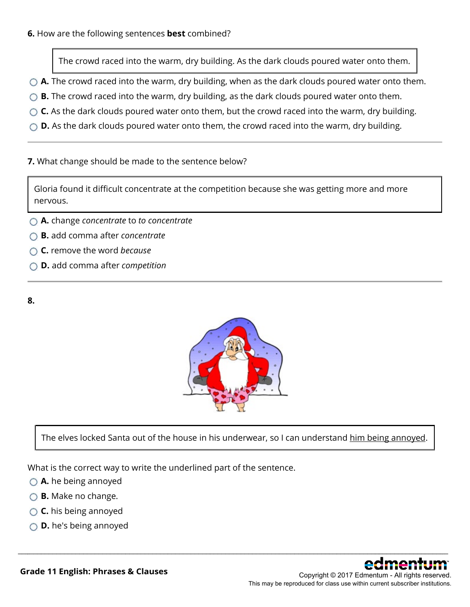The crowd raced into the warm, dry building. As the dark clouds poured water onto them.

- **A.** The crowd raced into the warm, dry building, when as the dark clouds poured water onto them.
- **B.** The crowd raced into the warm, dry building, as the dark clouds poured water onto them.
- ◯ **C.** As the dark clouds poured water onto them, but the crowd raced into the warm, dry building.
- ◯ **D.** As the dark clouds poured water onto them, the crowd raced into the warm, dry building.

### **7.** What change should be made to the sentence below?

Gloria found it difficult concentrate at the competition because she was getting more and more nervous.

- **A.** change *concentrate* to *to concentrate*
- **B.** add comma after *concentrate*
- **C.** remove the word *because*
- **D.** add comma after *competition*

### **8.**



The elves locked Santa out of the house in his underwear, so I can understand him being annoyed.

\_\_\_\_\_\_\_\_\_\_\_\_\_\_\_\_\_\_\_\_\_\_\_\_\_\_\_\_\_\_\_\_\_\_\_\_\_\_\_\_\_\_\_\_\_\_\_\_\_\_\_\_\_\_\_\_\_\_\_\_\_\_\_\_\_\_\_\_\_\_\_\_\_\_\_\_\_\_\_\_\_\_\_\_\_\_\_\_\_\_\_\_\_\_\_\_\_\_\_\_\_\_\_\_\_\_\_\_\_\_\_\_

What is the correct way to write the underlined part of the sentence.

- **A.** he being annoyed
- **B.** Make no change.
- **C.** his being annoyed
- **D.** he's being annoyed



**Grade 11 English: Phrases & Clauses**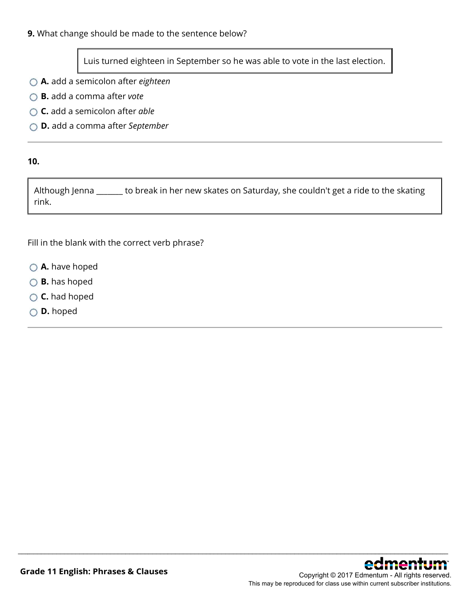### **9.** What change should be made to the sentence below?

Luis turned eighteen in September so he was able to vote in the last election.

- **A.** add a semicolon after *eighteen*
- **B.** add a comma after *vote*
- **C.** add a semicolon after *able*
- **D.** add a comma after *September*

#### **10.**

Although Jenna \_\_\_\_\_\_\_ to break in her new skates on Saturday, she couldn't get a ride to the skating rink.

\_\_\_\_\_\_\_\_\_\_\_\_\_\_\_\_\_\_\_\_\_\_\_\_\_\_\_\_\_\_\_\_\_\_\_\_\_\_\_\_\_\_\_\_\_\_\_\_\_\_\_\_\_\_\_\_\_\_\_\_\_\_\_\_\_\_\_\_\_\_\_\_\_\_\_\_\_\_\_\_\_\_\_\_\_\_\_\_\_\_\_\_\_\_\_\_\_\_\_\_\_\_\_\_\_\_\_\_\_\_\_\_

Fill in the blank with the correct verb phrase?

- **A.** have hoped
- **B.** has hoped
- **C.** had hoped
- **D.** hoped

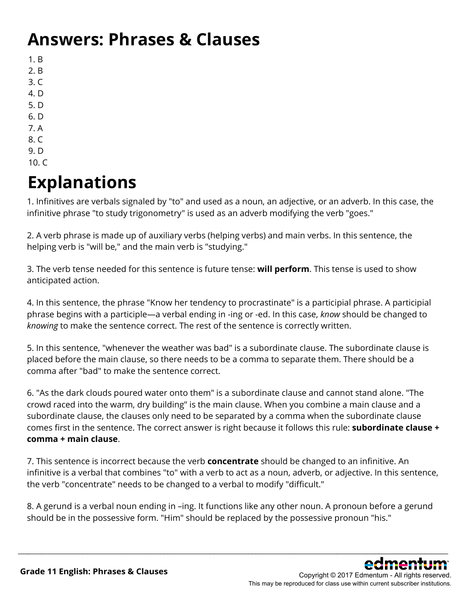## **Answers: Phrases & Clauses**

- 1. B
- 2. B
- 3. C
- 4. D
- 5. D
- 6. D
- 7. A
- 8. C
- 9. D
- 10. C

# **Explanations**

1. Infinitives are verbals signaled by "to" and used as a noun, an adjective, or an adverb. In this case, the infinitive phrase "to study trigonometry" is used as an adverb modifying the verb "goes."

2. A verb phrase is made up of auxiliary verbs (helping verbs) and main verbs. In this sentence, the helping verb is "will be," and the main verb is "studying."

3. The verb tense needed for this sentence is future tense: **will perform**. This tense is used to show anticipated action.

4. In this sentence, the phrase "Know her tendency to procrastinate" is a participial phrase. A participial phrase begins with a participle—a verbal ending in -ing or -ed. In this case, *know* should be changed to *knowing* to make the sentence correct. The rest of the sentence is correctly written.

5. In this sentence, "whenever the weather was bad" is a subordinate clause. The subordinate clause is placed before the main clause, so there needs to be a comma to separate them. There should be a comma after "bad" to make the sentence correct.

6. "As the dark clouds poured water onto them" is a subordinate clause and cannot stand alone. "The crowd raced into the warm, dry building" is the main clause. When you combine a main clause and a subordinate clause, the clauses only need to be separated by a comma when the subordinate clause comes first in the sentence. The correct answer is right because it follows this rule: **subordinate clause + comma + main clause**.

7. This sentence is incorrect because the verb **concentrate** should be changed to an infinitive. An infinitive is a verbal that combines "to" with a verb to act as a noun, adverb, or adjective. In this sentence, the verb "concentrate" needs to be changed to a verbal to modify "difficult."

8. A gerund is a verbal noun ending in –ing. It functions like any other noun. A pronoun before a gerund should be in the possessive form. "Him" should be replaced by the possessive pronoun "his."

\_\_\_\_\_\_\_\_\_\_\_\_\_\_\_\_\_\_\_\_\_\_\_\_\_\_\_\_\_\_\_\_\_\_\_\_\_\_\_\_\_\_\_\_\_\_\_\_\_\_\_\_\_\_\_\_\_\_\_\_\_\_\_\_\_\_\_\_\_\_\_\_\_\_\_\_\_\_\_\_\_\_\_\_\_\_\_\_\_\_\_\_\_\_\_\_\_\_\_\_\_\_\_\_\_\_\_\_\_\_\_\_

Copyright © 2017 Edmentum - All rights reserved. This may be reproduced for class use within current subscriber institutions.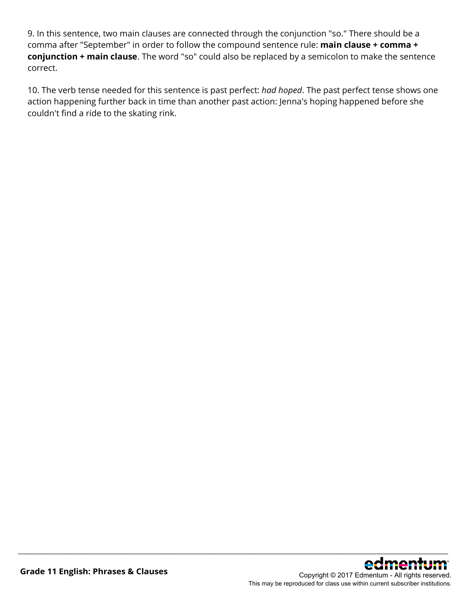9. In this sentence, two main clauses are connected through the conjunction "so." There should be a comma after "September" in order to follow the compound sentence rule: **main clause + comma + conjunction + main clause**. The word "so" could also be replaced by a semicolon to make the sentence correct.

10. The verb tense needed for this sentence is past perfect: *had hoped*. The past perfect tense shows one action happening further back in time than another past action: Jenna's hoping happened before she couldn't find a ride to the skating rink.

\_\_\_\_\_\_\_\_\_\_\_\_\_\_\_\_\_\_\_\_\_\_\_\_\_\_\_\_\_\_\_\_\_\_\_\_\_\_\_\_\_\_\_\_\_\_\_\_\_\_\_\_\_\_\_\_\_\_\_\_\_\_\_\_\_\_\_\_\_\_\_\_\_\_\_\_\_\_\_\_\_\_\_\_\_\_\_\_\_\_\_\_\_\_\_\_\_\_\_\_\_\_\_\_\_\_\_\_\_\_\_\_



This may be reproduced for class use within current subscriber institutions.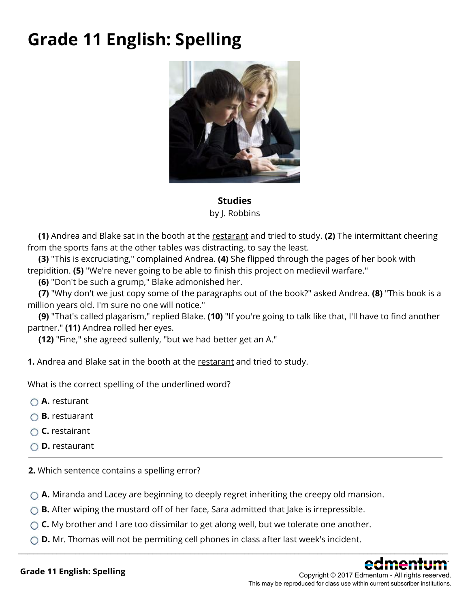## **Grade 11 English: Spelling**



**Studies** by J. Robbins

**(1)** Andrea and Blake sat in the booth at the restarant and tried to study. **(2)** The intermittant cheering from the sports fans at the other tables was distracting, to say the least.

**(3)** "This is excruciating," complained Andrea. **(4)** She flipped through the pages of her book with trepidition. **(5)** "We're never going to be able to finish this project on medievil warfare."

**(6)** "Don't be such a grump," Blake admonished her.

**(7)** "Why don't we just copy some of the paragraphs out of the book?" asked Andrea. **(8)** "This book is a million years old. I'm sure no one will notice."

**(9)** "That's called plagarism," replied Blake. **(10)** "If you're going to talk like that, I'll have to find another partner." **(11)** Andrea rolled her eyes.

**(12)** "Fine," she agreed sullenly, "but we had better get an A."

**1.** Andrea and Blake sat in the booth at the restarant and tried to study.

What is the correct spelling of the underlined word?

**A.** resturant

- **B.** restuarant
- **C.** restairant
- **D.** restaurant

**2.** Which sentence contains a spelling error?

**A.** Miranda and Lacey are beginning to deeply regret inheriting the creepy old mansion.

- ◯ **B.** After wiping the mustard off of her face, Sara admitted that Jake is irrepressible.
- ◯ **C.** My brother and I are too dissimilar to get along well, but we tolerate one another.
- **D.** Mr. Thomas will not be permiting cell phones in class after last week's incident.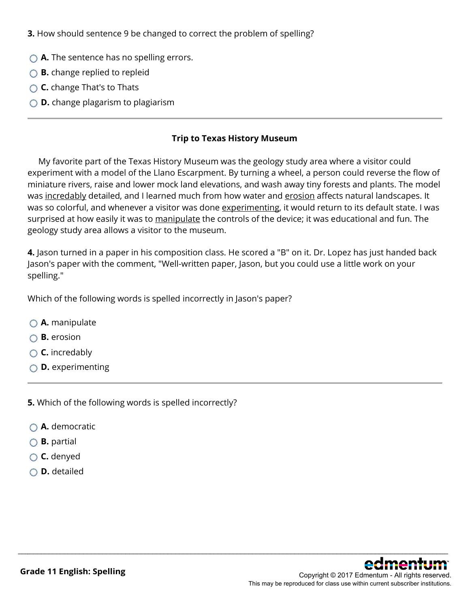**3.** How should sentence 9 be changed to correct the problem of spelling?

- **A.** The sentence has no spelling errors.
- **B.** change replied to repleid
- **C.** change That's to Thats
- **D.** change plagarism to plagiarism

#### **Trip to Texas History Museum**

 My favorite part of the Texas History Museum was the geology study area where a visitor could experiment with a model of the Llano Escarpment. By turning a wheel, a person could reverse the flow of miniature rivers, raise and lower mock land elevations, and wash away tiny forests and plants. The model was incredably detailed, and I learned much from how water and erosion affects natural landscapes. It was so colorful, and whenever a visitor was done experimenting, it would return to its default state. I was surprised at how easily it was to manipulate the controls of the device; it was educational and fun. The geology study area allows a visitor to the museum.

**4.** Jason turned in a paper in his composition class. He scored a "B" on it. Dr. Lopez has just handed back Jason's paper with the comment, "Well-written paper, Jason, but you could use a little work on your spelling."

\_\_\_\_\_\_\_\_\_\_\_\_\_\_\_\_\_\_\_\_\_\_\_\_\_\_\_\_\_\_\_\_\_\_\_\_\_\_\_\_\_\_\_\_\_\_\_\_\_\_\_\_\_\_\_\_\_\_\_\_\_\_\_\_\_\_\_\_\_\_\_\_\_\_\_\_\_\_\_\_\_\_\_\_\_\_\_\_\_\_\_\_\_\_\_\_\_\_\_\_\_\_\_\_\_\_\_\_\_\_\_\_

Which of the following words is spelled incorrectly in Jason's paper?

- **A.** manipulate
- **B.** erosion
- **C.** incredably
- **D.** experimenting

**5.** Which of the following words is spelled incorrectly?

- **A.** democratic
- **B.** partial
- **C.** denyed
- **D.** detailed

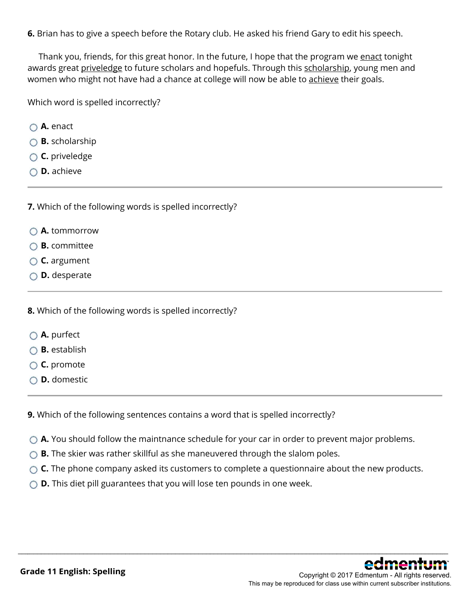**6.** Brian has to give a speech before the Rotary club. He asked his friend Gary to edit his speech.

Thank you, friends, for this great honor. In the future, I hope that the program we enact tonight awards great priveledge to future scholars and hopefuls. Through this scholarship, young men and women who might not have had a chance at college will now be able to achieve their goals.

Which word is spelled incorrectly?

- **A.** enact
- **B.** scholarship
- **C.** priveledge
- **D.** achieve

**7.** Which of the following words is spelled incorrectly?

- **A.** tommorrow
- **B.** committee
- **C.** argument
- **D.** desperate

**8.** Which of the following words is spelled incorrectly?

- **A.** purfect
- **B.** establish
- **C.** promote
- **D.** domestic

**9.** Which of the following sentences contains a word that is spelled incorrectly?

- ◯ **A.** You should follow the maintnance schedule for your car in order to prevent major problems.
- **B.** The skier was rather skillful as she maneuvered through the slalom poles.
- **C.** The phone company asked its customers to complete a questionnaire about the new products.

\_\_\_\_\_\_\_\_\_\_\_\_\_\_\_\_\_\_\_\_\_\_\_\_\_\_\_\_\_\_\_\_\_\_\_\_\_\_\_\_\_\_\_\_\_\_\_\_\_\_\_\_\_\_\_\_\_\_\_\_\_\_\_\_\_\_\_\_\_\_\_\_\_\_\_\_\_\_\_\_\_\_\_\_\_\_\_\_\_\_\_\_\_\_\_\_\_\_\_\_\_\_\_\_\_\_\_\_\_\_\_\_

◯ **D.** This diet pill guarantees that you will lose ten pounds in one week.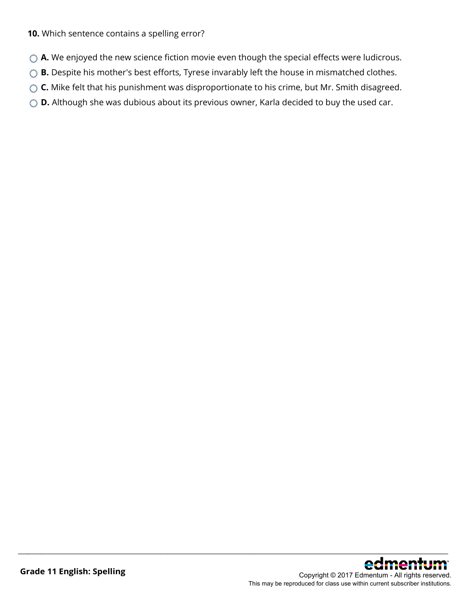#### **10.** Which sentence contains a spelling error?

- ◯ **A.** We enjoyed the new science fiction movie even though the special effects were ludicrous.
- **B.** Despite his mother's best efforts, Tyrese invarably left the house in mismatched clothes.
- ◯ **C.** Mike felt that his punishment was disproportionate to his crime, but Mr. Smith disagreed.

\_\_\_\_\_\_\_\_\_\_\_\_\_\_\_\_\_\_\_\_\_\_\_\_\_\_\_\_\_\_\_\_\_\_\_\_\_\_\_\_\_\_\_\_\_\_\_\_\_\_\_\_\_\_\_\_\_\_\_\_\_\_\_\_\_\_\_\_\_\_\_\_\_\_\_\_\_\_\_\_\_\_\_\_\_\_\_\_\_\_\_\_\_\_\_\_\_\_\_\_\_\_\_\_\_\_\_\_\_\_\_\_

◯ **D.** Although she was dubious about its previous owner, Karla decided to buy the used car.

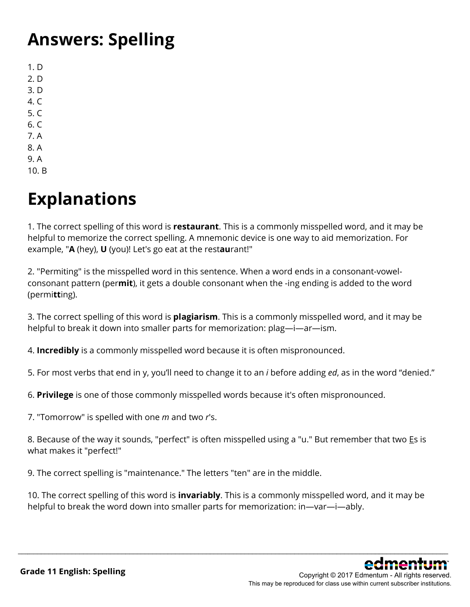## **Answers: Spelling**

1. D 2. D 3. D 4. C 5. C 6. C 7. A 8. A 9. A

10. B

# **Explanations**

1. The correct spelling of this word is **restaurant**. This is a commonly misspelled word, and it may be helpful to memorize the correct spelling. A mnemonic device is one way to aid memorization. For example, "**A** (hey), **U** (you)! Let's go eat at the rest**au**rant!"

2. "Permiting" is the misspelled word in this sentence. When a word ends in a consonant-vowelconsonant pattern (per**mit**), it gets a double consonant when the -ing ending is added to the word (permi**tt**ing).

3. The correct spelling of this word is **plagiarism**. This is a commonly misspelled word, and it may be helpful to break it down into smaller parts for memorization: plag—i—ar—ism.

4. **Incredibly** is a commonly misspelled word because it is often mispronounced.

5. For most verbs that end in y, you'll need to change it to an *i* before adding *ed*, as in the word "denied."

6. **Privilege** is one of those commonly misspelled words because it's often mispronounced.

7. "Tomorrow" is spelled with one *m* and two *r*'s.

8. Because of the way it sounds, "perfect" is often misspelled using a "u." But remember that two Es is what makes it "perfect!"

9. The correct spelling is "maintenance." The letters "ten" are in the middle.

10. The correct spelling of this word is **invariably**. This is a commonly misspelled word, and it may be helpful to break the word down into smaller parts for memorization: in—var—i—ably.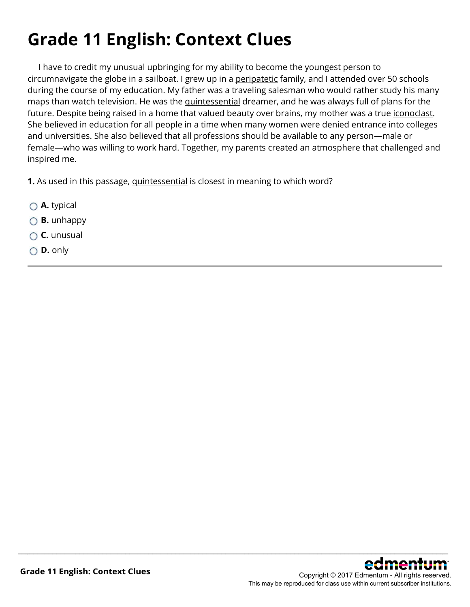# **Grade 11 English: Context Clues**

 I have to credit my unusual upbringing for my ability to become the youngest person to circumnavigate the globe in a sailboat. I grew up in a peripatetic family, and I attended over 50 schools during the course of my education. My father was a traveling salesman who would rather study his many maps than watch television. He was the quintessential dreamer, and he was always full of plans for the future. Despite being raised in a home that valued beauty over brains, my mother was a true iconoclast. She believed in education for all people in a time when many women were denied entrance into colleges and universities. She also believed that all professions should be available to any person—male or female—who was willing to work hard. Together, my parents created an atmosphere that challenged and inspired me.

\_\_\_\_\_\_\_\_\_\_\_\_\_\_\_\_\_\_\_\_\_\_\_\_\_\_\_\_\_\_\_\_\_\_\_\_\_\_\_\_\_\_\_\_\_\_\_\_\_\_\_\_\_\_\_\_\_\_\_\_\_\_\_\_\_\_\_\_\_\_\_\_\_\_\_\_\_\_\_\_\_\_\_\_\_\_\_\_\_\_\_\_\_\_\_\_\_\_\_\_\_\_\_\_\_\_\_\_\_\_\_\_

**1.** As used in this passage, quintessential is closest in meaning to which word?

- **A.** typical
- **B.** unhappy
- **C.** unusual
- **D.** only

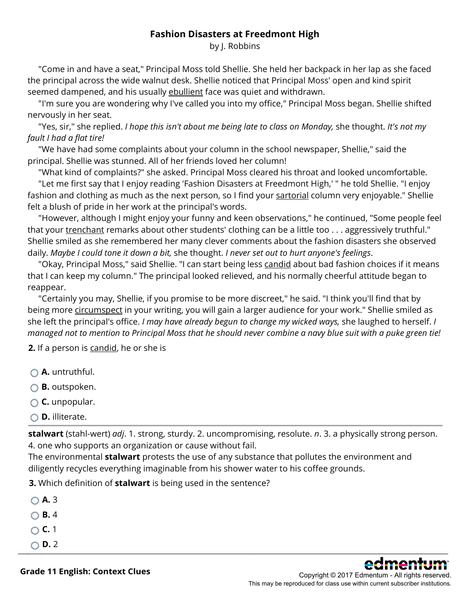### **Fashion Disasters at Freedmont High**

by J. Robbins

 "Come in and have a seat," Principal Moss told Shellie. She held her backpack in her lap as she faced the principal across the wide walnut desk. Shellie noticed that Principal Moss' open and kind spirit seemed dampened, and his usually ebullient face was quiet and withdrawn.

 "I'm sure you are wondering why I've called you into my office," Principal Moss began. Shellie shifted nervously in her seat.

 "Yes, sir," she replied. *I hope this isn't about me being late to class on Monday,* she thought. *It's not my fault I had a flat tire!*

 "We have had some complaints about your column in the school newspaper, Shellie," said the principal. Shellie was stunned. All of her friends loved her column!

"What kind of complaints?" she asked. Principal Moss cleared his throat and looked uncomfortable.

 "Let me first say that I enjoy reading 'Fashion Disasters at Freedmont High,' " he told Shellie. "I enjoy fashion and clothing as much as the next person, so I find your sartorial column very enjoyable." Shellie felt a blush of pride in her work at the principal's words.

 "However, although I might enjoy your funny and keen observations," he continued, "Some people feel that your trenchant remarks about other students' clothing can be a little too . . . aggressively truthful." Shellie smiled as she remembered her many clever comments about the fashion disasters she observed daily. *Maybe I could tone it down a bit,* she thought. *I never set out to hurt anyone's feelings*.

"Okay, Principal Moss," said Shellie. "I can start being less candid about bad fashion choices if it means that I can keep my column." The principal looked relieved, and his normally cheerful attitude began to reappear.

 "Certainly you may, Shellie, if you promise to be more discreet," he said. "I think you'll find that by being more *circumspect* in your writing, you will gain a larger audience for your work." Shellie smiled as she left the principal's office. *I may have already begun to change my wicked ways,* she laughed to herself. *I managed not to mention to Principal Moss that he should never combine a navy blue suit with a puke green tie!*

**2.** If a person is candid, he or she is

- **A.** untruthful.
- **B.** outspoken.
- **C.** unpopular.
- **D.** illiterate.

**stalwart** (stahl-wert) *adj*. 1. strong, sturdy. 2. uncompromising, resolute. *n*. 3. a physically strong person. 4. one who supports an organization or cause without fail.

\_\_\_\_\_\_\_\_\_\_\_\_\_\_\_\_\_\_\_\_\_\_\_\_\_\_\_\_\_\_\_\_\_\_\_\_\_\_\_\_\_\_\_\_\_\_\_\_\_\_\_\_\_\_\_\_\_\_\_\_\_\_\_\_\_\_\_\_\_\_\_\_\_\_\_\_\_\_\_\_\_\_\_\_\_\_\_\_\_\_\_\_\_\_\_\_\_\_\_\_\_\_\_\_\_\_\_\_\_\_\_\_

The environmental **stalwart** protests the use of any substance that pollutes the environment and diligently recycles everything imaginable from his shower water to his coffee grounds.

**3.** Which definition of **stalwart** is being used in the sentence?

**A.** 3 **B.** 4 **C.** 1  $\bigcirc$  **D.** 2



**Grade 11 English: Context Clues**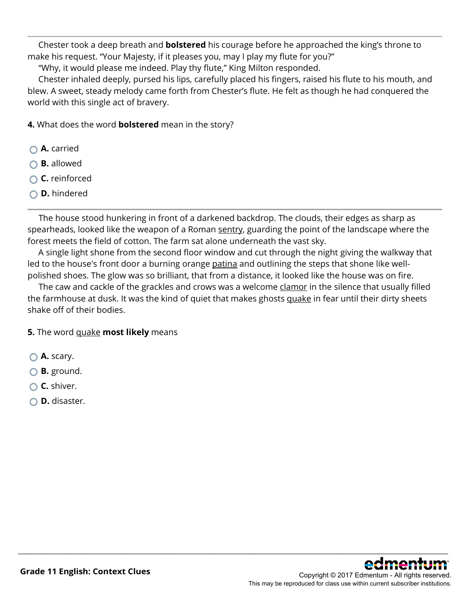Chester took a deep breath and **bolstered** his courage before he approached the king's throne to make his request. "Your Majesty, if it pleases you, may I play my flute for you?"

"Why, it would please me indeed. Play thy flute," King Milton responded.

 Chester inhaled deeply, pursed his lips, carefully placed his fingers, raised his flute to his mouth, and blew. A sweet, steady melody came forth from Chester's flute. He felt as though he had conquered the world with this single act of bravery.

**4.** What does the word **bolstered** mean in the story?

- **A.** carried
- **B.** allowed
- **C.** reinforced
- **D.** hindered

 The house stood hunkering in front of a darkened backdrop. The clouds, their edges as sharp as spearheads, looked like the weapon of a Roman sentry, guarding the point of the landscape where the forest meets the field of cotton. The farm sat alone underneath the vast sky.

 A single light shone from the second floor window and cut through the night giving the walkway that led to the house's front door a burning orange patina and outlining the steps that shone like wellpolished shoes. The glow was so brilliant, that from a distance, it looked like the house was on fire.

The caw and cackle of the grackles and crows was a welcome clamor in the silence that usually filled the farmhouse at dusk. It was the kind of quiet that makes ghosts quake in fear until their dirty sheets shake off of their bodies.

\_\_\_\_\_\_\_\_\_\_\_\_\_\_\_\_\_\_\_\_\_\_\_\_\_\_\_\_\_\_\_\_\_\_\_\_\_\_\_\_\_\_\_\_\_\_\_\_\_\_\_\_\_\_\_\_\_\_\_\_\_\_\_\_\_\_\_\_\_\_\_\_\_\_\_\_\_\_\_\_\_\_\_\_\_\_\_\_\_\_\_\_\_\_\_\_\_\_\_\_\_\_\_\_\_\_\_\_\_\_\_\_

### **5.** The word quake **most likely** means

- **A.** scary.
- **B.** ground.
- **C.** shiver.
- **D.** disaster.

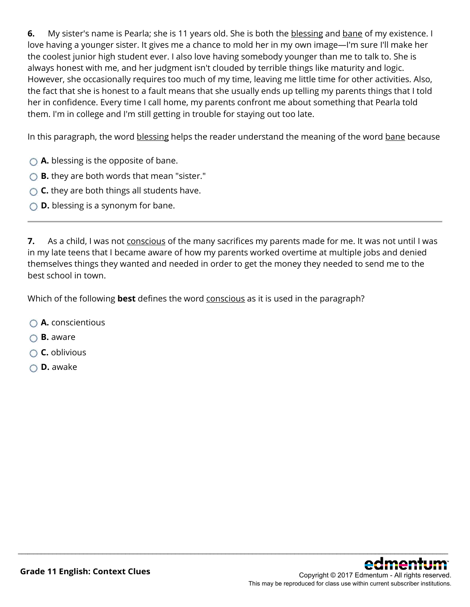**6.** My sister's name is Pearla; she is 11 years old. She is both the blessing and bane of my existence. I love having a younger sister. It gives me a chance to mold her in my own image—I'm sure I'll make her the coolest junior high student ever. I also love having somebody younger than me to talk to. She is always honest with me, and her judgment isn't clouded by terrible things like maturity and logic. However, she occasionally requires too much of my time, leaving me little time for other activities. Also, the fact that she is honest to a fault means that she usually ends up telling my parents things that I told her in confidence. Every time I call home, my parents confront me about something that Pearla told them. I'm in college and I'm still getting in trouble for staying out too late.

In this paragraph, the word blessing helps the reader understand the meaning of the word bane because

- **A.** blessing is the opposite of bane.
- **B.** they are both words that mean "sister."
- **C.** they are both things all students have.
- **D.** blessing is a synonym for bane.

**7.** As a child, I was not conscious of the many sacrifices my parents made for me. It was not until I was in my late teens that I became aware of how my parents worked overtime at multiple jobs and denied themselves things they wanted and needed in order to get the money they needed to send me to the best school in town.

\_\_\_\_\_\_\_\_\_\_\_\_\_\_\_\_\_\_\_\_\_\_\_\_\_\_\_\_\_\_\_\_\_\_\_\_\_\_\_\_\_\_\_\_\_\_\_\_\_\_\_\_\_\_\_\_\_\_\_\_\_\_\_\_\_\_\_\_\_\_\_\_\_\_\_\_\_\_\_\_\_\_\_\_\_\_\_\_\_\_\_\_\_\_\_\_\_\_\_\_\_\_\_\_\_\_\_\_\_\_\_\_

Which of the following **best** defines the word conscious as it is used in the paragraph?

- **A.** conscientious
- **B.** aware
- **C.** oblivious
- **D.** awake

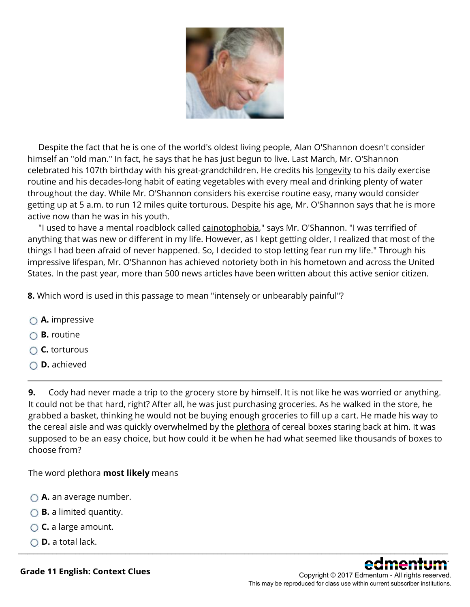

 Despite the fact that he is one of the world's oldest living people, Alan O'Shannon doesn't consider himself an "old man." In fact, he says that he has just begun to live. Last March, Mr. O'Shannon celebrated his 107th birthday with his great-grandchildren. He credits his longevity to his daily exercise routine and his decades-long habit of eating vegetables with every meal and drinking plenty of water throughout the day. While Mr. O'Shannon considers his exercise routine easy, many would consider getting up at 5 a.m. to run 12 miles quite torturous. Despite his age, Mr. O'Shannon says that he is more active now than he was in his youth.

"I used to have a mental roadblock called cainotophobia," says Mr. O'Shannon. "I was terrified of anything that was new or different in my life. However, as I kept getting older, I realized that most of the things I had been afraid of never happened. So, I decided to stop letting fear run my life." Through his impressive lifespan, Mr. O'Shannon has achieved notoriety both in his hometown and across the United States. In the past year, more than 500 news articles have been written about this active senior citizen.

**8.** Which word is used in this passage to mean "intensely or unbearably painful"?

- **A.** impressive
- **B.** routine
- **C.** torturous
- **D.** achieved

**9.** Cody had never made a trip to the grocery store by himself. It is not like he was worried or anything. It could not be that hard, right? After all, he was just purchasing groceries. As he walked in the store, he grabbed a basket, thinking he would not be buying enough groceries to fill up a cart. He made his way to the cereal aisle and was quickly overwhelmed by the plethora of cereal boxes staring back at him. It was supposed to be an easy choice, but how could it be when he had what seemed like thousands of boxes to choose from?

The word plethora **most likely** means

- **A.** an average number.
- **B.** a limited quantity.
- **C.** a large amount.
- **D.** a total lack. \_\_\_\_\_\_\_\_\_\_\_\_\_\_\_\_\_\_\_\_\_\_\_\_\_\_\_\_\_\_\_\_\_\_\_\_\_\_\_\_\_\_\_\_\_\_\_\_\_\_\_\_\_\_\_\_\_\_\_\_\_\_\_\_\_\_\_\_\_\_\_\_\_\_\_\_\_\_\_\_\_\_\_\_\_\_\_\_\_\_\_\_\_\_\_\_\_\_\_\_\_\_\_\_\_\_\_\_\_\_\_\_



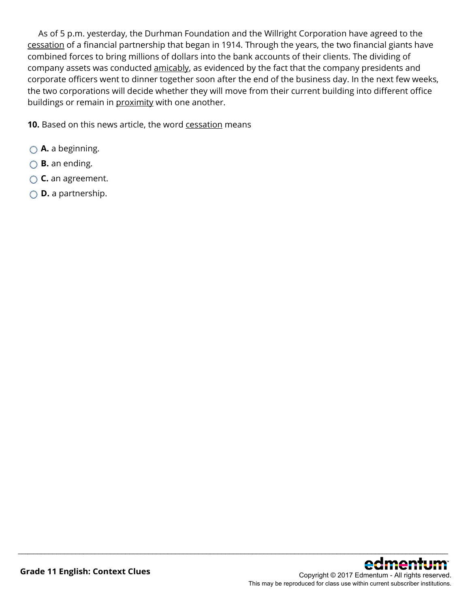As of 5 p.m. yesterday, the Durhman Foundation and the Willright Corporation have agreed to the cessation of a financial partnership that began in 1914. Through the years, the two financial giants have combined forces to bring millions of dollars into the bank accounts of their clients. The dividing of company assets was conducted amicably, as evidenced by the fact that the company presidents and corporate officers went to dinner together soon after the end of the business day. In the next few weeks, the two corporations will decide whether they will move from their current building into different office buildings or remain in proximity with one another.

\_\_\_\_\_\_\_\_\_\_\_\_\_\_\_\_\_\_\_\_\_\_\_\_\_\_\_\_\_\_\_\_\_\_\_\_\_\_\_\_\_\_\_\_\_\_\_\_\_\_\_\_\_\_\_\_\_\_\_\_\_\_\_\_\_\_\_\_\_\_\_\_\_\_\_\_\_\_\_\_\_\_\_\_\_\_\_\_\_\_\_\_\_\_\_\_\_\_\_\_\_\_\_\_\_\_\_\_\_\_\_\_

**10.** Based on this news article, the word cessation means

- **A.** a beginning.
- **B.** an ending.
- **C.** an agreement.
- **D.** a partnership.

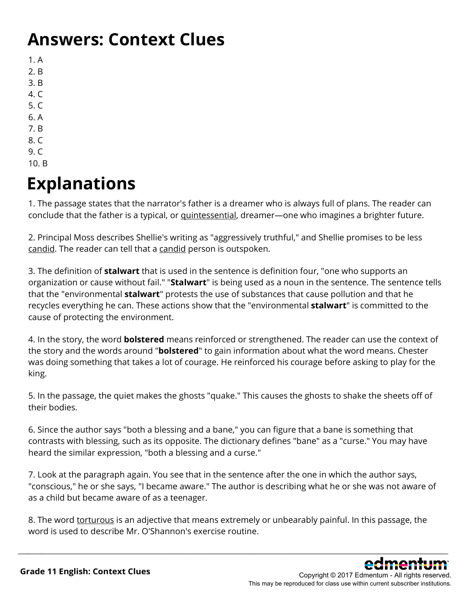### **Answers: Context Clues**

- 1. A
- 2. B
- 3. B
- 4. C
- 5. C
- 6. A
- 7. B
- 8. C 9. C
- 10. B

## **Explanations**

1. The passage states that the narrator's father is a dreamer who is always full of plans. The reader can conclude that the father is a typical, or quintessential, dreamer—one who imagines a brighter future.

2. Principal Moss describes Shellie's writing as "aggressively truthful," and Shellie promises to be less candid. The reader can tell that a candid person is outspoken.

3. The definition of **stalwart** that is used in the sentence is definition four, "one who supports an organization or cause without fail." "**Stalwart**" is being used as a noun in the sentence. The sentence tells that the "environmental **stalwart**" protests the use of substances that cause pollution and that he recycles everything he can. These actions show that the "environmental **stalwart**" is committed to the cause of protecting the environment.

4. In the story, the word **bolstered** means reinforced or strengthened. The reader can use the context of the story and the words around "**bolstered**" to gain information about what the word means. Chester was doing something that takes a lot of courage. He reinforced his courage before asking to play for the king.

5. In the passage, the quiet makes the ghosts "quake." This causes the ghosts to shake the sheets off of their bodies.

6. Since the author says "both a blessing and a bane," you can figure that a bane is something that contrasts with blessing, such as its opposite. The dictionary defines "bane" as a "curse." You may have heard the similar expression, "both a blessing and a curse."

7. Look at the paragraph again. You see that in the sentence after the one in which the author says, "conscious," he or she says, "I became aware." The author is describing what he or she was not aware of as a child but became aware of as a teenager.

8. The word torturous is an adjective that means extremely or unbearably painful. In this passage, the word is used to describe Mr. O'Shannon's exercise routine.